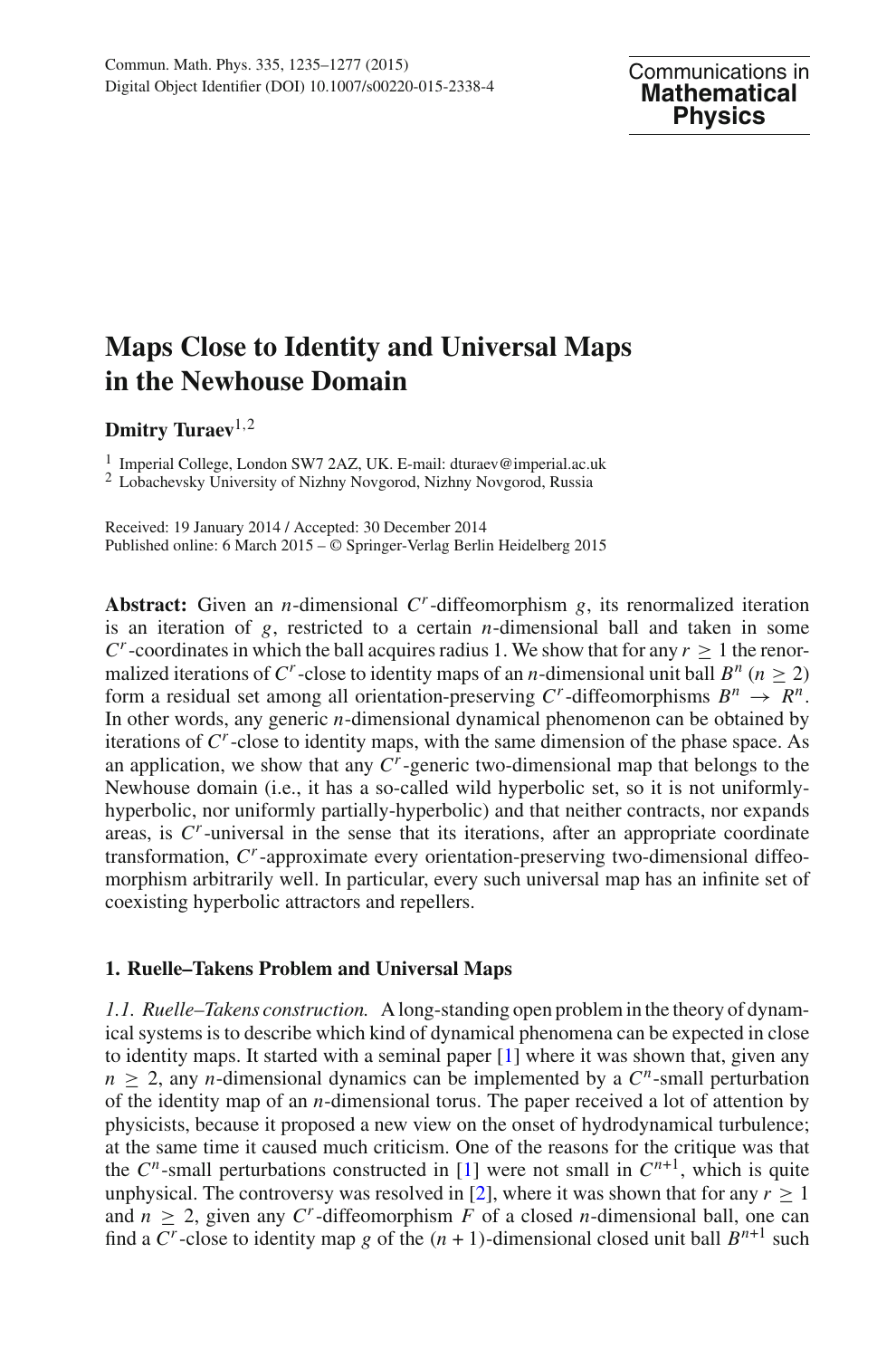# **Maps Close to Identity and Universal Maps in the Newhouse Domain**

**Dmitry Turaev**1,<sup>2</sup>

<sup>1</sup> Imperial College, London SW7 2AZ, UK. E-mail: dturaev@imperial.ac.uk <sup>2</sup> Lobachevsky University of Nizhny Novgorod, Nizhny Novgorod, Russia

Received: 19 January 2014 / Accepted: 30 December 2014 Published online: 6 March 2015 – © Springer-Verlag Berlin Heidelberg 2015

**Abstract:** Given an *n*-dimensional *Cr*-diffeomorphism *g*, its renormalized iteration is an iteration of *g*, restricted to a certain *n*-dimensional ball and taken in some  $C^r$ -coordinates in which the ball acquires radius 1. We show that for any  $r > 1$  the renormalized iterations of  $C^r$ -close to identity maps of an *n*-dimensional unit ball  $B^n$  ( $n > 2$ ) form a residual set among all orientation-preserving  $C^r$ -diffeomorphisms  $B^n \to R^n$ . In other words, any generic *n*-dimensional dynamical phenomenon can be obtained by iterations of *Cr*-close to identity maps, with the same dimension of the phase space. As an application, we show that any  $C<sup>r</sup>$ -generic two-dimensional map that belongs to the Newhouse domain (i.e., it has a so-called wild hyperbolic set, so it is not uniformlyhyperbolic, nor uniformly partially-hyperbolic) and that neither contracts, nor expands areas, is *Cr*-universal in the sense that its iterations, after an appropriate coordinate transformation, *Cr*-approximate every orientation-preserving two-dimensional diffeomorphism arbitrarily well. In particular, every such universal map has an infinite set of coexisting hyperbolic attractors and repellers.

## **1. Ruelle–Takens Problem and Universal Maps**

*1.1. Ruelle–Takens construction.* A long-standing open problem in the theory of dynamical systems is to describe which kind of dynamical phenomena can be expected in close to identity maps. It started with a seminal paper  $[1]$  $[1]$  where it was shown that, given any  $n > 2$ , any *n*-dimensional dynamics can be implemented by a  $C<sup>n</sup>$ -small perturbation of the identity map of an *n*-dimensional torus. The paper received a lot of attention by physicists, because it proposed a new view on the onset of hydrodynamical turbulence; at the same time it caused much criticism. One of the reasons for the critique was that the  $C^n$ -small perturbations constructed in [\[1](#page-40-0)] were not small in  $C^{n+1}$ , which is quite unphysical. The controversy was resolved in [\[2](#page-40-1)], where it was shown that for any  $r > 1$ and  $n \geq 2$ , given any C<sup>*r*</sup>-diffeomorphism F of a closed *n*-dimensional ball, one can find a  $C^r$ -close to identity map g of the  $(n + 1)$ -dimensional closed unit ball  $B^{n+1}$  such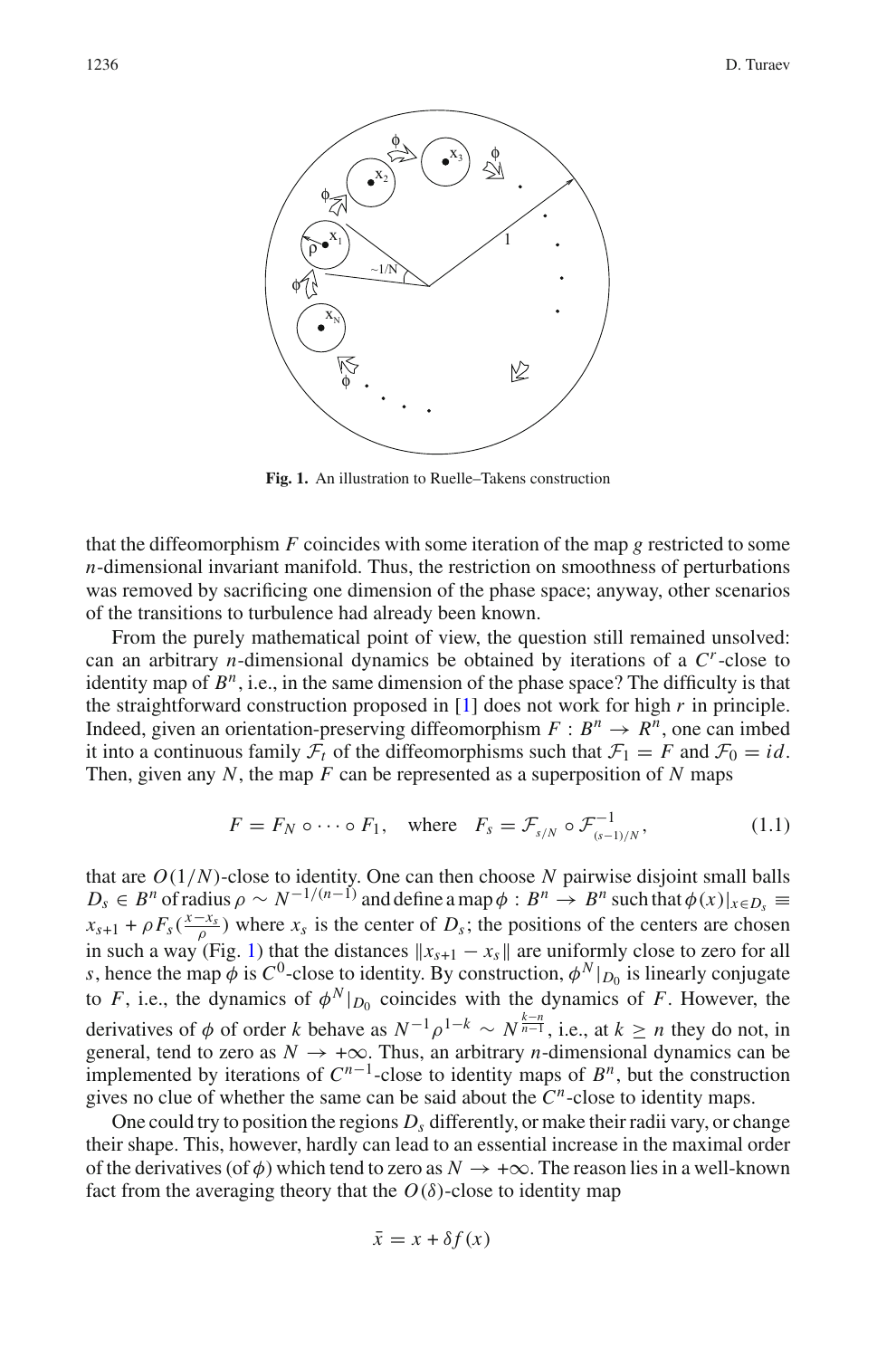

**Fig. 1.** An illustration to Ruelle–Takens construction

<span id="page-1-0"></span>that the diffeomorphism *F* coincides with some iteration of the map *g* restricted to some *n*-dimensional invariant manifold. Thus, the restriction on smoothness of perturbations was removed by sacrificing one dimension of the phase space; anyway, other scenarios of the transitions to turbulence had already been known.

From the purely mathematical point of view, the question still remained unsolved: can an arbitrary *n*-dimensional dynamics be obtained by iterations of a *Cr*-close to identity map of  $B^n$ , i.e., in the same dimension of the phase space? The difficulty is that the straightforward construction proposed in [\[1](#page-40-0)] does not work for high *r* in principle. Indeed, given an orientation-preserving diffeomorphism  $F : B^n \to R^n$ , one can imbed it into a continuous family  $\mathcal{F}_t$  of the diffeomorphisms such that  $\mathcal{F}_1 = F$  and  $\mathcal{F}_0 = id$ . Then, given any *N*, the map *F* can be represented as a superposition of *N* maps

<span id="page-1-1"></span>
$$
F = F_N \circ \cdots \circ F_1, \quad \text{where} \quad F_s = \mathcal{F}_{s/N} \circ \mathcal{F}_{(s-1)/N}^{-1}, \tag{1.1}
$$

that are *O*(1/*N*)-close to identity. One can then choose *N* pairwise disjoint small balls  $D_s \in B^n$  of radius  $\rho \sim N^{-1/(n-1)}$  and define a map  $\phi : B^n \to B^n$  such that  $\phi(x)|_{x \in D_s} \equiv$  $x_{s+1} + \rho F_s(\frac{x-x_s}{\rho})$  where  $x_s$  is the center of  $D_s$ ; the positions of the centers are chosen in such a way (Fig. [1\)](#page-1-0) that the distances  $x_{s+1} - x_s$  are uniformly close to zero for all *s*, hence the map  $\phi$  is  $C^0$ -close to identity. By construction,  $\phi^N|_{D_0}$  is linearly conjugate to *F*, i.e., the dynamics of  $\phi^N|_{D_0}$  coincides with the dynamics of *F*. However, the derivatives of  $\phi$  of order *k* behave as  $N^{-1}\rho^{1-k} \sim N^{\frac{k-n}{n-1}}$ , i.e., at  $k \ge n$  they do not, in general, tend to zero as  $N \rightarrow +\infty$ . Thus, an arbitrary *n*-dimensional dynamics can be implemented by iterations of  $C^{n-1}$ -close to identity maps of  $B^n$ , but the construction gives no clue of whether the same can be said about the *Cn*-close to identity maps.

One could try to position the regions  $D_s$  differently, or make their radii vary, or change their shape. This, however, hardly can lead to an essential increase in the maximal order of the derivatives (of  $\phi$ ) which tend to zero as  $N \to +\infty$ . The reason lies in a well-known fact from the averaging theory that the  $O(\delta)$ -close to identity map

$$
\bar{x} = x + \delta f(x)
$$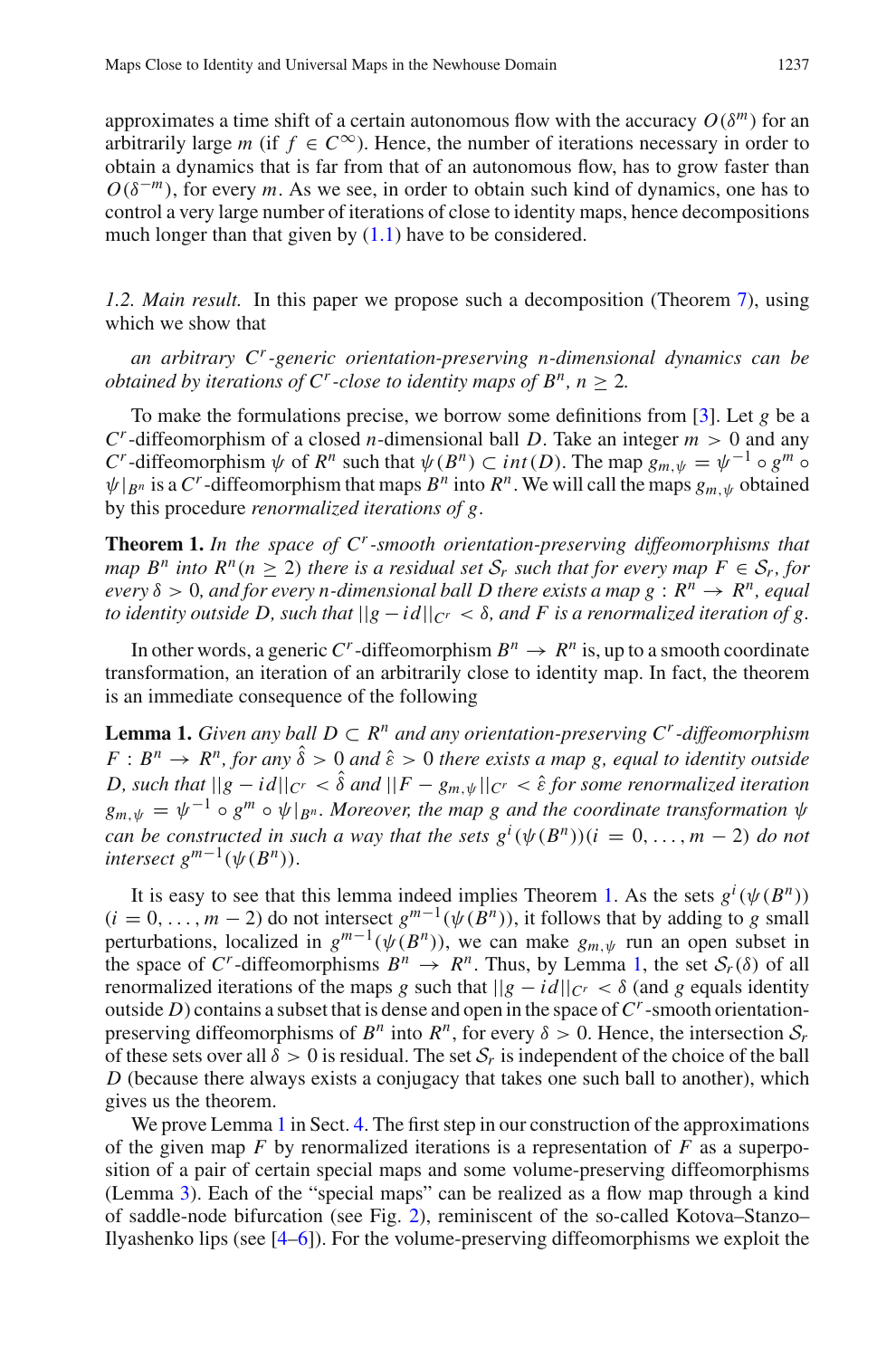approximates a time shift of a certain autonomous flow with the accuracy  $O(\delta^m)$  for an arbitrarily large *m* (if  $f \in C^{\infty}$ ). Hence, the number of iterations necessary in order to obtain a dynamics that is far from that of an autonomous flow, has to grow faster than  $O(\delta^{-m})$ , for every *m*. As we see, in order to obtain such kind of dynamics, one has to control a very large number of iterations of close to identity maps, hence decompositions much longer than that given by  $(1.1)$  have to be considered.

<span id="page-2-2"></span>*1.2. Main result.* In this paper we propose such a decomposition (Theorem [7\)](#page-10-0), using which we show that

*an arbitrary Cr-generic orientation-preserving n-dimensional dynamics can be obtained by iterations of C<sup><i>r*</sup>-close to identity maps of  $B<sup>n</sup>$ ,  $n > 2$ .

To make the formulations precise, we borrow some definitions from [\[3\]](#page-40-2). Let *g* be a  $C<sup>r</sup>$ -diffeomorphism of a closed *n*-dimensional ball *D*. Take an integer  $m > 0$  and any *C*<sup>*r*</sup>-diffeomorphism  $\psi$  of  $R^n$  such that  $\psi(B^n) \subset int(D)$ . The map  $g_{m,\psi} = \psi^{-1} \circ g^m \circ$  $\psi|_{B^n}$  is a C<sup>*r*</sup>-diffeomorphism that maps  $B^n$  into  $R^n$ . We will call the maps  $g_m$   $\psi$  obtained by this procedure *renormalized iterations of g*.

<span id="page-2-0"></span>**Theorem 1.** *In the space of Cr-smooth orientation-preserving diffeomorphisms that map*  $B^n$  *into*  $R^n(n > 2)$  *there is a residual set*  $S_r$  *such that for every map*  $F \in S_r$ *, for every*  $\delta > 0$ *, and for every n-dimensional ball D there exists a map g :*  $R^n \to R^n$ *<i>, equal to identity outside D, such that*  $||g - id||_{C^r} < \delta$ , and F is a renormalized iteration of g.

In other words, a generic C<sup>*r*</sup>-diffeomorphism  $B^n \to R^n$  is, up to a smooth coordinate transformation, an iteration of an arbitrarily close to identity map. In fact, the theorem is an immediate consequence of the following

<span id="page-2-1"></span>**Lemma 1.** *Given any ball*  $D \subset R^n$  *and any orientation-preserving*  $C^r$ -diffeomorphism  $F : B^n \to R^n$ , for any  $\hat{\delta} > 0$  and  $\hat{\epsilon} > 0$  there exists a map g, equal to identity outside *D, such that*  $||g - id||_{C^r} < \hat{\delta}$  *and*  $||F - g_m \psi||_{C^r} < \hat{\epsilon}$  *for some renormalized iteration*  $g_{m,\psi} = \psi^{-1} \circ g^m \circ \psi|_{B^n}$ *. Moreover, the map g and the coordinate transformation*  $\psi$ *can be constructed in such a way that the sets*  $g^{i}(\psi(B^{n}))(i = 0, ..., m - 2)$  *do not intersect*  $g^{m-1}(\psi(B^n))$ .

It is easy to see that this lemma indeed implies Theorem [1.](#page-2-0) As the sets  $g^i(\psi(B^n))$  $(i = 0, \ldots, m-2)$  do not intersect  $g^{m-1}(\psi(\overline{B}^n))$ , it follows that by adding to *g* small perturbations, localized in  $g^{m-1}(\psi(B^n))$ , we can make  $g_{m,\psi}$  run an open subset in the space of C<sup>*r*</sup>-diffeomorphisms  $B^n \to R^n$ . Thus, by Lemma [1,](#page-2-1) the set  $S_r(\delta)$  of all renormalized iterations of the maps *g* such that  $||g - id||_{C^r} < \delta$  (and *g* equals identity outside *D*) contains a subset that is dense and open in the space of  $C<sup>r</sup>$ -smooth orientationpreserving diffeomorphisms of  $B^n$  into  $R^n$ , for every  $\delta > 0$ . Hence, the intersection  $S_r$ of these sets over all  $\delta > 0$  is residual. The set  $S_r$  is independent of the choice of the ball *D* (because there always exists a conjugacy that takes one such ball to another), which gives us the theorem.

We prove Lemma [1](#page-2-1) in Sect. [4.](#page-13-0) The first step in our construction of the approximations of the given map *F* by renormalized iterations is a representation of *F* as a superposition of a pair of certain special maps and some volume-preserving diffeomorphisms (Lemma [3\)](#page-9-0). Each of the "special maps" can be realized as a flow map through a kind of saddle-node bifurcation (see Fig. [2\)](#page-15-0), reminiscent of the so-called Kotova–Stanzo– Ilyashenko lips (see [\[4](#page-40-3)[–6](#page-40-4)]). For the volume-preserving diffeomorphisms we exploit the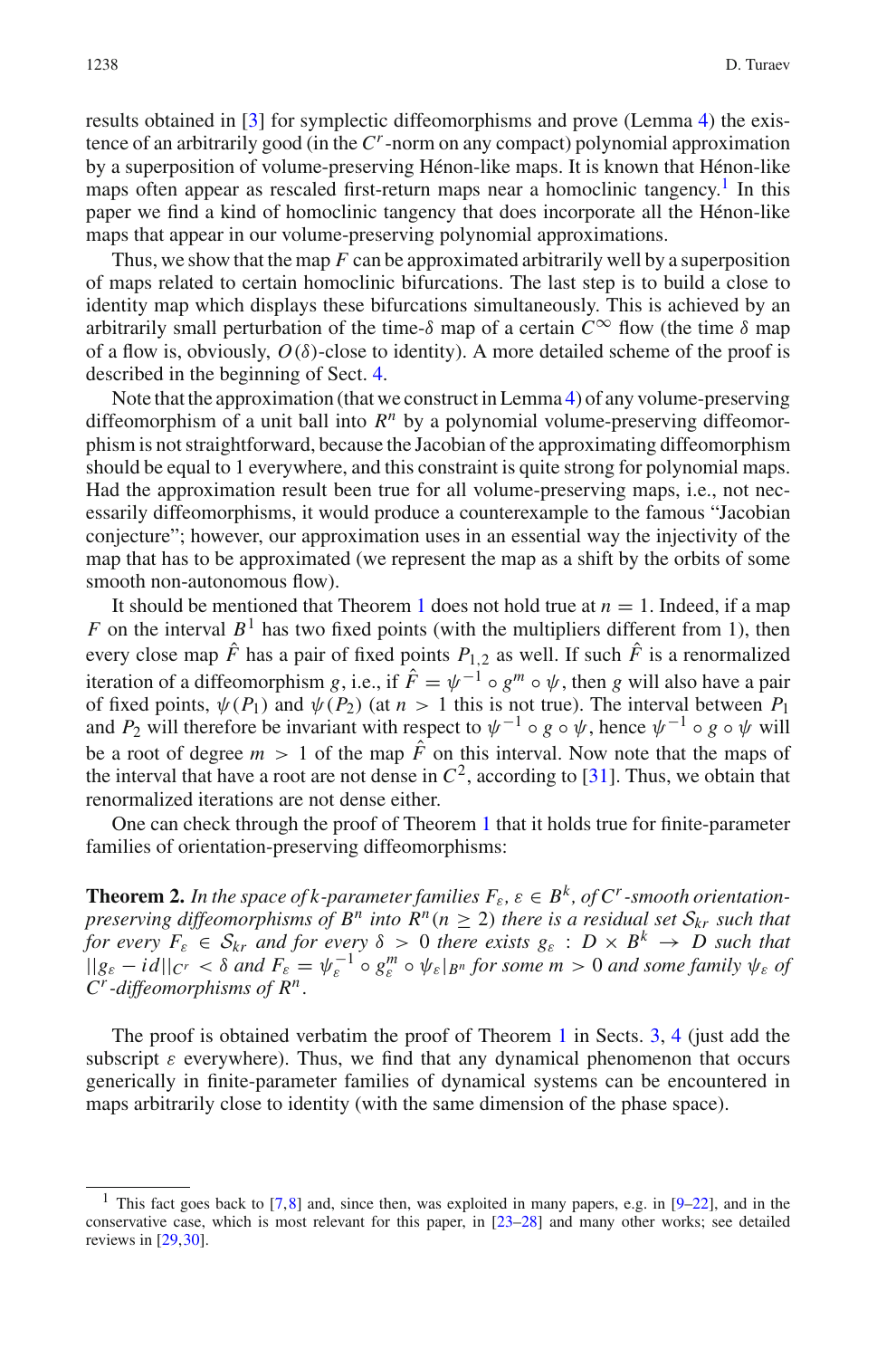results obtained in [\[3\]](#page-40-2) for symplectic diffeomorphisms and prove (Lemma [4\)](#page-11-0) the existence of an arbitrarily good (in the *Cr*-norm on any compact) polynomial approximation by a superposition of volume-preserving Hénon-like maps. It is known that Hénon-like maps often appear as rescaled first-return maps near a homoclinic tangency.<sup>[1](#page-3-0)</sup> In this paper we find a kind of homoclinic tangency that does incorporate all the Hénon-like maps that appear in our volume-preserving polynomial approximations.

Thus, we show that the map *F* can be approximated arbitrarily well by a superposition of maps related to certain homoclinic bifurcations. The last step is to build a close to identity map which displays these bifurcations simultaneously. This is achieved by an arbitrarily small perturbation of the time- $\delta$  map of a certain  $C^{\infty}$  flow (the time  $\delta$  map of a flow is, obviously,  $O(\delta)$ -close to identity). A more detailed scheme of the proof is described in the beginning of Sect. [4.](#page-13-0)

Note that the approximation (that we construct in Lemma [4\)](#page-11-0) of any volume-preserving diffeomorphism of a unit ball into *R<sup>n</sup>* by a polynomial volume-preserving diffeomorphism is not straightforward, because the Jacobian of the approximating diffeomorphism should be equal to 1 everywhere, and this constraint is quite strong for polynomial maps. Had the approximation result been true for all volume-preserving maps, i.e., not necessarily diffeomorphisms, it would produce a counterexample to the famous "Jacobian conjecture"; however, our approximation uses in an essential way the injectivity of the map that has to be approximated (we represent the map as a shift by the orbits of some smooth non-autonomous flow).

It should be mentioned that Theorem [1](#page-2-0) does not hold true at  $n = 1$ . Indeed, if a map *F* on the interval  $B^1$  has two fixed points (with the multipliers different from 1), then every close map  $\hat{F}$  has a pair of fixed points  $P_{1,2}$  as well. If such  $\hat{F}$  is a renormalized iteration of a diffeomorphism *g*, i.e., if  $\hat{F} = \psi^{-1} \circ g^m \circ \psi$ , then *g* will also have a pair of fixed points,  $\psi(P_1)$  and  $\psi(P_2)$  (at  $n > 1$  this is not true). The interval between  $P_1$ and  $P_2$  will therefore be invariant with respect to  $\psi^{-1} \circ g \circ \psi$ , hence  $\psi^{-1} \circ g \circ \psi$  will be a root of degree  $m > 1$  of the map  $\hat{F}$  on this interval. Now note that the maps of the interval that have a root are not dense in  $C^2$ , according to [\[31\]](#page-41-0). Thus, we obtain that renormalized iterations are not dense either.

One can check through the proof of Theorem [1](#page-2-0) that it holds true for finite-parameter families of orientation-preserving diffeomorphisms:

**Theorem 2.** In the space of k-parameter families  $F_{\varepsilon}$ ,  $\varepsilon \in B^k$ , of  $C^r$ -smooth orientation*preserving diffeomorphisms of B<sup><i>n*</sup> into  $R^n$ ( $n \geq 2$ ) there is a residual set  $S_{kr}$  such that *for every*  $F_{\varepsilon} \in S_{kr}$  *and for every*  $\delta > 0$  *there exists*  $g_{\varepsilon} : D \times B^k \to D$  *such that*  $||g_{\varepsilon} - id||_{C^r} < \delta$  *and*  $F_{\varepsilon} = \psi_{\varepsilon}^{-1} \circ g_{\varepsilon}^m \circ \psi_{\varepsilon}|_{B^n}$  *for some*  $m > 0$  *and some family*  $\psi_{\varepsilon}$  *of Cr-diffeomorphisms of Rn*.

The proof is obtained verbatim the proof of Theorem [1](#page-2-0) in Sects. [3,](#page-9-1) [4](#page-13-0) (just add the subscript  $\varepsilon$  everywhere). Thus, we find that any dynamical phenomenon that occurs generically in finite-parameter families of dynamical systems can be encountered in maps arbitrarily close to identity (with the same dimension of the phase space).

<span id="page-3-1"></span><span id="page-3-0"></span><sup>&</sup>lt;sup>1</sup> This fact goes back to [\[7,](#page-40-5)[8\]](#page-40-6) and, since then, was exploited in many papers, e.g. in [\[9](#page-40-7)[–22\]](#page-41-1), and in the conservative case, which is most relevant for this paper, in [\[23](#page-41-2)[–28\]](#page-41-3) and many other works; see detailed reviews in [\[29](#page-41-4)[,30\]](#page-41-5).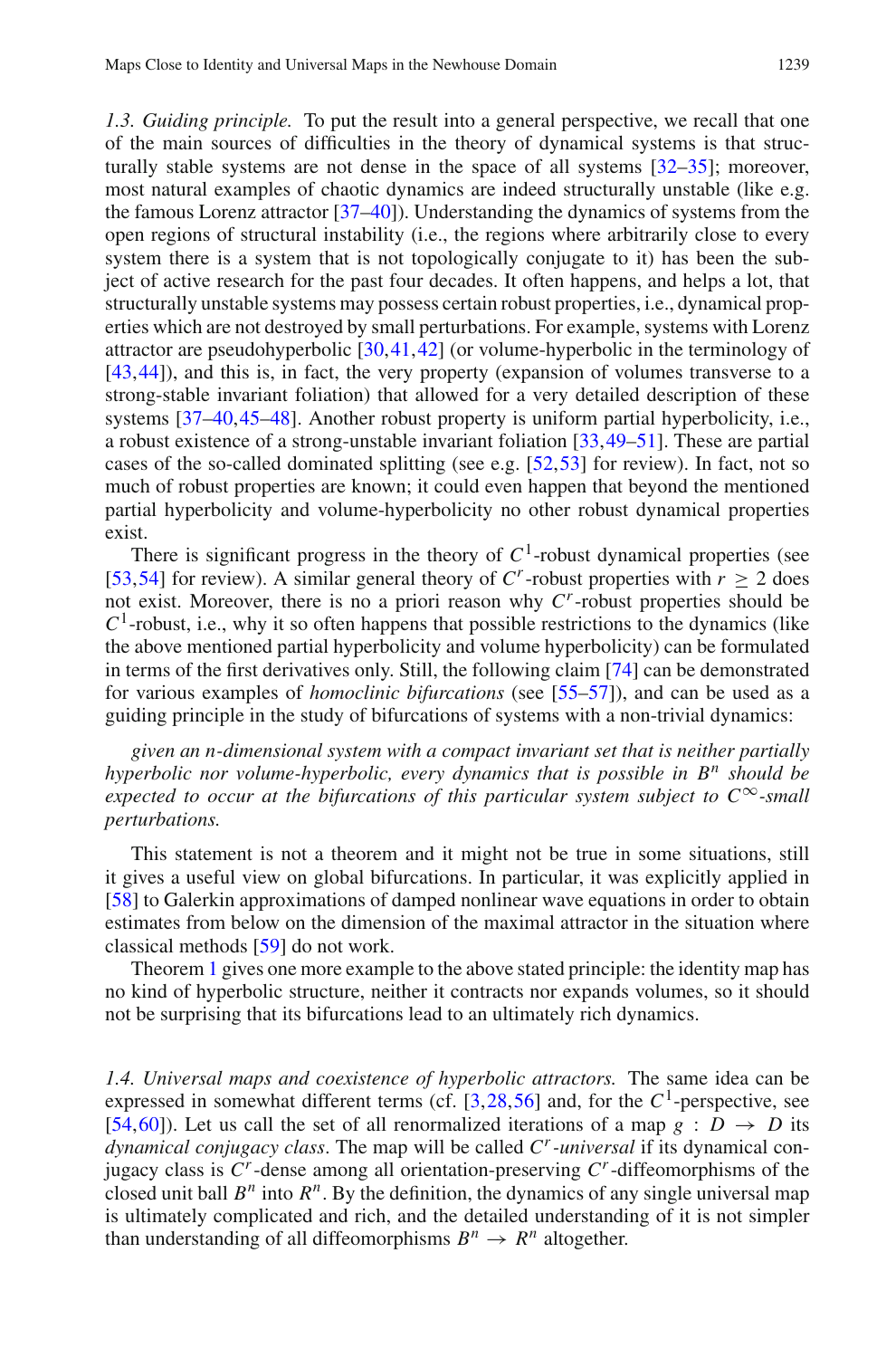*1.3. Guiding principle.* To put the result into a general perspective, we recall that one of the main sources of difficulties in the theory of dynamical systems is that structurally stable systems are not dense in the space of all systems [\[32](#page-41-6)[–35](#page-41-7)]; moreover, most natural examples of chaotic dynamics are indeed structurally unstable (like e.g. the famous Lorenz attractor [\[37](#page-41-8)[–40\]](#page-41-9)). Understanding the dynamics of systems from the open regions of structural instability (i.e., the regions where arbitrarily close to every system there is a system that is not topologically conjugate to it) has been the subject of active research for the past four decades. It often happens, and helps a lot, that structurally unstable systems may possess certain robust properties, i.e., dynamical properties which are not destroyed by small perturbations. For example, systems with Lorenz attractor are pseudohyperbolic [\[30](#page-41-5),[41,](#page-41-10)[42\]](#page-41-11) (or volume-hyperbolic in the terminology of [\[43](#page-41-12)[,44](#page-42-0)]), and this is, in fact, the very property (expansion of volumes transverse to a strong-stable invariant foliation) that allowed for a very detailed description of these systems [\[37](#page-41-8)[–40](#page-41-9),[45](#page-42-1)[–48\]](#page-42-2). Another robust property is uniform partial hyperbolicity, i.e., a robust existence of a strong-unstable invariant foliation [\[33](#page-41-13)[,49](#page-42-3)[–51](#page-42-4)]. These are partial cases of the so-called dominated splitting (see e.g.  $[52,53]$  $[52,53]$  $[52,53]$  for review). In fact, not so much of robust properties are known; it could even happen that beyond the mentioned partial hyperbolicity and volume-hyperbolicity no other robust dynamical properties exist.

There is significant progress in the theory of  $C<sup>1</sup>$ -robust dynamical properties (see [\[53](#page-42-6)[,54](#page-42-7)] for review). A similar general theory of  $C^r$ -robust properties with  $r \geq 2$  does not exist. Moreover, there is no a priori reason why *Cr*-robust properties should be  $C<sup>1</sup>$ -robust, i.e., why it so often happens that possible restrictions to the dynamics (like the above mentioned partial hyperbolicity and volume hyperbolicity) can be formulated in terms of the first derivatives only. Still, the following claim [\[74](#page-42-8)] can be demonstrated for various examples of *homoclinic bifurcations* (see [\[55](#page-42-9)[–57\]](#page-42-10)), and can be used as a guiding principle in the study of bifurcations of systems with a non-trivial dynamics:

*given an n-dimensional system with a compact invariant set that is neither partially hyperbolic nor volume-hyperbolic, every dynamics that is possible in B<sup>n</sup> should be expected to occur at the bifurcations of this particular system subject to C*∞*-small perturbations.*

This statement is not a theorem and it might not be true in some situations, still it gives a useful view on global bifurcations. In particular, it was explicitly applied in [\[58\]](#page-42-11) to Galerkin approximations of damped nonlinear wave equations in order to obtain estimates from below on the dimension of the maximal attractor in the situation where classical methods [\[59](#page-42-12)] do not work.

Theorem [1](#page-2-0) gives one more example to the above stated principle: the identity map has no kind of hyperbolic structure, neither it contracts nor expands volumes, so it should not be surprising that its bifurcations lead to an ultimately rich dynamics.

*1.4. Universal maps and coexistence of hyperbolic attractors.* The same idea can be expressed in somewhat different terms (cf.  $[3,28,56]$  $[3,28,56]$  $[3,28,56]$  $[3,28,56]$  and, for the  $C^1$ -perspective, see [\[54](#page-42-7)[,60](#page-42-14)]). Let us call the set of all renormalized iterations of a map  $g : D \to D$  its *dynamical conjugacy class*. The map will be called *Cr-universal* if its dynamical conjugacy class is  $C^r$ -dense among all orientation-preserving  $C^r$ -diffeomorphisms of the closed unit ball  $B^n$  into  $R^n$ . By the definition, the dynamics of any single universal map is ultimately complicated and rich, and the detailed understanding of it is not simpler than understanding of all diffeomorphisms  $B^n \to R^n$  altogether.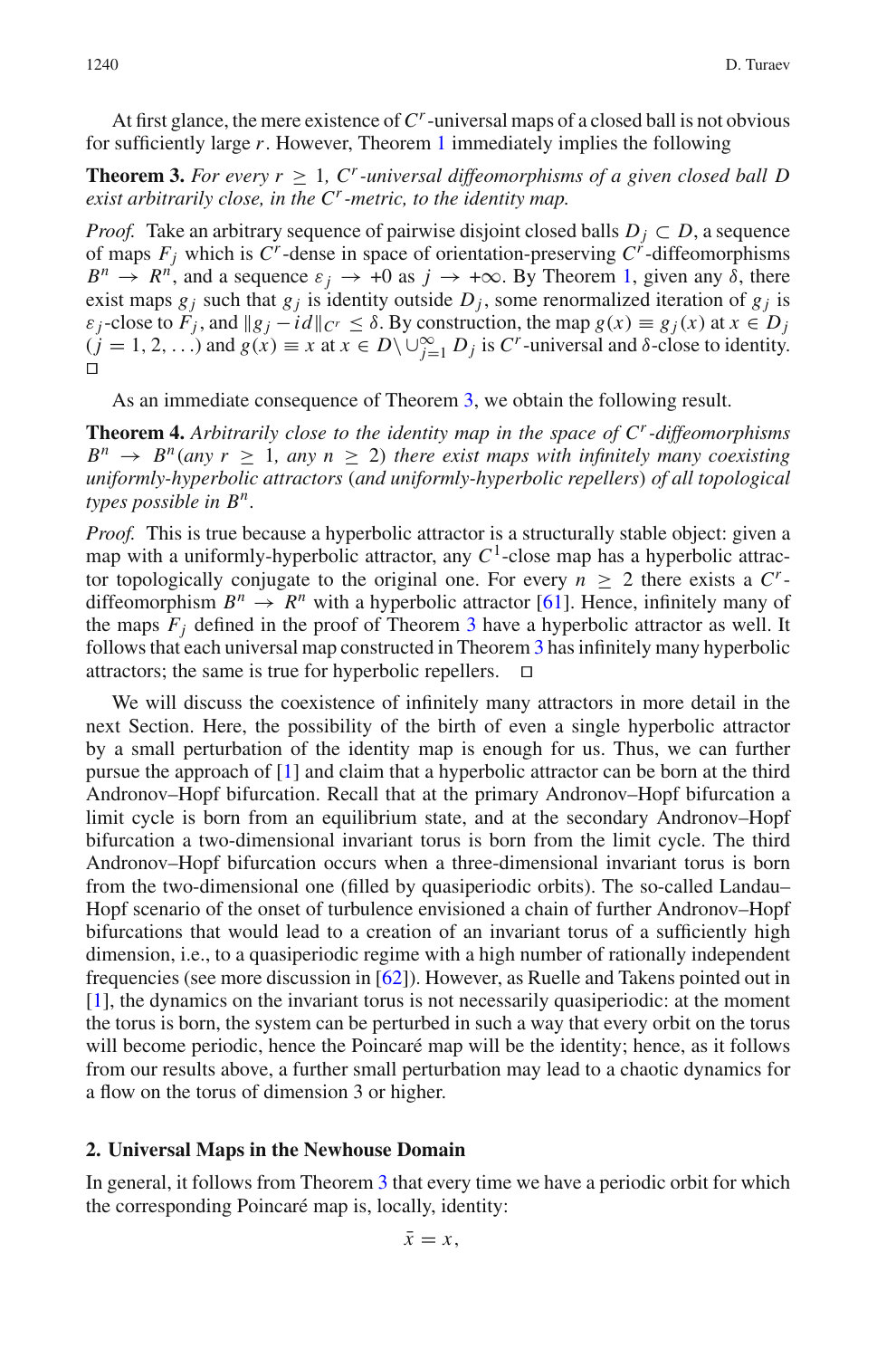At first glance, the mere existence of *Cr*-universal maps of a closed ball is not obvious for sufficiently large *r*. However, Theorem [1](#page-2-0) immediately implies the following

<span id="page-5-0"></span>**Theorem 3.** For every  $r > 1$ , C<sup>*r*</sup>-universal diffeomorphisms of a given closed ball D *exist arbitrarily close, in the Cr-metric, to the identity map.*

*Proof.* Take an arbitrary sequence of pairwise disjoint closed balls  $D_i \subset D$ , a sequence of maps  $F_j$  which is  $C^r$ -dense in space of orientation-preserving  $C^r$ -diffeomorphisms  $B^n \to R^n$ , and a sequence  $\varepsilon_j \to +0$  as  $j \to +\infty$ . By Theorem [1,](#page-2-0) given any  $\delta$ , there exist maps  $g_j$  such that  $g_j$  is identity outside  $D_j$ , some renormalized iteration of  $g_j$  is  $\varepsilon_i$ -close to  $F_i$ , and  $||g_i - id||_{C^r} \leq \delta$ . By construction, the map  $g(x) \equiv g_i(x)$  at  $x \in D_i$  $(j = 1, 2, \ldots)$  and  $g(x) \equiv x$  at  $x \in D \setminus \bigcup_{j=1}^{\infty} D_j$  is  $C^r$ -universal and  $\delta$ -close to identity.  $\Box$ 

As an immediate consequence of Theorem [3,](#page-5-0) we obtain the following result.

<span id="page-5-1"></span>**Theorem 4.** *Arbitrarily close to the identity map in the space of Cr-diffeomorphisms*  $B^n \rightarrow B^n$  (any  $r > 1$ , any  $n > 2$ ) there exist maps with infinitely many coexisting *uniformly-hyperbolic attractors* (*and uniformly-hyperbolic repellers*) *of all topological types possible in Bn.*

*Proof.* This is true because a hyperbolic attractor is a structurally stable object: given a map with a uniformly-hyperbolic attractor, any  $C<sup>1</sup>$ -close map has a hyperbolic attractor topologically conjugate to the original one. For every  $n > 2$  there exists a  $C<sup>r</sup>$ diffeomorphism  $B^n \to R^n$  with a hyperbolic attractor [\[61](#page-42-15)]. Hence, infinitely many of the maps  $F_i$  defined in the proof of Theorem [3](#page-5-0) have a hyperbolic attractor as well. It follows that each universal map constructed in Theorem [3](#page-5-0) has infinitely many hyperbolic attractors; the same is true for hyperbolic repellers.  $\Box$ 

We will discuss the coexistence of infinitely many attractors in more detail in the next Section. Here, the possibility of the birth of even a single hyperbolic attractor by a small perturbation of the identity map is enough for us. Thus, we can further pursue the approach of [\[1\]](#page-40-0) and claim that a hyperbolic attractor can be born at the third Andronov–Hopf bifurcation. Recall that at the primary Andronov–Hopf bifurcation a limit cycle is born from an equilibrium state, and at the secondary Andronov–Hopf bifurcation a two-dimensional invariant torus is born from the limit cycle. The third Andronov–Hopf bifurcation occurs when a three-dimensional invariant torus is born from the two-dimensional one (filled by quasiperiodic orbits). The so-called Landau– Hopf scenario of the onset of turbulence envisioned a chain of further Andronov–Hopf bifurcations that would lead to a creation of an invariant torus of a sufficiently high dimension, i.e., to a quasiperiodic regime with a high number of rationally independent frequencies (see more discussion in [\[62](#page-42-16)]). However, as Ruelle and Takens pointed out in [\[1](#page-40-0)], the dynamics on the invariant torus is not necessarily quasiperiodic: at the moment the torus is born, the system can be perturbed in such a way that every orbit on the torus will become periodic, hence the Poincaré map will be the identity; hence, as it follows from our results above, a further small perturbation may lead to a chaotic dynamics for a flow on the torus of dimension 3 or higher.

#### **2. Universal Maps in the Newhouse Domain**

In general, it follows from Theorem [3](#page-5-0) that every time we have a periodic orbit for which the corresponding Poincaré map is, locally, identity: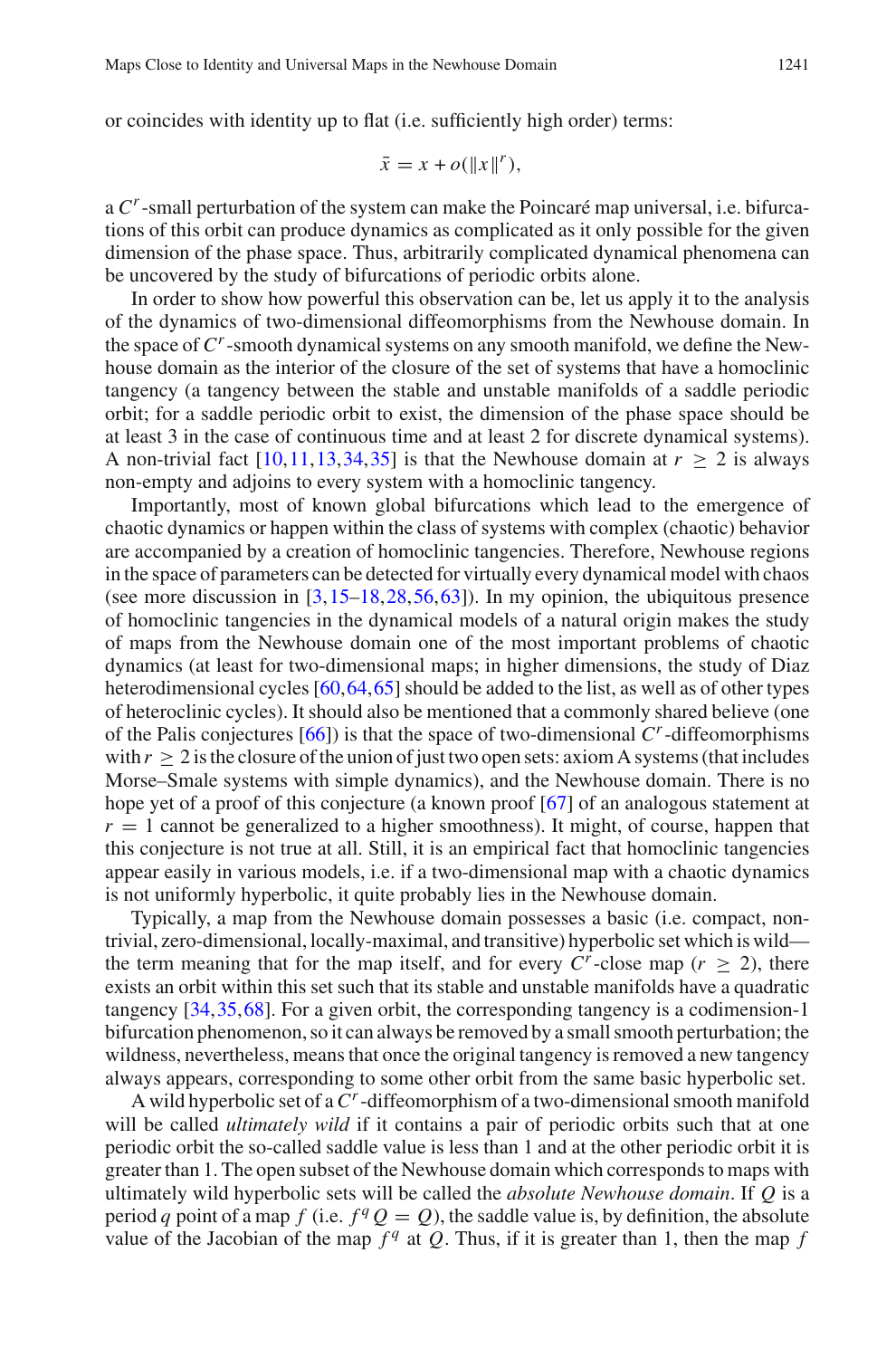or coincides with identity up to flat (i.e. sufficiently high order) terms:

$$
\bar{x} = x + o(||x||^r),
$$

a *Cr*-small perturbation of the system can make the Poincaré map universal, i.e. bifurcations of this orbit can produce dynamics as complicated as it only possible for the given dimension of the phase space. Thus, arbitrarily complicated dynamical phenomena can be uncovered by the study of bifurcations of periodic orbits alone.

In order to show how powerful this observation can be, let us apply it to the analysis of the dynamics of two-dimensional diffeomorphisms from the Newhouse domain. In the space of *Cr*-smooth dynamical systems on any smooth manifold, we define the Newhouse domain as the interior of the closure of the set of systems that have a homoclinic tangency (a tangency between the stable and unstable manifolds of a saddle periodic orbit; for a saddle periodic orbit to exist, the dimension of the phase space should be at least 3 in the case of continuous time and at least 2 for discrete dynamical systems). A non-trivial fact  $[10,11,13,34,35]$  $[10,11,13,34,35]$  $[10,11,13,34,35]$  $[10,11,13,34,35]$  $[10,11,13,34,35]$  $[10,11,13,34,35]$  is that the Newhouse domain at  $r > 2$  is always non-empty and adjoins to every system with a homoclinic tangency.

Importantly, most of known global bifurcations which lead to the emergence of chaotic dynamics or happen within the class of systems with complex (chaotic) behavior are accompanied by a creation of homoclinic tangencies. Therefore, Newhouse regions in the space of parameters can be detected for virtually every dynamical model with chaos (see more discussion in  $[3, 15-18, 28, 56, 63]$  $[3, 15-18, 28, 56, 63]$  $[3, 15-18, 28, 56, 63]$  $[3, 15-18, 28, 56, 63]$  $[3, 15-18, 28, 56, 63]$  $[3, 15-18, 28, 56, 63]$  $[3, 15-18, 28, 56, 63]$  $[3, 15-18, 28, 56, 63]$ ). In my opinion, the ubiquitous presence of homoclinic tangencies in the dynamical models of a natural origin makes the study of maps from the Newhouse domain one of the most important problems of chaotic dynamics (at least for two-dimensional maps; in higher dimensions, the study of Diaz heterodimensional cycles  $[60, 64, 65]$  $[60, 64, 65]$  should be added to the list, as well as of other types of heteroclinic cycles). It should also be mentioned that a commonly shared believe (one of the Palis conjectures  $[66]$ ) is that the space of two-dimensional  $C<sup>r</sup>$ -diffeomorphisms with  $r \geq 2$  is the closure of the union of just two open sets: axiom A systems (that includes Morse–Smale systems with simple dynamics), and the Newhouse domain. There is no hope yet of a proof of this conjecture (a known proof [\[67](#page-42-21)] of an analogous statement at  $r = 1$  cannot be generalized to a higher smoothness). It might, of course, happen that this conjecture is not true at all. Still, it is an empirical fact that homoclinic tangencies appear easily in various models, i.e. if a two-dimensional map with a chaotic dynamics is not uniformly hyperbolic, it quite probably lies in the Newhouse domain.

Typically, a map from the Newhouse domain possesses a basic (i.e. compact, nontrivial, zero-dimensional, locally-maximal, and transitive) hyperbolic set which is wild the term meaning that for the map itself, and for every  $C^r$ -close map ( $r \geq 2$ ), there exists an orbit within this set such that its stable and unstable manifolds have a quadratic tangency [\[34](#page-41-17)[,35](#page-41-7),[68\]](#page-42-22). For a given orbit, the corresponding tangency is a codimension-1 bifurcation phenomenon, so it can always be removed by a small smooth perturbation; the wildness, nevertheless, means that once the original tangency is removed a new tangency always appears, corresponding to some other orbit from the same basic hyperbolic set.

A wild hyperbolic set of a*Cr*-diffeomorphism of a two-dimensional smooth manifold will be called *ultimately wild* if it contains a pair of periodic orbits such that at one periodic orbit the so-called saddle value is less than 1 and at the other periodic orbit it is greater than 1. The open subset of the Newhouse domain which corresponds to maps with ultimately wild hyperbolic sets will be called the *absolute Newhouse domain*. If *Q* is a period *q* point of a map *f* (i.e.  $f^q Q = Q$ ), the saddle value is, by definition, the absolute value of the Jacobian of the map  $f<sup>q</sup>$  at *Q*. Thus, if it is greater than 1, then the map *f*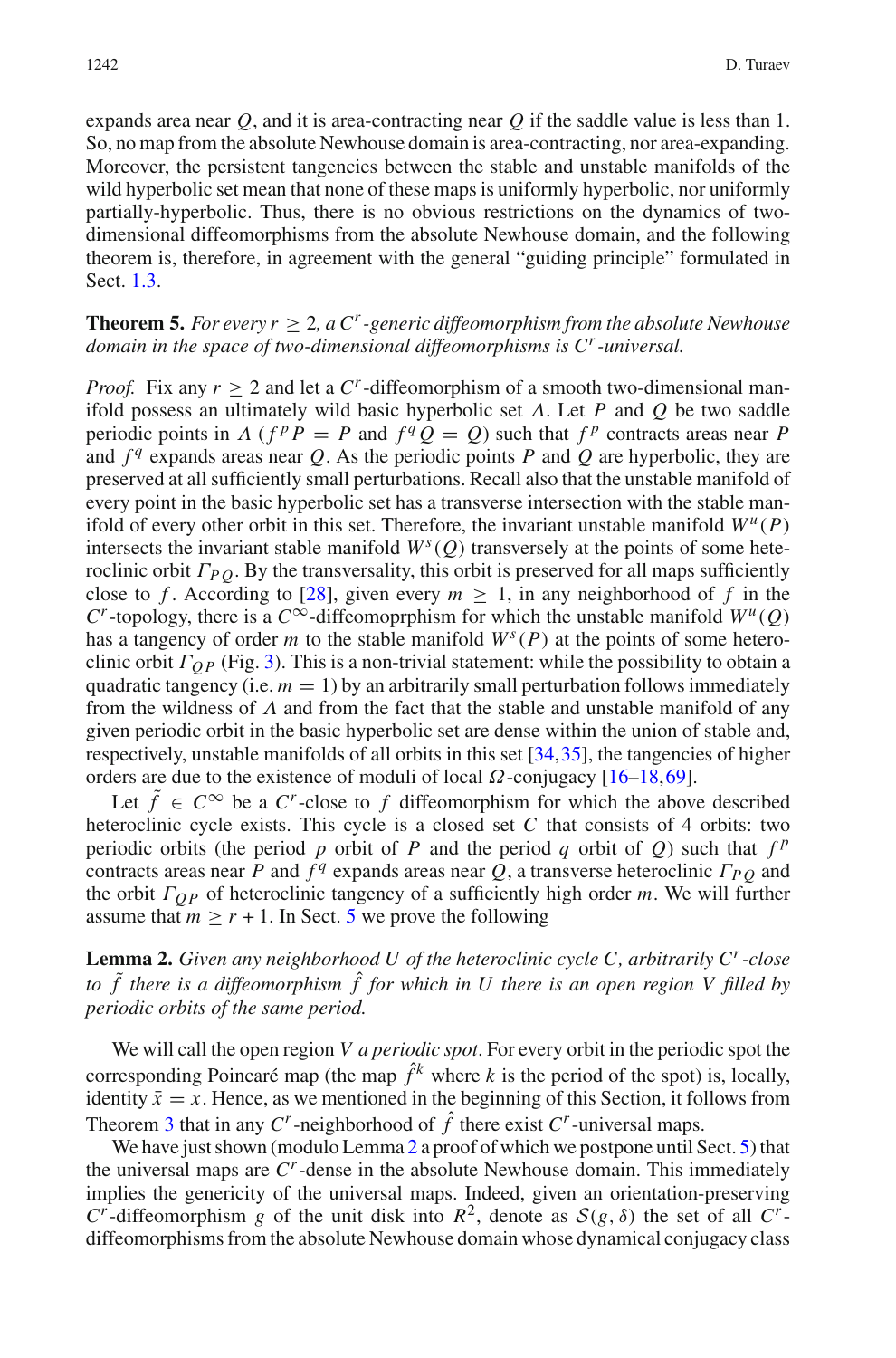expands area near *Q*, and it is area-contracting near *Q* if the saddle value is less than 1. So, no map from the absolute Newhouse domain is area-contracting, nor area-expanding. Moreover, the persistent tangencies between the stable and unstable manifolds of the wild hyperbolic set mean that none of these maps is uniformly hyperbolic, nor uniformly partially-hyperbolic. Thus, there is no obvious restrictions on the dynamics of twodimensional diffeomorphisms from the absolute Newhouse domain, and the following theorem is, therefore, in agreement with the general "guiding principle" formulated in Sect. [1.3.](#page-3-1)

# <span id="page-7-1"></span>**Theorem 5.** *For every r*  $> 2$ , *a*  $C<sup>r</sup>$ -generic diffeomorphism from the absolute Newhouse *domain in the space of two-dimensional diffeomorphisms is Cr-universal.*

*Proof.* Fix any  $r \geq 2$  and let a C<sup>*r*</sup>-diffeomorphism of a smooth two-dimensional manifold possess an ultimately wild basic hyperbolic set Λ. Let *P* and *Q* be two saddle periodic points in  $\Lambda$  ( $f^p P = P$  and  $f^q Q = Q$ ) such that  $f^p$  contracts areas near P and  $f<sup>q</sup>$  expands areas near *Q*. As the periodic points *P* and *Q* are hyperbolic, they are preserved at all sufficiently small perturbations. Recall also that the unstable manifold of every point in the basic hyperbolic set has a transverse intersection with the stable manifold of every other orbit in this set. Therefore, the invariant unstable manifold  $W^u(P)$ intersects the invariant stable manifold  $W<sup>s</sup>(Q)$  transversely at the points of some heteroclinic orbit  $\Gamma_{P,Q}$ . By the transversality, this orbit is preserved for all maps sufficiently close to *f*. According to [\[28](#page-41-3)], given every  $m \ge 1$ , in any neighborhood of *f* in the *C*<sup>*r*</sup>-topology, there is a *C*<sup>∞</sup>-diffeomoprphism for which the unstable manifold  $W^u(Q)$ has a tangency of order *m* to the stable manifold  $W<sup>s</sup>(P)$  at the points of some heteroclinic orbit Γ*Q P* (Fig. [3\)](#page-31-0). This is a non-trivial statement: while the possibility to obtain a quadratic tangency (i.e.  $m = 1$ ) by an arbitrarily small perturbation follows immediately from the wildness of  $\Lambda$  and from the fact that the stable and unstable manifold of any given periodic orbit in the basic hyperbolic set are dense within the union of stable and, respectively, unstable manifolds of all orbits in this set [\[34](#page-41-17)[,35](#page-41-7)], the tangencies of higher orders are due to the existence of moduli of local  $\Omega$ -conjugacy [\[16](#page-41-20)[–18](#page-41-19),[69\]](#page-42-23).

Let  $\tilde{f} \in C^{\infty}$  be a  $C^r$ -close to f diffeomorphism for which the above described heteroclinic cycle exists. This cycle is a closed set *C* that consists of 4 orbits: two periodic orbits (the period *p* orbit of *P* and the period *q* orbit of *Q*) such that  $f^p$ contracts areas near *P* and  $f<sup>q</sup>$  expands areas near *Q*, a transverse heteroclinic  $\Gamma_{PO}$  and the orbit Γ*Q P* of heteroclinic tangency of a sufficiently high order *m*. We will further assume that  $m \ge r + 1$ . In Sect. [5](#page-30-0) we prove the following

<span id="page-7-0"></span>**Lemma 2.** *Given any neighborhood U of the heteroclinic cycle C, arbitrarily Cr-close to* ˜*f there is a diffeomorphism* ˆ*f for which in U there is an open region V filled by periodic orbits of the same period.*

We will call the open region *V a periodic spot*. For every orbit in the periodic spot the corresponding Poincaré map (the map  $\hat{f}^k$  where *k* is the period of the spot) is, locally, identity  $\bar{x} = x$ . Hence, as we mentioned in the beginning of this Section, it follows from Theorem [3](#page-5-0) that in any  $C^r$ -neighborhood of  $\hat{f}$  there exist  $C^r$ -universal maps.

We have just shown (modulo Lemma [2](#page-7-0) a proof of which we postpone until Sect. [5\)](#page-30-0) that the universal maps are *Cr*-dense in the absolute Newhouse domain. This immediately implies the genericity of the universal maps. Indeed, given an orientation-preserving *C*<sup>*r*</sup>-diffeomorphism *g* of the unit disk into  $R^2$ , denote as  $S(g, \delta)$  the set of all *C<sup>r</sup>*diffeomorphisms from the absolute Newhouse domain whose dynamical conjugacy class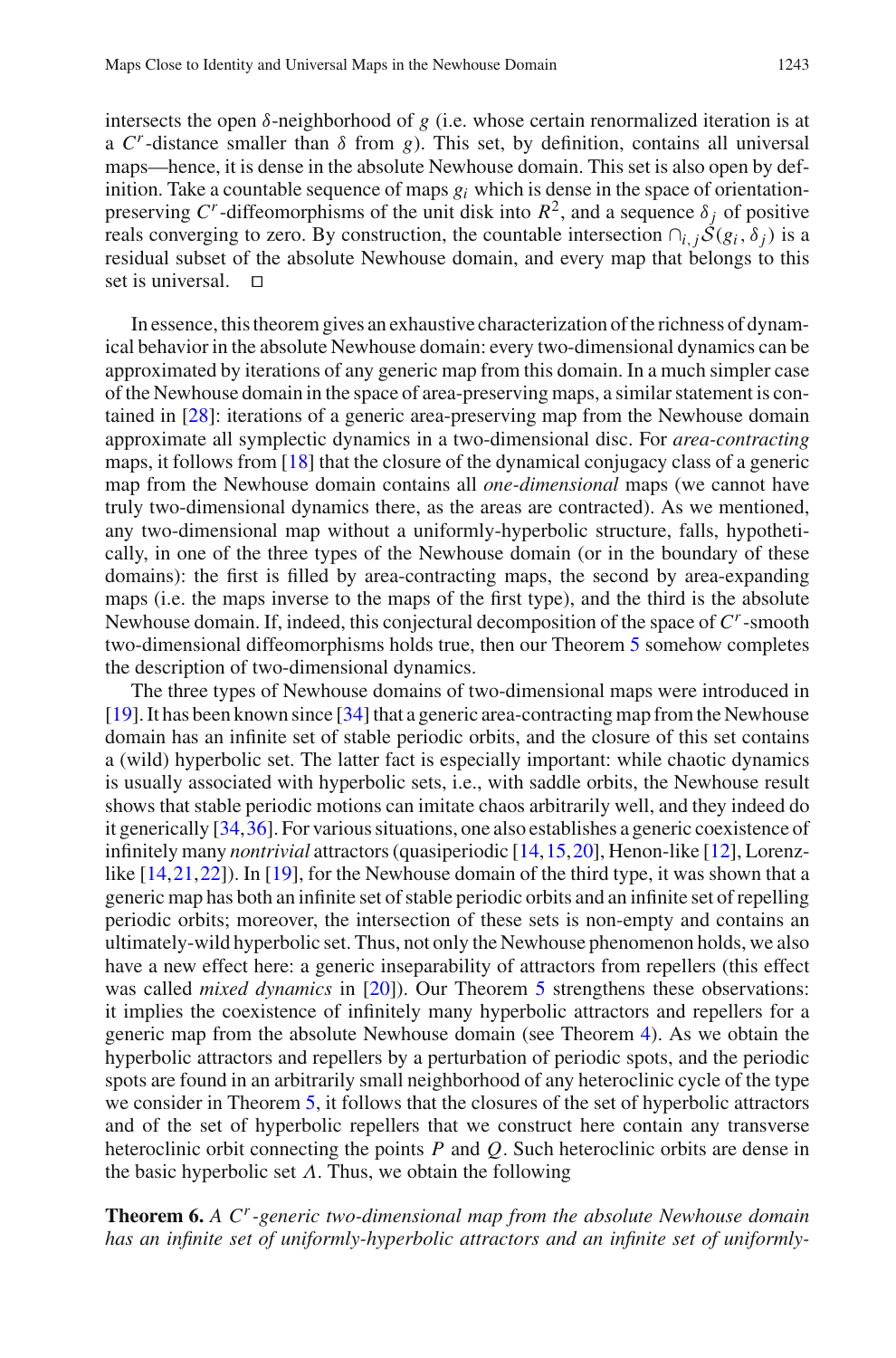intersects the open  $\delta$ -neighborhood of *g* (i.e. whose certain renormalized iteration is at a  $C<sup>r</sup>$ -distance smaller than  $\delta$  from *g*). This set, by definition, contains all universal maps—hence, it is dense in the absolute Newhouse domain. This set is also open by definition. Take a countable sequence of maps  $g_i$  which is dense in the space of orientationpreserving  $C^r$ -diffeomorphisms of the unit disk into  $R^2$ , and a sequence  $\delta_i$  of positive reals converging to zero. By construction, the countable intersection  $\cap_{i,j} S(g_i, \delta_j)$  is a residual subset of the absolute Newhouse domain, and every map that belongs to this set is universal.  $\Box$ 

In essence, this theorem gives an exhaustive characterization of the richness of dynamical behavior in the absolute Newhouse domain: every two-dimensional dynamics can be approximated by iterations of any generic map from this domain. In a much simpler case of the Newhouse domain in the space of area-preserving maps, a similar statement is contained in [\[28](#page-41-3)]: iterations of a generic area-preserving map from the Newhouse domain approximate all symplectic dynamics in a two-dimensional disc. For *area-contracting* maps, it follows from [\[18](#page-41-19)] that the closure of the dynamical conjugacy class of a generic map from the Newhouse domain contains all *one-dimensional* maps (we cannot have truly two-dimensional dynamics there, as the areas are contracted). As we mentioned, any two-dimensional map without a uniformly-hyperbolic structure, falls, hypothetically, in one of the three types of the Newhouse domain (or in the boundary of these domains): the first is filled by area-contracting maps, the second by area-expanding maps (i.e. the maps inverse to the maps of the first type), and the third is the absolute Newhouse domain. If, indeed, this conjectural decomposition of the space of *Cr*-smooth two-dimensional diffeomorphisms holds true, then our Theorem [5](#page-7-1) somehow completes the description of two-dimensional dynamics.

The three types of Newhouse domains of two-dimensional maps were introduced in [\[19\]](#page-41-21). It has been known since [\[34](#page-41-17)] that a generic area-contracting map from the Newhouse domain has an infinite set of stable periodic orbits, and the closure of this set contains a (wild) hyperbolic set. The latter fact is especially important: while chaotic dynamics is usually associated with hyperbolic sets, i.e., with saddle orbits, the Newhouse result shows that stable periodic motions can imitate chaos arbitrarily well, and they indeed do it generically [\[34,](#page-41-17)[36\]](#page-41-22). For various situations, one also establishes a generic coexistence of infinitely many *nontrivial* attractors (quasiperiodic [\[14,](#page-41-23)[15](#page-41-18)[,20](#page-41-24)], Henon-like [\[12](#page-41-25)], Lorenzlike [\[14](#page-41-23)[,21](#page-41-26)[,22](#page-41-1)]). In [\[19](#page-41-21)], for the Newhouse domain of the third type, it was shown that a generic map has both an infinite set of stable periodic orbits and an infinite set of repelling periodic orbits; moreover, the intersection of these sets is non-empty and contains an ultimately-wild hyperbolic set. Thus, not only the Newhouse phenomenon holds, we also have a new effect here: a generic inseparability of attractors from repellers (this effect was called *mixed dynamics* in [\[20](#page-41-24)]). Our Theorem [5](#page-7-1) strengthens these observations: it implies the coexistence of infinitely many hyperbolic attractors and repellers for a generic map from the absolute Newhouse domain (see Theorem [4\)](#page-5-1). As we obtain the hyperbolic attractors and repellers by a perturbation of periodic spots, and the periodic spots are found in an arbitrarily small neighborhood of any heteroclinic cycle of the type we consider in Theorem [5,](#page-7-1) it follows that the closures of the set of hyperbolic attractors and of the set of hyperbolic repellers that we construct here contain any transverse heteroclinic orbit connecting the points *P* and *Q*. Such heteroclinic orbits are dense in the basic hyperbolic set  $\Lambda$ . Thus, we obtain the following

**Theorem 6.** *A Cr-generic two-dimensional map from the absolute Newhouse domain has an infinite set of uniformly-hyperbolic attractors and an infinite set of uniformly-*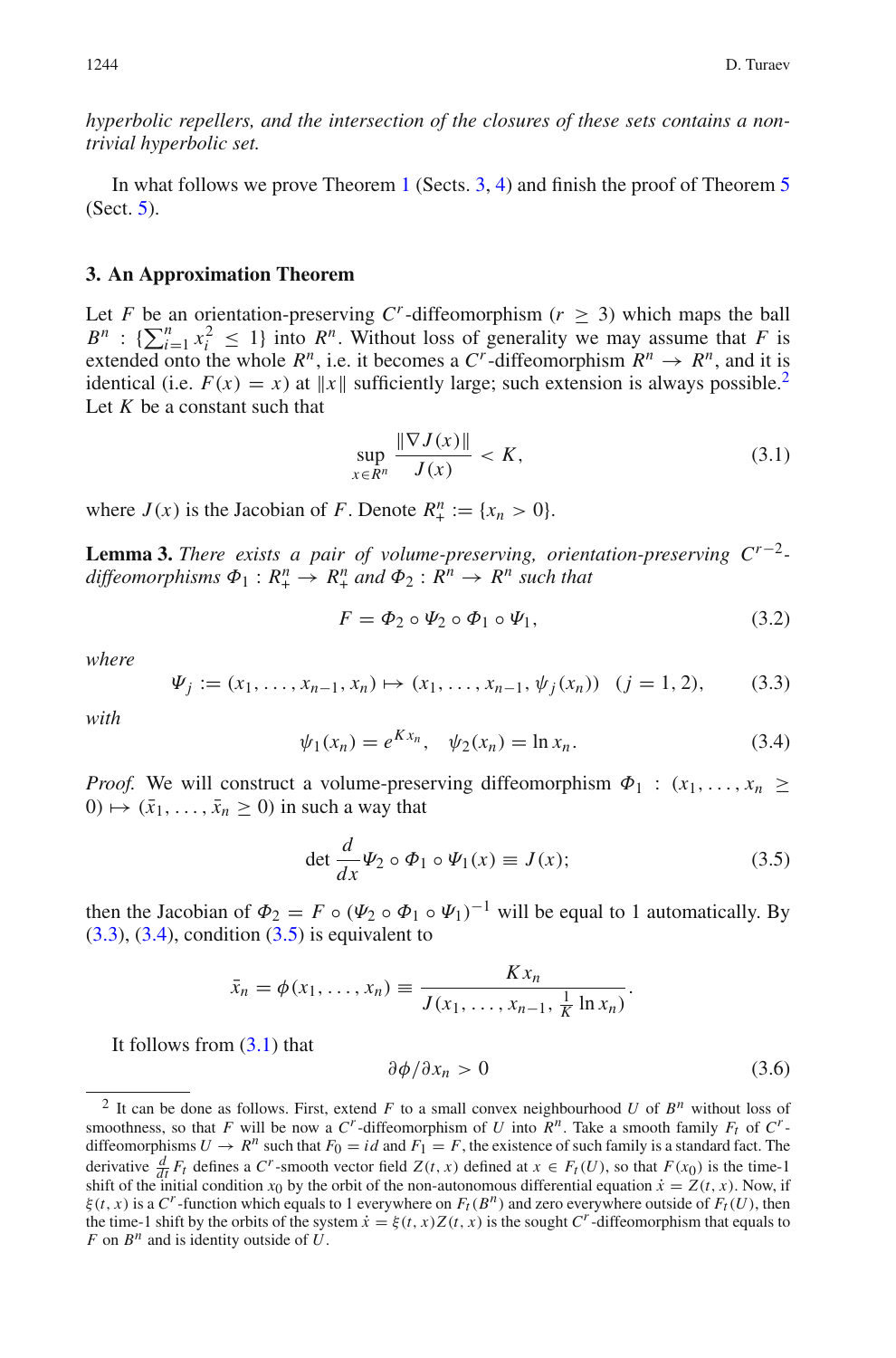*hyperbolic repellers, and the intersection of the closures of these sets contains a nontrivial hyperbolic set.*

In what follows we prove Theorem [1](#page-2-0) (Sects. [3,](#page-9-1) [4\)](#page-13-0) and finish the proof of Theorem [5](#page-7-1) (Sect. [5\)](#page-30-0).

#### <span id="page-9-1"></span>**3. An Approximation Theorem**

<span id="page-9-6"></span>Let *F* be an orientation-preserving  $C^r$ -diffeomorphism ( $r \geq 3$ ) which maps the ball  $B^n$  :  $\{\sum_{i=1}^n x_i^2 \leq 1\}$  into  $R^n$ . Without loss of generality we may assume that *F* is extended onto the whole  $R^n$ , i.e. it becomes a  $C^r$ -diffeomorphism  $R^n \rightarrow R^n$ , and it is identical (i.e.  $F(x) = x$ ) at  $||x||$  sufficiently large; such extension is always possible.<sup>2</sup> Let *K* be a constant such that

$$
\sup_{x \in R^n} \frac{\|\nabla J(x)\|}{J(x)} < K,\tag{3.1}
$$

<span id="page-9-0"></span>where  $J(x)$  is the Jacobian of *F*. Denote  $R_+^n := \{x_n > 0\}.$ 

**Lemma 3.** *There exists a pair of volume-preserving, orientation-preserving Cr*−2  $diffeomorphisms \Phi_1: R^n_+ \to R^n_+ \text{ and } \Phi_2: R^n \to R^n \text{ such that }$ 

<span id="page-9-7"></span>
$$
F = \Phi_2 \circ \Psi_2 \circ \Phi_1 \circ \Psi_1,\tag{3.2}
$$

<span id="page-9-3"></span>*where*

$$
\Psi_j := (x_1, \dots, x_{n-1}, x_n) \mapsto (x_1, \dots, x_{n-1}, \psi_j(x_n)) \quad (j = 1, 2), \tag{3.3}
$$

<span id="page-9-4"></span>*with*

$$
\psi_1(x_n) = e^{Kx_n}, \quad \psi_2(x_n) = \ln x_n.
$$
\n(3.4)

*Proof.* We will construct a volume-preserving diffeomorphism  $\Phi_1$  :  $(x_1, \ldots, x_n$  $0 \mapsto (\bar{x}_1, \ldots, \bar{x}_n \geq 0)$  in such a way that

<span id="page-9-5"></span>
$$
\det \frac{d}{dx} \Psi_2 \circ \Phi_1 \circ \Psi_1(x) \equiv J(x); \tag{3.5}
$$

then the Jacobian of  $\Phi_2 = F \circ (\Psi_2 \circ \Phi_1 \circ \Psi_1)^{-1}$  will be equal to 1 automatically. By  $(3.3)$ ,  $(3.4)$ , condition  $(3.5)$  is equivalent to

$$
\bar{x}_n = \phi(x_1, \ldots, x_n) \equiv \frac{Kx_n}{J(x_1, \ldots, x_{n-1}, \frac{1}{K} \ln x_n)}.
$$

It follows from  $(3.1)$  that

$$
\frac{\partial \phi}{\partial x_n} > 0 \tag{3.6}
$$

<span id="page-9-2"></span><sup>&</sup>lt;sup>2</sup> It can be done as follows. First, extend *F* to a small convex neighbourhood *U* of  $B^n$  without loss of smoothness, so that *F* will be now a  $C^r$ -diffeomorphism of *U* into  $R^n$ . Take a smooth family  $F_t$  of  $C^r$ diffeomorphisms  $U \rightarrow R^n$  such that  $F_0 = id$  and  $F_1 = F$ , the existence of such family is a standard fact. The derivative  $\frac{d}{dt}F_t$  defines a  $C^r$ -smooth vector field  $Z(t, x)$  defined at  $x \in F_t(U)$ , so that  $F(x_0)$  is the time-1<br>shift of the initial condition  $x_0$  by the orbit of the non-autonomous differential equation  $\dot{x} = Z(t$ ξ(*t*, *x*) is a *C<sup><i>r*</sup>-function which equals to 1 everywhere on  $F_t$ ( $B^n$ ) and zero everywhere outside of  $F_t$ (*U*), then the time-1 shift by the orbits of the system  $\dot{x} = \xi(t, x)Z(t, x)$  is the sought *C<sup>r</sup>*-diffeomorphism that equals to *F* on *B<sup>n</sup>* and is identity outside of *U*.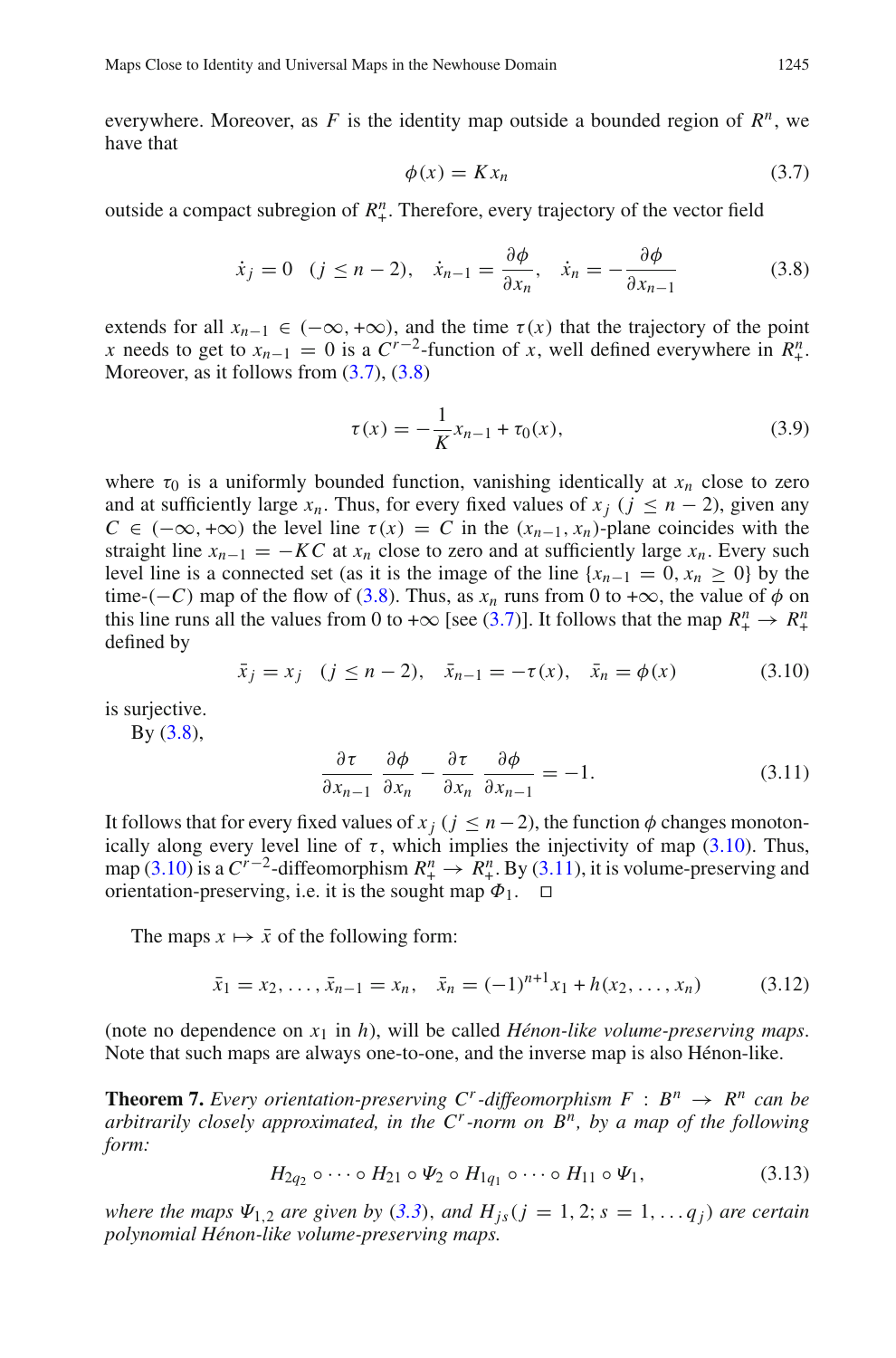<span id="page-10-1"></span>everywhere. Moreover, as F is the identity map outside a bounded region of  $R^n$ , we have that

<span id="page-10-2"></span>
$$
\phi(x) = Kx_n \tag{3.7}
$$

outside a compact subregion of  $R^n_+$ . Therefore, every trajectory of the vector field

$$
\dot{x}_j = 0 \quad (j \le n-2), \quad \dot{x}_{n-1} = \frac{\partial \phi}{\partial x_n}, \quad \dot{x}_n = -\frac{\partial \phi}{\partial x_{n-1}} \tag{3.8}
$$

extends for all  $x_{n-1} \in (-\infty, +\infty)$ , and the time  $\tau(x)$  that the trajectory of the point *x* needs to get to  $x_{n-1} = 0$  is a  $C^{r-2}$ -function of *x*, well defined everywhere in  $R_+^n$ . Moreover, as it follows from  $(3.7)$ ,  $(3.8)$ 

<span id="page-10-5"></span>
$$
\tau(x) = -\frac{1}{K}x_{n-1} + \tau_0(x),\tag{3.9}
$$

where  $\tau_0$  is a uniformly bounded function, vanishing identically at  $x_n$  close to zero and at sufficiently large  $x_n$ . Thus, for every fixed values of  $x_j$  ( $j \leq n-2$ ), given any  $C \in (-\infty, +\infty)$  the level line  $\tau(x) = C$  in the  $(x_{n-1}, x_n)$ -plane coincides with the straight line  $x_{n-1} = -KC$  at  $x_n$  close to zero and at sufficiently large  $x_n$ . Every such level line is a connected set (as it is the image of the line  $\{x_{n-1} = 0, x_n \ge 0\}$  by the time-( $-C$ ) map of the flow of [\(3.8\)](#page-10-2). Thus, as  $x_n$  runs from 0 to + $\infty$ , the value of  $\phi$  on this line runs all the values from 0 to + $\infty$  [see [\(3.7\)](#page-10-1)]. It follows that the map  $R_+^n \to R_+^n$ defined by

$$
\bar{x}_j = x_j \quad (j \le n-2), \quad \bar{x}_{n-1} = -\tau(x), \quad \bar{x}_n = \phi(x)
$$
\n(3.10)

<span id="page-10-4"></span><span id="page-10-3"></span>is surjective.

 $By (3.8),$  $By (3.8),$  $By (3.8),$ 

$$
\frac{\partial \tau}{\partial x_{n-1}} \frac{\partial \phi}{\partial x_n} - \frac{\partial \tau}{\partial x_n} \frac{\partial \phi}{\partial x_{n-1}} = -1.
$$
 (3.11)

It follows that for every fixed values of  $x_j$  ( $j \leq n-2$ ), the function  $\phi$  changes monotonically along every level line of  $\tau$ , which implies the injectivity of map [\(3.10\)](#page-10-3). Thus, map [\(3.10\)](#page-10-3) is a  $C^{r-2}$ -diffeomorphism  $R_+^n \to \hat{R}_+^n$ . By [\(3.11\)](#page-10-4), it is volume-preserving and orientation-preserving, i.e. it is the sought map  $\Phi_1$ .  $\Box$ 

The maps  $x \mapsto \bar{x}$  of the following form:

$$
\bar{x}_1 = x_2, \dots, \bar{x}_{n-1} = x_n, \quad \bar{x}_n = (-1)^{n+1} x_1 + h(x_2, \dots, x_n) \tag{3.12}
$$

<span id="page-10-0"></span>(note no dependence on *x*<sup>1</sup> in *h*), will be called *Hénon-like volume-preserving maps*. Note that such maps are always one-to-one, and the inverse map is also Hénon-like.

**Theorem 7.** *Every orientation-preserving C<sup><i>r*</sup>-diffeomorphism  $F : B^n \to R^n$  *can be arbitrarily closely approximated, in the*  $C^r$ *-norm on*  $B^n$ *, by a map of the following form:*

$$
H_{2q_2} \circ \cdots \circ H_{21} \circ \Psi_2 \circ H_{1q_1} \circ \cdots \circ H_{11} \circ \Psi_1, \tag{3.13}
$$

*where the maps*  $\Psi_{1,2}$  *are given by* ([3.3](#page-9-3)), *and*  $H_{is}(j = 1, 2; s = 1, \ldots, q_j)$  *are certain polynomial Hénon-like volume-preserving maps.*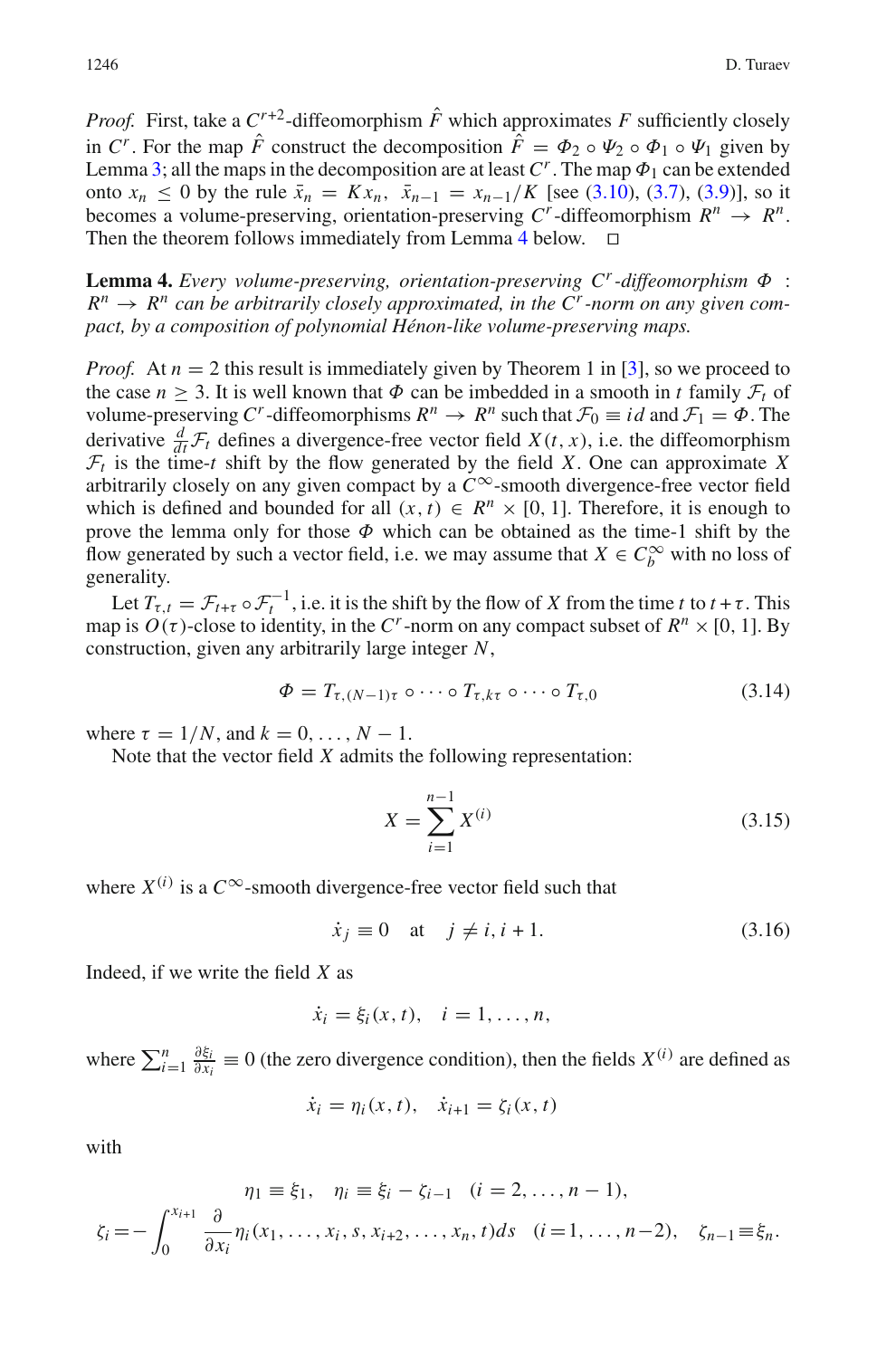*Proof.* First, take a  $C^{r+2}$ -diffeomorphism  $\hat{F}$  which approximates  $F$  sufficiently closely in *C<sup>r</sup>*. For the map  $\hat{F}$  construct the decomposition  $\hat{F} = \Phi_2 \circ \Psi_2 \circ \Phi_1 \circ \Psi_1$  given by Lemma [3;](#page-9-0) all the maps in the decomposition are at least  $C<sup>r</sup>$ . The map  $\Phi_1$  can be extended onto  $x_n \le 0$  by the rule  $\bar{x}_n = Kx_n$ ,  $\bar{x}_{n-1} = x_{n-1}/K$  [see [\(3.10\)](#page-10-3), [\(3.7\)](#page-10-1), [\(3.9\)](#page-10-5)], so it becomes a volume-preserving, orientation-preserving  $C^r$ -diffeomorphism  $R^n \rightarrow R^n$ . Then the theorem follows immediately from Lemma [4](#page-11-0) below.  $\Box$ 

<span id="page-11-0"></span>**Lemma 4.** *Every volume-preserving, orientation-preserving Cr-diffeomorphism* Φ :  $R^n \rightarrow R^n$  can be arbitrarily closely approximated, in the C<sup>*r*</sup>-norm on any given com*pact, by a composition of polynomial Hénon-like volume-preserving maps.*

*Proof.* At  $n = 2$  this result is immediately given by Theorem 1 in [\[3\]](#page-40-2), so we proceed to the case  $n \geq 3$ . It is well known that  $\Phi$  can be imbedded in a smooth in *t* family  $\mathcal{F}_t$  of volume-preserving *C<sup>r</sup>*-diffeomorphisms  $R^n \to R^n$  such that  $\mathcal{F}_0 \equiv id$  and  $\mathcal{F}_1 = \Phi$ . The derivative  $\frac{d}{dt} \mathcal{F}_t$  defines a divergence-free vector field *X*(*t*, *x*), i.e. the diffeomorphism  $\mathcal{F}_t$  is the time-*t* shift by the flow generated by the field *X*. One can approximate *X* arbitrarily closely on any given compact by a  $C^{\infty}$ -smooth divergence-free vector field which is defined and bounded for all  $(x, t) \in R^n \times [0, 1]$ . Therefore, it is enough to prove the lemma only for those  $\Phi$  which can be obtained as the time-1 shift by the flow generated by such a vector field, i.e. we may assume that  $X \in C_b^{\infty}$  with no loss of generality.

Let  $T_{\tau,t} = \mathcal{F}_{t+\tau} \circ \mathcal{F}_t^{-1}$ , i.e. it is the shift by the flow of *X* from the time *t* to  $t + \tau$ . This map is  $O(\tau)$ -close to identity, in the *C*<sup>*r*</sup>-norm on any compact subset of  $R^n \times [0, 1]$ . By construction, given any arbitrarily large integer *N*,

<span id="page-11-2"></span>
$$
\Phi = T_{\tau, (N-1)\tau} \circ \cdots \circ T_{\tau, k\tau} \circ \cdots \circ T_{\tau, 0}
$$
\n(3.14)

where  $\tau = 1/N$ , and  $k = 0, \ldots, N - 1$ .

Note that the vector field *X* admits the following representation:

<span id="page-11-3"></span><span id="page-11-1"></span>
$$
X = \sum_{i=1}^{n-1} X^{(i)} \tag{3.15}
$$

where  $X^{(i)}$  is a  $C^{\infty}$ -smooth divergence-free vector field such that

$$
\dot{x}_j \equiv 0 \quad \text{at} \quad j \neq i, i+1. \tag{3.16}
$$

Indeed, if we write the field *X* as

$$
\dot{x}_i = \xi_i(x, t), \quad i = 1, \ldots, n,
$$

where  $\sum_{i=1}^{n} \frac{\partial \xi_i}{\partial x_i} \equiv 0$  (the zero divergence condition), then the fields  $X^{(i)}$  are defined as

$$
\dot{x}_i = \eta_i(x, t), \quad \dot{x}_{i+1} = \zeta_i(x, t)
$$

with

$$
\eta_1 \equiv \xi_1, \quad \eta_i \equiv \xi_i - \zeta_{i-1} \quad (i = 2, \dots, n-1),
$$
  

$$
\zeta_i = -\int_0^{x_{i+1}} \frac{\partial}{\partial x_i} \eta_i(x_1, \dots, x_i, s, x_{i+2}, \dots, x_n, t) ds \quad (i = 1, \dots, n-2), \quad \zeta_{n-1} = \xi_n.
$$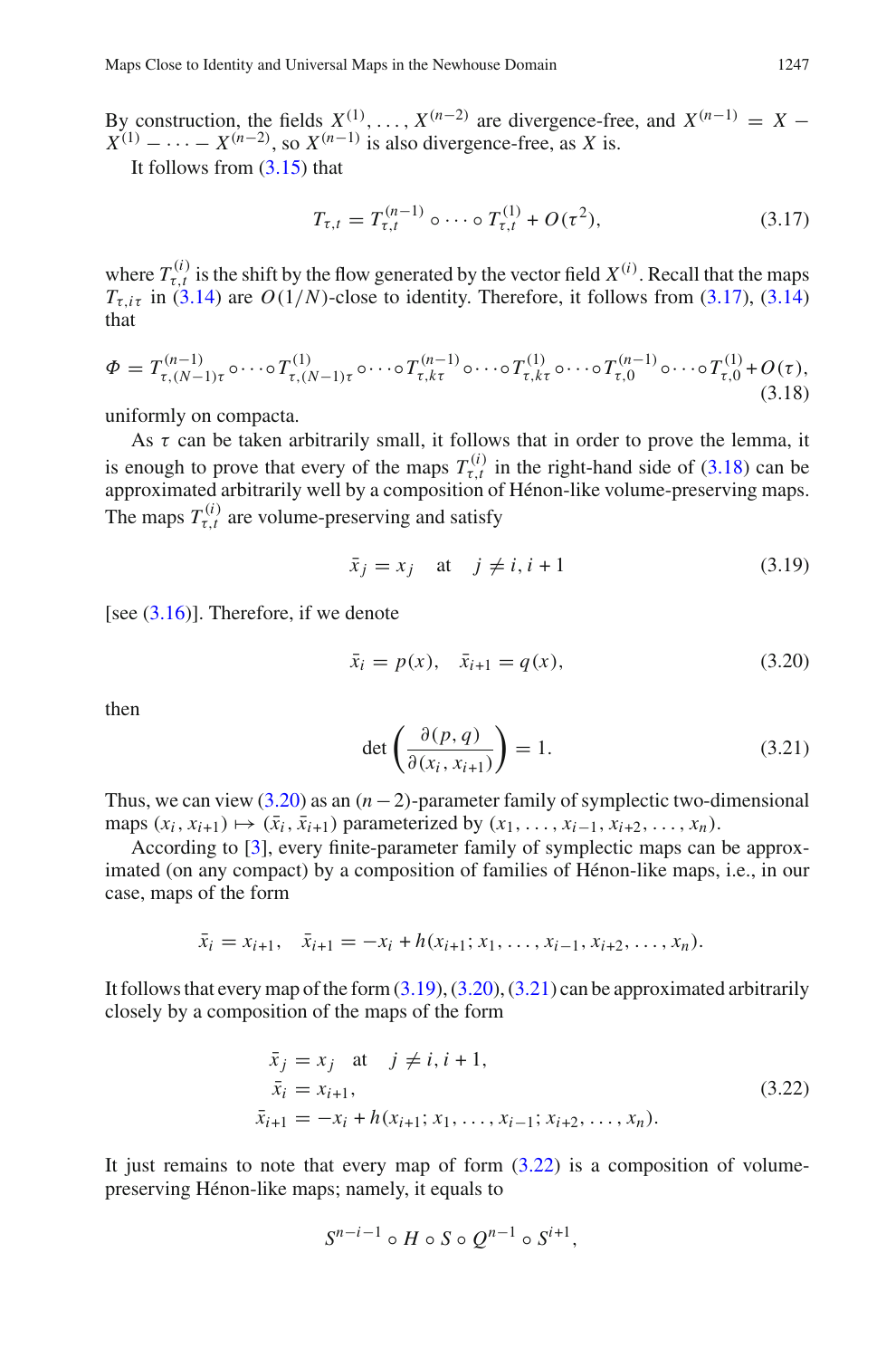By construction, the fields  $X^{(1)}, \ldots, X^{(n-2)}$  are divergence-free, and  $X^{(n-1)} = X X^{(1)} - \cdots - X^{(n-2)}$ , so  $X^{(n-1)}$  is also divergence-free, as *X* is.

<span id="page-12-0"></span>It follows from [\(3.15\)](#page-11-1) that

$$
T_{\tau,t} = T_{\tau,t}^{(n-1)} \circ \cdots \circ T_{\tau,t}^{(1)} + O(\tau^2), \tag{3.17}
$$

where  $T_{\tau,t}^{(i)}$  is the shift by the flow generated by the vector field  $X^{(i)}$ . Recall that the maps  $T_{\tau,i\tau}$  in [\(3.14\)](#page-11-2) are  $O(1/N)$ -close to identity. Therefore, it follows from [\(3.17\)](#page-12-0), (3.14) that

<span id="page-12-1"></span>
$$
\Phi = T_{\tau,(N-1)\tau}^{(n-1)} \circ \cdots \circ T_{\tau,(N-1)\tau}^{(1)} \circ \cdots \circ T_{\tau,k\tau}^{(n-1)} \circ \cdots \circ T_{\tau,k\tau}^{(1)} \circ \cdots \circ T_{\tau,0}^{(n-1)} \circ \cdots \circ T_{\tau,0}^{(1)} + O(\tau),
$$
\n(3.18)

uniformly on compacta.

As  $\tau$  can be taken arbitrarily small, it follows that in order to prove the lemma, it is enough to prove that every of the maps  $T_{\tau,t}^{(i)}$  in the right-hand side of [\(3.18\)](#page-12-1) can be approximated arbitrarily well by a composition of Hénon-like volume-preserving maps. The maps  $T_{\tau,t}^{(i)}$  are volume-preserving and satisfy

<span id="page-12-3"></span>
$$
\bar{x}_j = x_j \quad \text{at} \quad j \neq i, i+1 \tag{3.19}
$$

[see  $(3.16)$ ]. Therefore, if we denote

<span id="page-12-2"></span>
$$
\bar{x}_i = p(x), \quad \bar{x}_{i+1} = q(x), \tag{3.20}
$$

<span id="page-12-4"></span>then

$$
\det\left(\frac{\partial(p,q)}{\partial(x_i, x_{i+1})}\right) = 1.
$$
\n(3.21)

Thus, we can view  $(3.20)$  as an  $(n-2)$ -parameter family of symplectic two-dimensional maps  $(x_i, x_{i+1}) \mapsto (\bar{x}_i, \bar{x}_{i+1})$  parameterized by  $(x_1, \ldots, x_{i-1}, x_{i+2}, \ldots, x_n)$ .

According to [\[3](#page-40-2)], every finite-parameter family of symplectic maps can be approximated (on any compact) by a composition of families of Hénon-like maps, i.e., in our case, maps of the form

$$
\bar{x}_i = x_{i+1}, \quad \bar{x}_{i+1} = -x_i + h(x_{i+1}; x_1, \dots, x_{i-1}, x_{i+2}, \dots, x_n).
$$

<span id="page-12-5"></span>It follows that every map of the form  $(3.19)$ ,  $(3.20)$ ,  $(3.21)$  can be approximated arbitrarily closely by a composition of the maps of the form

$$
\begin{aligned}\n\bar{x}_j &= x_j \quad \text{at} \quad j \neq i, \, i+1, \\
\bar{x}_i &= x_{i+1}, \\
\bar{x}_{i+1} &= -x_i + h(x_{i+1}; x_1, \dots, x_{i-1}; x_{i+2}, \dots, x_n).\n\end{aligned} \tag{3.22}
$$

It just remains to note that every map of form  $(3.22)$  is a composition of volumepreserving Hénon-like maps; namely, it equals to

$$
S^{n-i-1} \circ H \circ S \circ Q^{n-1} \circ S^{i+1},
$$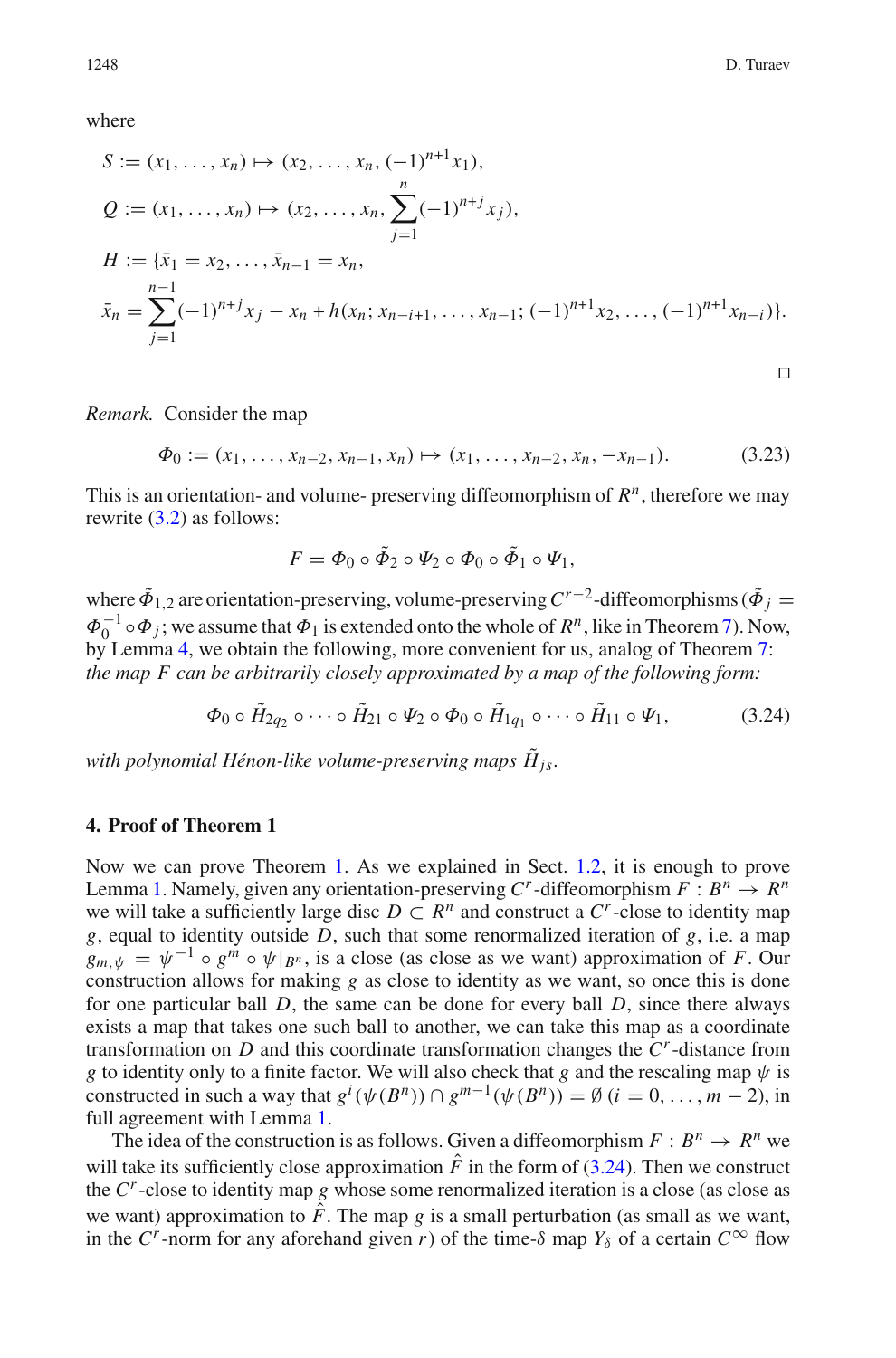where

$$
S := (x_1, ..., x_n) \mapsto (x_2, ..., x_n, (-1)^{n+1}x_1),
$$
  
\n
$$
Q := (x_1, ..., x_n) \mapsto (x_2, ..., x_n, \sum_{j=1}^n (-1)^{n+j}x_j),
$$
  
\n
$$
H := \{\bar{x}_1 = x_2, ..., \bar{x}_{n-1} = x_n,
$$
  
\n
$$
\bar{x}_n = \sum_{j=1}^{n-1} (-1)^{n+j}x_j - x_n + h(x_n; x_{n-i+1}, ..., x_{n-1}; (-1)^{n+1}x_2, ..., (-1)^{n+1}x_{n-i})\}.
$$

*Remark.* Consider the map

<span id="page-13-2"></span> $\Phi_0 := (x_1, \ldots, x_{n-2}, x_{n-1}, x_n) \mapsto (x_1, \ldots, x_{n-2}, x_n, -x_{n-1}).$  (3.23)

This is an orientation- and volume- preserving diffeomorphism of *Rn*, therefore we may rewrite [\(3.2\)](#page-9-7) as follows:

<span id="page-13-1"></span>
$$
F = \Phi_0 \circ \tilde{\Phi}_2 \circ \Psi_2 \circ \Phi_0 \circ \tilde{\Phi}_1 \circ \Psi_1,
$$

where  $\tilde{\Phi}_{1,2}$  are orientation-preserving, volume-preserving  $C^{r-2}$ -diffeomorphisms ( $\tilde{\Phi}_j =$  $\Phi_0^{-1} \circ \Phi_j$ ; we assume that  $\Phi_1$  is extended onto the whole of  $R^n$ , like in Theorem [7\)](#page-10-0). Now, by Lemma [4,](#page-11-0) we obtain the following, more convenient for us, analog of Theorem [7:](#page-10-0) *the map F can be arbitrarily closely approximated by a map of the following form:*

$$
\Phi_0 \circ \tilde{H}_{2q_2} \circ \cdots \circ \tilde{H}_{21} \circ \Psi_2 \circ \Phi_0 \circ \tilde{H}_{1q_1} \circ \cdots \circ \tilde{H}_{11} \circ \Psi_1, \tag{3.24}
$$

*with polynomial Hénon-like volume-preserving maps*  $\tilde{H}$ <sub>*is*</sub>.

## <span id="page-13-0"></span>**4. Proof of Theorem 1**

Now we can prove Theorem [1.](#page-2-0) As we explained in Sect. [1.2,](#page-2-2) it is enough to prove Lemma [1.](#page-2-1) Namely, given any orientation-preserving  $C^r$ -diffeomorphism  $F : B^n \to R^n$ we will take a sufficiently large disc  $D \subset R^n$  and construct a  $C^r$ -close to identity map *g*, equal to identity outside *D*, such that some renormalized iteration of *g*, i.e. a map  $g_{m,\psi} = \psi^{-1} \circ g^m \circ \psi |_{B^n}$ , is a close (as close as we want) approximation of *F*. Our construction allows for making *g* as close to identity as we want, so once this is done for one particular ball *D*, the same can be done for every ball *D*, since there always exists a map that takes one such ball to another, we can take this map as a coordinate transformation on *D* and this coordinate transformation changes the *Cr*-distance from *g* to identity only to a finite factor. We will also check that *g* and the rescaling map  $\psi$  is constructed in such a way that  $g^i(\psi(B^n)) \cap g^{m-1}(\psi(B^n)) = \emptyset$   $(i = 0, \ldots, m-2)$ , in full agreement with Lemma [1.](#page-2-1)

The idea of the construction is as follows. Given a diffeomorphism  $F: B^n \to R^n$  we will take its sufficiently close approximation  $\hat{F}$  in the form of [\(3.24\)](#page-13-1). Then we construct the *Cr*-close to identity map *g* whose some renormalized iteration is a close (as close as we want) approximation to  $\hat{F}$ . The map *g* is a small perturbation (as small as we want, in the *C<sup>r</sup>*-norm for any aforehand given *r*) of the time- $\delta$  map  $Y_{\delta}$  of a certain  $C^{\infty}$  flow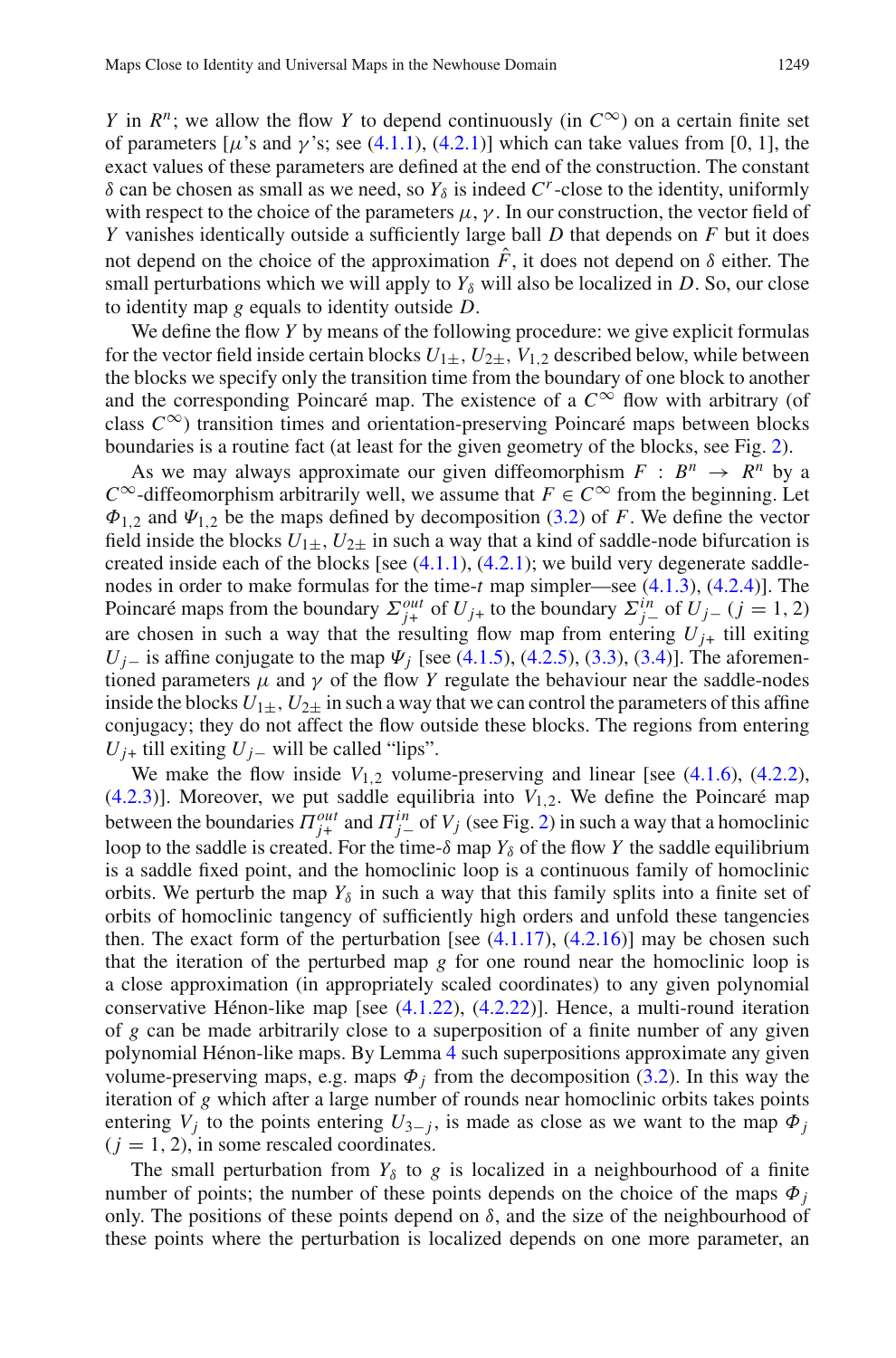*Y* in  $R^n$ ; we allow the flow *Y* to depend continuously (in  $C^{\infty}$ ) on a certain finite set of parameters  $[\mu$ 's and  $\gamma$ 's; see [\(4.1.1\)](#page-16-0), [\(4.2.1\)](#page-23-0)] which can take values from [0, 1], the exact values of these parameters are defined at the end of the construction. The constant δ can be chosen as small as we need, so  $Y_δ$  is indeed  $C^r$ -close to the identity, uniformly with respect to the choice of the parameters  $\mu$ ,  $\gamma$ . In our construction, the vector field of *Y* vanishes identically outside a sufficiently large ball *D* that depends on *F* but it does not depend on the choice of the approximation  $\hat{F}$ , it does not depend on  $\delta$  either. The small perturbations which we will apply to  $Y_\delta$  will also be localized in *D*. So, our close to identity map *g* equals to identity outside *D*.

We define the flow *Y* by means of the following procedure: we give explicit formulas for the vector field inside certain blocks  $U_{1\pm}$ ,  $U_{2\pm}$ ,  $V_{1,2}$  described below, while between the blocks we specify only the transition time from the boundary of one block to another and the corresponding Poincaré map. The existence of a  $C^{\infty}$  flow with arbitrary (of class  $C^{\infty}$ ) transition times and orientation-preserving Poincaré maps between blocks boundaries is a routine fact (at least for the given geometry of the blocks, see Fig. [2\)](#page-15-0).

As we may always approximate our given diffeomorphism  $F : B^n \to R^n$  by a *C*<sup>∞</sup>-diffeomorphism arbitrarily well, we assume that  $F \in C^\infty$  from the beginning. Let  $\Phi_{1,2}$  and  $\Psi_{1,2}$  be the maps defined by decomposition [\(3.2\)](#page-9-7) of *F*. We define the vector field inside the blocks  $U_{1+}$ ,  $U_{2+}$  in such a way that a kind of saddle-node bifurcation is created inside each of the blocks [see  $(4.1.1)$ ,  $(4.2.1)$ ; we build very degenerate saddlenodes in order to make formulas for the time-*t* map simpler—see [\(4.1.3\)](#page-16-1), [\(4.2.4\)](#page-23-1)]. The Poincaré maps from the boundary  $\Sigma_{j+}^{out}$  of  $U_{j+}$  to the boundary  $\Sigma_{j-}^{in}$  of  $U_{j-}$  (*j* = 1, 2) are chosen in such a way that the resulting flow map from entering  $U_{i+}$  till exiting *U<sub>j−</sub>* is affine conjugate to the map  $\Psi$ <sub>*j*</sub> [see [\(4.1.5\)](#page-17-0), [\(4.2.5\)](#page-24-0), [\(3.3\)](#page-9-3), [\(3.4\)](#page-9-4)]. The aforementioned parameters  $\mu$  and  $\gamma$  of the flow *Y* regulate the behaviour near the saddle-nodes inside the blocks  $U_{1+}$ ,  $U_{2+}$  in such a way that we can control the parameters of this affine conjugacy; they do not affect the flow outside these blocks. The regions from entering  $U_{i+}$  till exiting  $U_{i-}$  will be called "lips".

We make the flow inside  $V_{1,2}$  volume-preserving and linear [see  $(4.1.6)$ ,  $(4.2.2)$ ,  $(4.2.3)$ ]. Moreover, we put saddle equilibria into  $V_{1,2}$ . We define the Poincaré map between the boundaries  $\Pi_{j+}^{out}$  and  $\Pi_{j-}^{in}$  of  $V_j$  (see Fig. [2\)](#page-15-0) in such a way that a homoclinic loop to the saddle is created. For the time- $\delta$  map  $Y_{\delta}$  of the flow *Y* the saddle equilibrium is a saddle fixed point, and the homoclinic loop is a continuous family of homoclinic orbits. We perturb the map  $Y_{\delta}$  in such a way that this family splits into a finite set of orbits of homoclinic tangency of sufficiently high orders and unfold these tangencies then. The exact form of the perturbation [see  $(4.1.17)$ ,  $(4.2.16)$ ] may be chosen such that the iteration of the perturbed map  $g$  for one round near the homoclinic loop is a close approximation (in appropriately scaled coordinates) to any given polynomial conservative Hénon-like map [see [\(4.1.22\)](#page-20-0), [\(4.2.22\)](#page-27-0)]. Hence, a multi-round iteration of *g* can be made arbitrarily close to a superposition of a finite number of any given polynomial Hénon-like maps. By Lemma [4](#page-11-0) such superpositions approximate any given volume-preserving maps, e.g. maps  $\Phi_j$  from the decomposition [\(3.2\)](#page-9-7). In this way the iteration of *g* which after a large number of rounds near homoclinic orbits takes points entering  $V_j$  to the points entering  $U_{3-j}$ , is made as close as we want to the map  $\Phi_j$  $(j = 1, 2)$ , in some rescaled coordinates.

The small perturbation from  $Y_{\delta}$  to *g* is localized in a neighbourhood of a finite number of points; the number of these points depends on the choice of the maps  $\Phi_i$ only. The positions of these points depend on  $\delta$ , and the size of the neighbourhood of these points where the perturbation is localized depends on one more parameter, an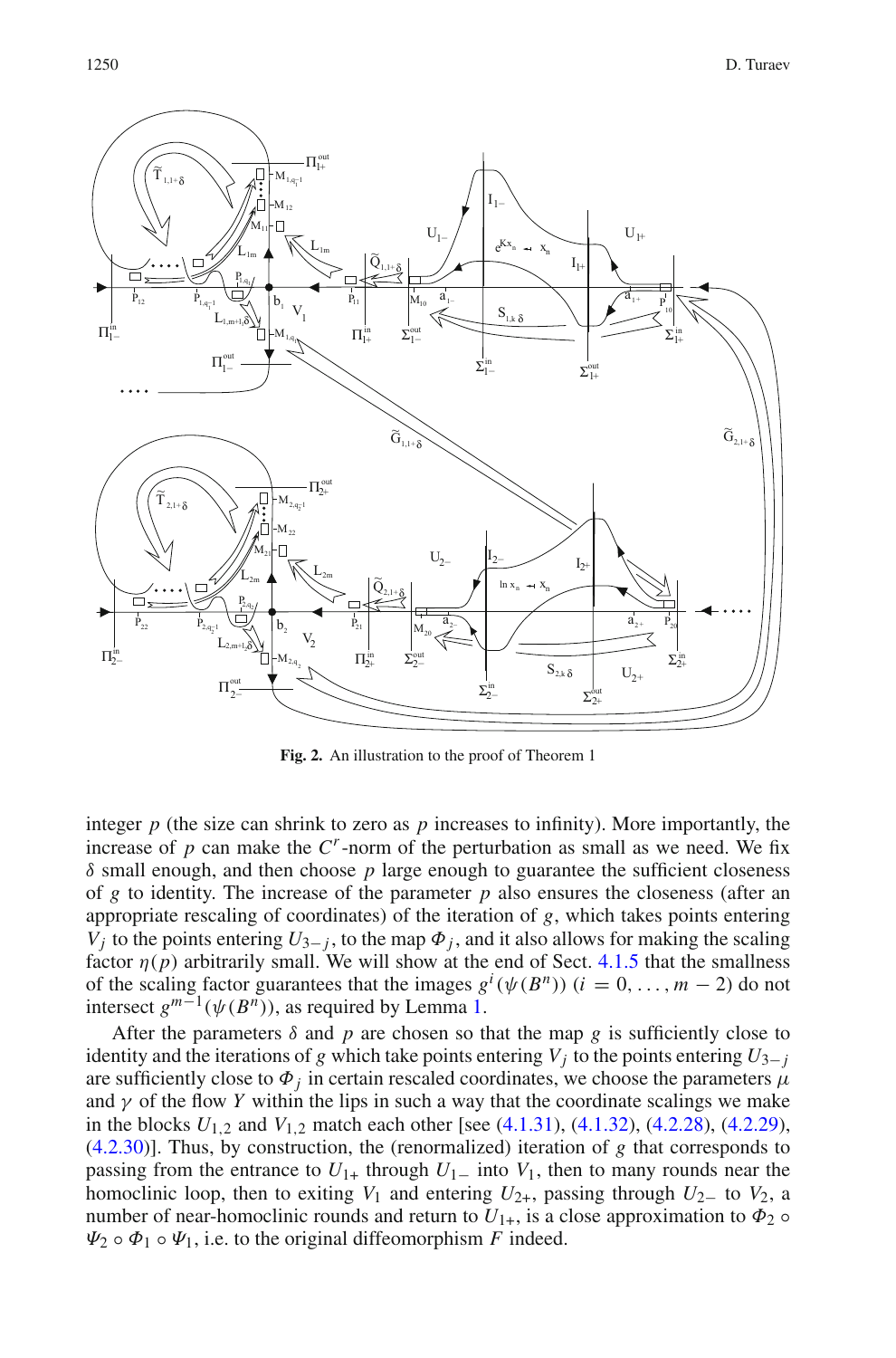

<span id="page-15-0"></span>**Fig. 2.** An illustration to the proof of Theorem 1

integer  $p$  (the size can shrink to zero as  $p$  increases to infinity). More importantly, the increase of  $p$  can make the  $C<sup>r</sup>$ -norm of the perturbation as small as we need. We fix  $\delta$  small enough, and then choose  $p$  large enough to guarantee the sufficient closeness of *g* to identity. The increase of the parameter *p* also ensures the closeness (after an appropriate rescaling of coordinates) of the iteration of *g*, which takes points entering *V<sub>j</sub>* to the points entering  $U_{3-i}$ , to the map  $\Phi_j$ , and it also allows for making the scaling factor  $\eta(p)$  arbitrarily small. We will show at the end of Sect. [4.1.5](#page-22-0) that the smallness of the scaling factor guarantees that the images  $g^i(\psi(B^n))$   $(i = 0, ..., m - 2)$  do not intersect  $g^{m-1}(\psi(B^n))$ , as required by Lemma [1.](#page-2-1)

After the parameters  $\delta$  and p are chosen so that the map g is sufficiently close to identity and the iterations of *g* which take points entering  $V_i$  to the points entering  $U_{3-i}$ are sufficiently close to  $\Phi_i$  in certain rescaled coordinates, we choose the parameters  $\mu$ and  $\gamma$  of the flow *Y* within the lips in such a way that the coordinate scalings we make in the blocks  $U_{1,2}$  and  $V_{1,2}$  match each other [see [\(4.1.31\)](#page-22-1), [\(4.1.32\)](#page-22-2), [\(4.2.28\)](#page-29-0), [\(4.2.29\)](#page-29-1), [\(4.2.30\)](#page-29-2)]. Thus, by construction, the (renormalized) iteration of *g* that corresponds to passing from the entrance to  $U_{1+}$  through  $U_{1-}$  into  $V_1$ , then to many rounds near the homoclinic loop, then to exiting  $V_1$  and entering  $U_{2+}$ , passing through  $U_2$ – to  $V_2$ , a number of near-homoclinic rounds and return to  $U_{1+}$ , is a close approximation to  $\Phi_2 \circ$  $\Psi_2 \circ \Phi_1 \circ \Psi_1$ , i.e. to the original diffeomorphism *F* indeed.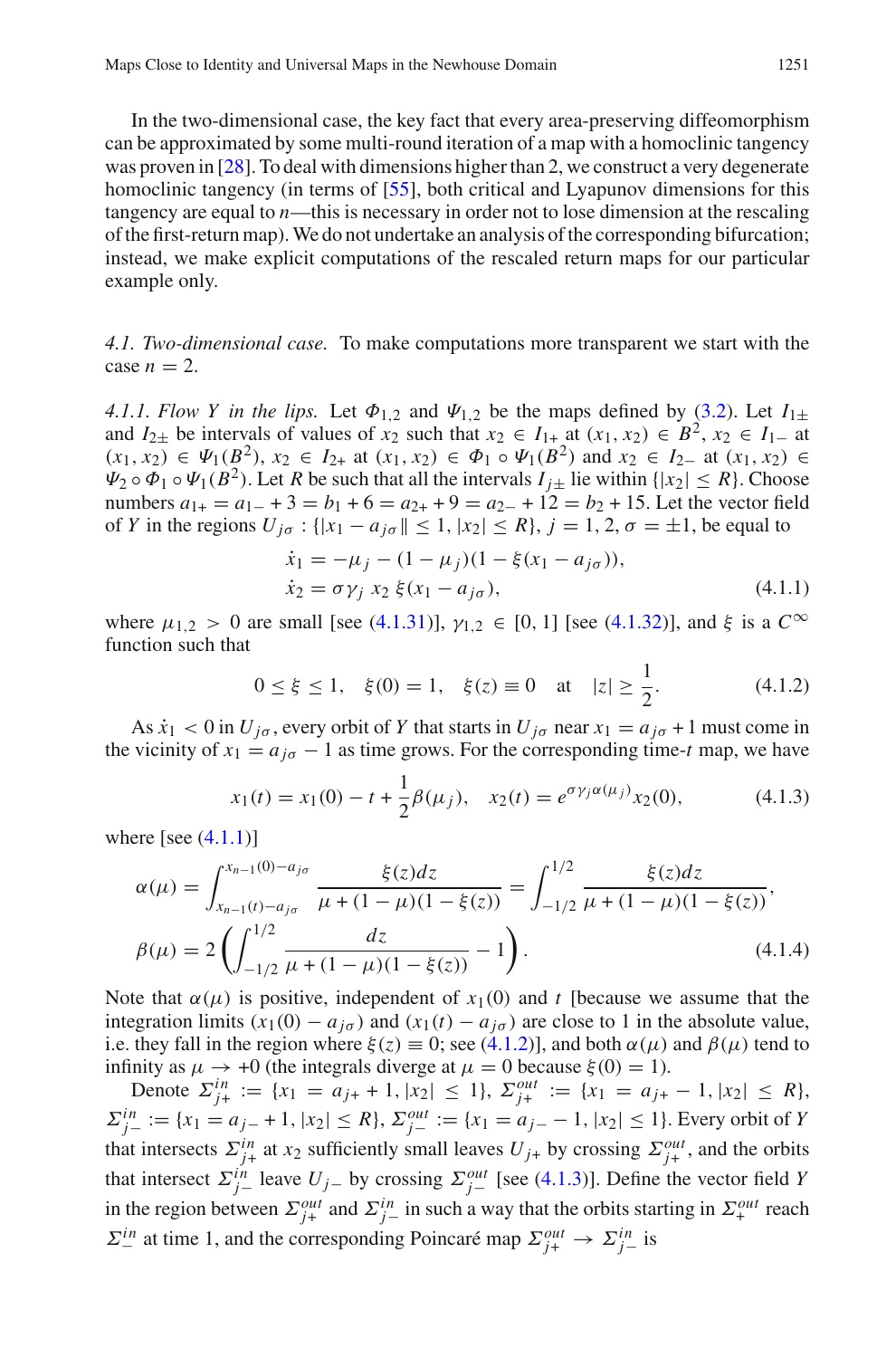In the two-dimensional case, the key fact that every area-preserving diffeomorphism can be approximated by some multi-round iteration of a map with a homoclinic tangency was proven in [\[28\]](#page-41-3). To deal with dimensions higher than 2, we construct a very degenerate homoclinic tangency (in terms of [\[55](#page-42-9)], both critical and Lyapunov dimensions for this tangency are equal to *n*—this is necessary in order not to lose dimension at the rescaling of the first-return map).We do not undertake an analysis of the corresponding bifurcation; instead, we make explicit computations of the rescaled return maps for our particular example only.

*4.1. Two-dimensional case.* To make computations more transparent we start with the case  $n = 2$ .

*4.1.1. Flow Y in the lips.* Let  $\Phi_{1,2}$  and  $\Psi_{1,2}$  be the maps defined by [\(3.2\)](#page-9-7). Let  $I_{1\pm}$ and  $I_{2\pm}$  be intervals of values of  $x_2$  such that  $x_2 \in I_{1+}$  at  $(x_1, x_2) \in B^2$ ,  $x_2 \in I_{1-}$  at  $(x_1, x_2)$  ∈  $\Psi_1(B^2)$ ,  $x_2$  ∈  $I_{2+}$  at  $(x_1, x_2)$  ∈  $\Phi_1 \circ \Psi_1(B^2)$  and  $x_2$  ∈  $I_{2-}$  at  $(x_1, x_2)$  ∈  $\Psi_2 \circ \Phi_1 \circ \Psi_1(B^2)$ . Let *R* be such that all the intervals  $I_{i+}$  lie within  $\{|x_2| \leq R\}$ . Choose numbers  $a_{1+} = a_{1-} + 3 = b_1 + 6 = a_{2+} + 9 = a_{2-} + 12 = b_2 + 15$ . Let the vector field of *Y* in the regions  $U_{j\sigma}$ : { $|x_1 - a_{j\sigma}| \le 1$ ,  $|x_2| \le R$ },  $j = 1, 2, \sigma = \pm 1$ , be equal to

$$
\dot{x}_1 = -\mu_j - (1 - \mu_j)(1 - \xi(x_1 - a_{j\sigma})), \n\dot{x}_2 = \sigma \gamma_j x_2 \xi(x_1 - a_{j\sigma}),
$$
\n(4.1.1)

<span id="page-16-2"></span><span id="page-16-0"></span>where  $\mu_{1,2} > 0$  are small [see [\(4.1.31\)](#page-22-1)],  $\gamma_{1,2} \in [0, 1]$  [see [\(4.1.32\)](#page-22-2)], and  $\xi$  is a  $C^{\infty}$ function such that

<span id="page-16-1"></span>
$$
0 \le \xi \le 1
$$
,  $\xi(0) = 1$ ,  $\xi(z) \equiv 0$  at  $|z| \ge \frac{1}{2}$ . (4.1.2)

As  $\dot{x}_1 < 0$  in  $U_{j\sigma}$ , every orbit of Y that starts in  $U_{j\sigma}$  near  $x_1 = a_{j\sigma} + 1$  must come in the vicinity of  $x_1 = a_{i\sigma} - 1$  as time grows. For the corresponding time-*t* map, we have

$$
x_1(t) = x_1(0) - t + \frac{1}{2}\beta(\mu_j), \quad x_2(t) = e^{\sigma \gamma_j \alpha(\mu_j)} x_2(0), \tag{4.1.3}
$$

<span id="page-16-3"></span>where [see  $(4.1.1)$ ]

$$
\alpha(\mu) = \int_{x_{n-1}(t) - a_{j\sigma}}^{x_{n-1}(0) - a_{j\sigma}} \frac{\xi(z)dz}{\mu + (1 - \mu)(1 - \xi(z))} = \int_{-1/2}^{1/2} \frac{\xi(z)dz}{\mu + (1 - \mu)(1 - \xi(z))},
$$
  

$$
\beta(\mu) = 2\left(\int_{-1/2}^{1/2} \frac{dz}{\mu + (1 - \mu)(1 - \xi(z))} - 1\right).
$$
 (4.1.4)

Note that  $\alpha(\mu)$  is positive, independent of  $x_1(0)$  and *t* [because we assume that the integration limits  $(x_1(0) - a_{j\sigma})$  and  $(x_1(t) - a_{j\sigma})$  are close to 1 in the absolute value, i.e. they fall in the region where  $\xi(z) \equiv 0$ ; see [\(4.1.2\)](#page-16-2)], and both  $\alpha(\mu)$  and  $\beta(\mu)$  tend to infinity as  $\mu \to +0$  (the integrals diverge at  $\mu = 0$  because  $\xi(0) = 1$ ).

Denote  $\sum_{j+}^{in} := \{x_1 = a_{j+} + 1, |x_2| \le 1\}, \sum_{j+}^{out} := \{x_1 = a_{j+} - 1, |x_2| \le R\},\$  $\Sigma_{j-}^{in} := \{x_1 = a_{j-} + 1, |x_2| \leq R\}$ ,  $\Sigma_{j-}^{out} := \{x_1 = a_{j-} - 1, |x_2| \leq 1\}$ . Every orbit of *Y* that intersects  $\sum_{j+1}^{in}$  at  $x_2$  sufficiently small leaves  $U_{j+}$  by crossing  $\sum_{j+1}^{out}$ , and the orbits that intersect  $\sum_{j}^{in}$  leave  $U_{j}$ − by crossing  $\sum_{j}^{out}$  [see [\(4.1.3\)](#page-16-1)]. Define the vector field *Y* in the region between  $\Sigma_{j+}^{out}$  and  $\Sigma_{j-}^{in}$  in such a way that the orbits starting in  $\Sigma_{+}^{out}$  reach  $\Sigma^{in}_{-}$  at time 1, and the corresponding Poincaré map  $\Sigma^{out}_{j+} \to \Sigma^{in}_{j-}$  is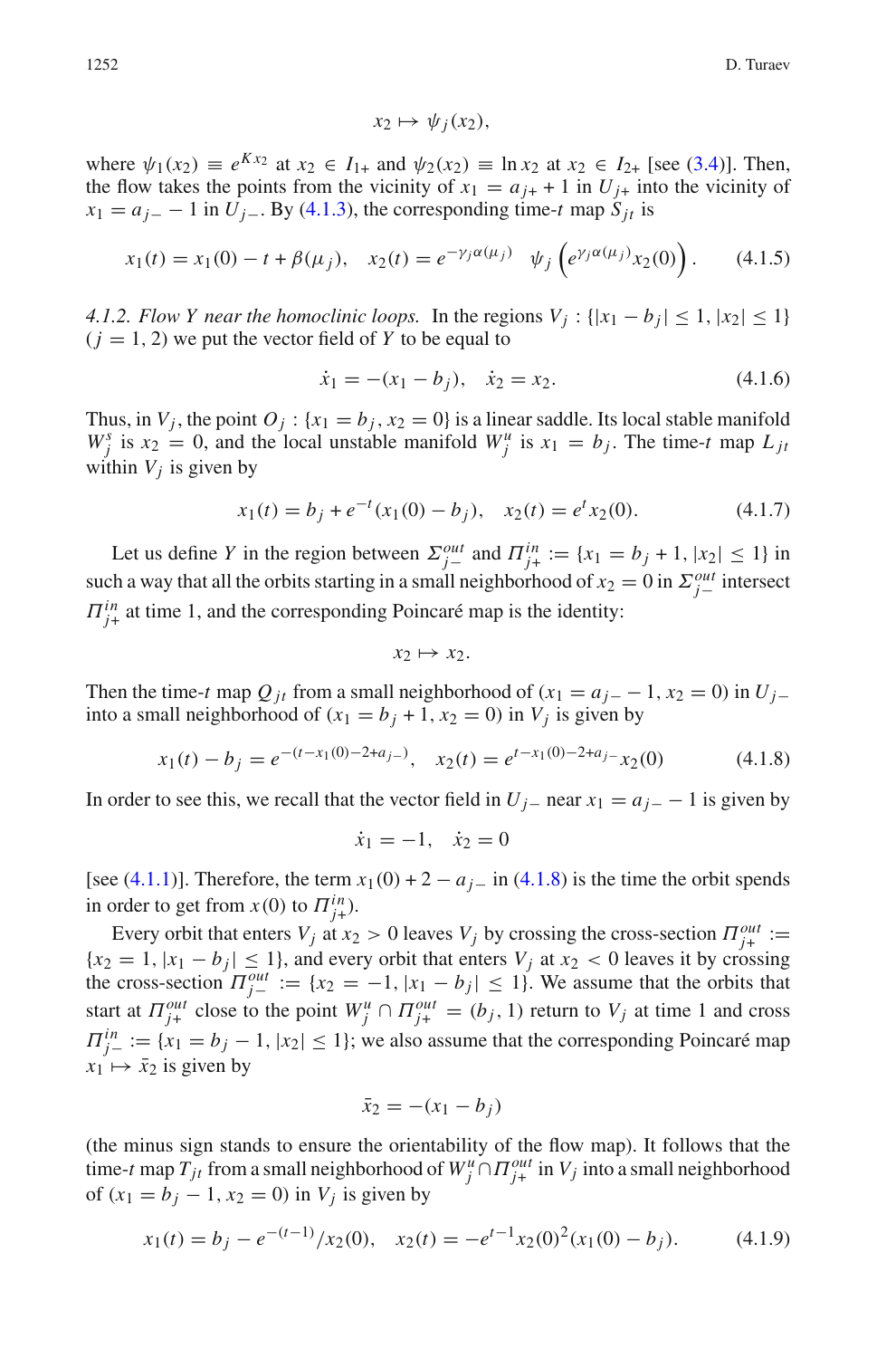<span id="page-17-0"></span>
$$
x_2 \mapsto \psi_j(x_2),
$$

where  $\psi_1(x_2) \equiv e^{Kx_2}$  at  $x_2 \in I_{1+}$  and  $\psi_2(x_2) \equiv \ln x_2$  at  $x_2 \in I_{2+}$  [see [\(3.4\)](#page-9-4)]. Then, the flow takes the points from the vicinity of  $x_1 = a_{j+1} + 1$  in  $U_{j+1}$  into the vicinity of  $x_1 = a_{j-} - 1$  in *U<sub>j</sub>*−. By [\(4.1.3\)](#page-16-1), the corresponding time-*t* map  $S_{jt}$  is

$$
x_1(t) = x_1(0) - t + \beta(\mu_j), \quad x_2(t) = e^{-\gamma_j \alpha(\mu_j)} \quad \psi_j\left(e^{\gamma_j \alpha(\mu_j)} x_2(0)\right). \tag{4.1.5}
$$

*4.1.2. Flow Y near the homoclinic loops.* In the regions  $V_i$ :  $\{|x_1 - b_i| \leq 1, |x_2| \leq 1\}$  $(j = 1, 2)$  we put the vector field of Y to be equal to

<span id="page-17-1"></span>
$$
\dot{x}_1 = -(x_1 - b_j), \quad \dot{x}_2 = x_2. \tag{4.1.6}
$$

<span id="page-17-3"></span>Thus, in  $V_j$ , the point  $O_j$ : { $x_1 = b_j$ ,  $x_2 = 0$ } is a linear saddle. Its local stable manifold  $W_j^s$  is  $x_2 = 0$ , and the local unstable manifold  $W_j^u$  is  $x_1 = b_j$ . The time-*t* map  $L_{ji}$ within  $V_i$  is given by

$$
x_1(t) = b_j + e^{-t}(x_1(0) - b_j), \quad x_2(t) = e^t x_2(0). \tag{4.1.7}
$$

Let us define *Y* in the region between  $\sum_{j=1}^{out}$  and  $\Pi_{j+}^{in} := \{x_1 = b_j + 1, |x_2| \le 1\}$  in such a way that all the orbits starting in a small neighborhood of  $x_2 = 0$  in  $\sum_{j=1}^{out}$  intersect  $\Pi_{j+}^{in}$  at time 1, and the corresponding Poincaré map is the identity:

<span id="page-17-2"></span>
$$
x_2 \mapsto x_2.
$$

Then the time-*t* map  $Q_{it}$  from a small neighborhood of ( $x_1 = a_{i-1} - 1$ ,  $x_2 = 0$ ) in  $U_{i-1}$ into a small neighborhood of  $(x_1 = b_j + 1, x_2 = 0)$  in  $V_j$  is given by

$$
x_1(t) - b_j = e^{-(t - x_1(0) - 2 + a_j)} , \quad x_2(t) = e^{t - x_1(0) - 2 + a_j} - x_2(0)
$$
 (4.1.8)

In order to see this, we recall that the vector field in  $U_j$ − near  $x_1 = a_j$ − 1 is given by

$$
\dot{x}_1 = -1, \quad \dot{x}_2 = 0
$$

[see [\(4.1.1\)](#page-16-0)]. Therefore, the term  $x_1(0) + 2 - a_j$  in [\(4.1.8\)](#page-17-2) is the time the orbit spends in order to get from  $x(0)$  to  $\overline{H}_{j+}^{in}$ ).

Every orbit that enters  $V_j$  at  $x_2 > 0$  leaves  $V_j$  by crossing the cross-section  $\Pi_{j+}^{out} :=$  ${x_2 = 1, |x_1 - b_i| \leq 1}$ , and every orbit that enters  $V_i$  at  $x_2 < 0$  leaves it by crossing the cross-section  $\Pi_{j-}^{out} := \{x_2 = -1, |x_1 - b_j| \leq 1\}$ . We assume that the orbits that start at  $\Pi_{j+}^{out}$  close to the point  $W_j^u \cap \Pi_{j+}^{out} = (b_j, 1)$  return to  $V_j$  at time 1 and cross  $\Pi_{j-}^{in} := \{x_1 = b_j - 1, |x_2| \leq 1\}$ ; we also assume that the corresponding Poincaré map  $x_1 \mapsto \bar{x}_2$  is given by

<span id="page-17-4"></span>
$$
\bar{x}_2 = -(x_1 - b_j)
$$

(the minus sign stands to ensure the orientability of the flow map). It follows that the time-*t* map  $T_{jt}$  from a small neighborhood of  $W_j^u \cap \Pi_{j+}^{out}$  in  $V_j$  into a small neighborhood of  $(x_1 = b_i - 1, x_2 = 0)$  in  $V_i$  is given by

$$
x_1(t) = b_j - e^{-(t-1)}/x_2(0), \quad x_2(t) = -e^{t-1}x_2(0)^2(x_1(0) - b_j).
$$
 (4.1.9)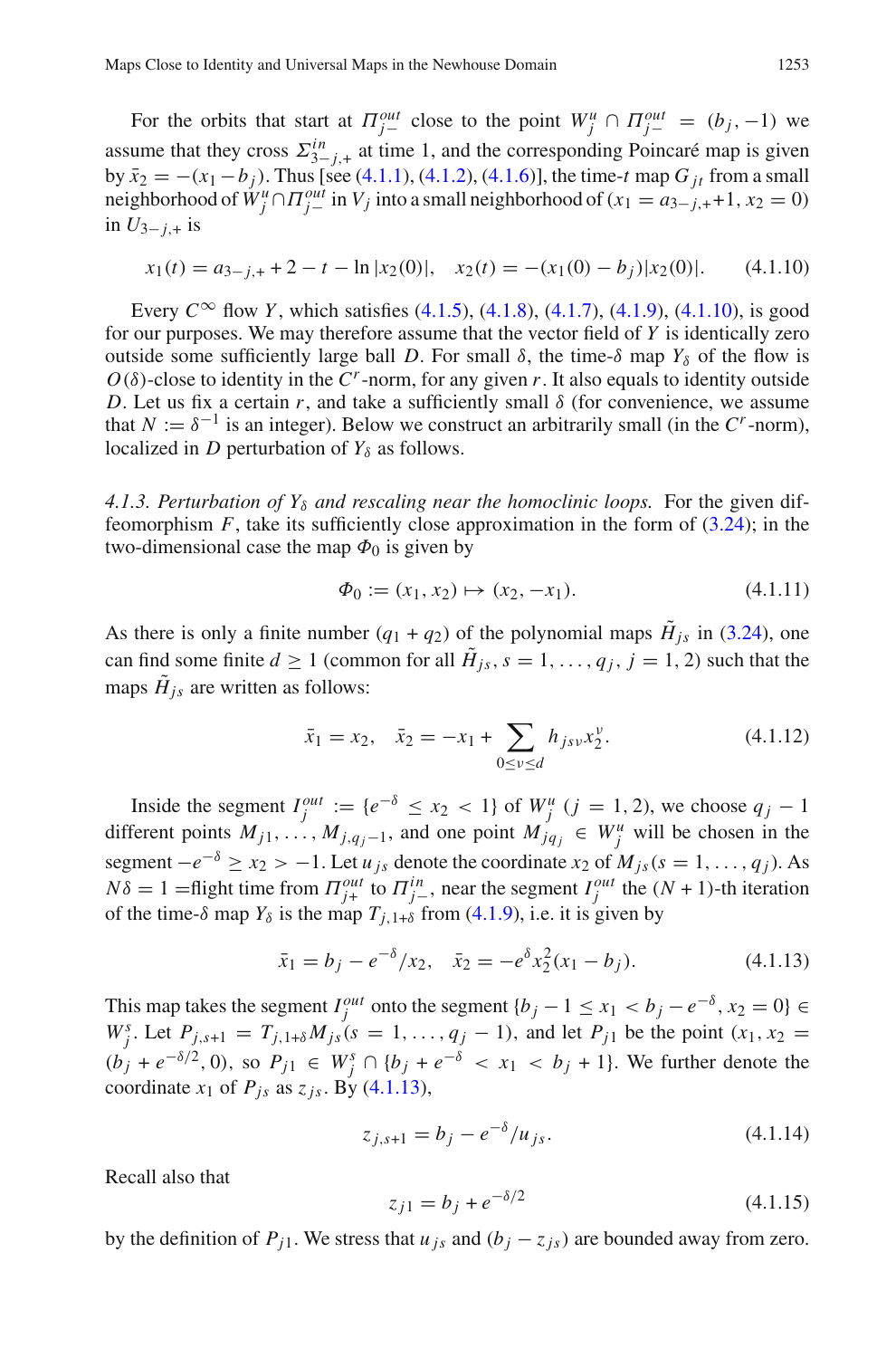For the orbits that start at  $\Pi_{j-}^{out}$  close to the point  $W_j^u \cap \Pi_{j-}^{out} = (b_j, -1)$  we assume that they cross  $\Sigma_{3-j,+}^{in}$  at time 1, and the corresponding Poincaré map is given by  $\bar{x}_2 = -(x_1 - b_i)$ . Thus [see [\(4.1.1\)](#page-16-0), [\(4.1.2\)](#page-16-2), [\(4.1.6\)](#page-17-1)], the time-*t* map *G <sub>it</sub>* from a small neighborhood of  $\check{W}^u_j \cap \Pi_{j-}^{out}$  in  $V_j$  into a small neighborhood of ( $x_1 = a_{3-j,+}+1$ ,  $x_2 = 0$ ) in  $U_{3-i,+}$  is

<span id="page-18-0"></span>
$$
x_1(t) = a_{3-j,+} + 2 - t - \ln |x_2(0)|, \quad x_2(t) = -(x_1(0) - b_j)|x_2(0)|. \tag{4.1.10}
$$

Every  $C^{\infty}$  flow *Y*, which satisfies [\(4.1.5\)](#page-17-0), [\(4.1.8\)](#page-17-2), [\(4.1.7\)](#page-17-3), [\(4.1.9\)](#page-17-4), [\(4.1.10\)](#page-18-0), is good for our purposes. We may therefore assume that the vector field of *Y* is identically zero outside some sufficiently large ball *D*. For small  $\delta$ , the time- $\delta$  map  $Y_{\delta}$  of the flow is  $O(\delta)$ -close to identity in the  $C^r$ -norm, for any given *r*. It also equals to identity outside *D*. Let us fix a certain  $r$ , and take a sufficiently small  $\delta$  (for convenience, we assume that  $N := \delta^{-1}$  is an integer). Below we construct an arbitrarily small (in the  $C^r$ -norm), localized in *D* perturbation of  $Y_\delta$  as follows.

4.1.3. Perturbation of  $Y_{\delta}$  and rescaling near the homoclinic loops. For the given diffeomorphism  $F$ , take its sufficiently close approximation in the form of  $(3.24)$ ; in the two-dimensional case the map  $\Phi_0$  is given by

<span id="page-18-3"></span>
$$
\Phi_0 := (x_1, x_2) \mapsto (x_2, -x_1). \tag{4.1.11}
$$

As there is only a finite number  $(q_1 + q_2)$  of the polynomial maps  $\tilde{H}_{js}$  in [\(3.24\)](#page-13-1), one can find some finite  $d \ge 1$  (common for all  $\tilde{H}_{is}$ ,  $s = 1, \ldots, q_i$ ,  $j = 1, 2$ ) such that the maps  $\tilde{H}_{is}$  are written as follows:

$$
\bar{x}_1 = x_2, \quad \bar{x}_2 = -x_1 + \sum_{0 \le v \le d} h_{jsv} x_2^v. \tag{4.1.12}
$$

Inside the segment  $I_j^{out} := \{e^{-\delta} \le x_2 < 1\}$  of  $W_j^u$  ( $j = 1, 2$ ), we choose  $q_j - 1$ different points  $M_{j1}, \ldots, M_{j,q_j-1}$ , and one point  $M_{jq_j} \in W_j^u$  will be chosen in the segment  $-e^{-\delta} \ge x_2 > -1$ . Let *u*<sub>js</sub> denote the coordinate *x*<sub>2</sub> of  $M_{js}(s = 1, ..., q_j)$ . As  $N\delta = 1$  = flight time from  $\Pi_{j+1}^{out}$  to  $\Pi_{j-1}^{in}$ , near the segment  $I_j^{out}$  the  $(N+1)$ -th iteration of the time- $\delta$  map  $Y_{\delta}$  is the map  $T_{j,1+\delta}$  from [\(4.1.9\)](#page-17-4), i.e. it is given by

<span id="page-18-1"></span>
$$
\bar{x}_1 = b_j - e^{-\delta}/x_2, \quad \bar{x}_2 = -e^{\delta}x_2^2(x_1 - b_j). \tag{4.1.13}
$$

This map takes the segment  $I_j^{out}$  onto the segment  $\{b_j - 1 \le x_1 < b_j - e^{-\delta}, x_2 = 0\}$  $W_j^s$ . Let  $P_{j,s+1} = T_{j,1+\delta} M_{js}(s = 1, ..., q_j - 1)$ , and let  $P_{j1}$  be the point  $(x_1, x_2 = 1, ..., x_{j-1})$  $(b_j + e^{-\delta/2}, 0)$ , so  $P_{j1}$  ∈  $W_j^s$  ∩ { $b_j + e^{-\delta}$  <  $x_1$  <  $b_j$  + 1}. We further denote the coordinate  $x_1$  of  $P_{is}$  as  $z_{is}$ . By [\(4.1.13\)](#page-18-1),

<span id="page-18-2"></span>
$$
z_{j,s+1} = b_j - e^{-\delta}/u_{js}.
$$
\n(4.1.14)

<span id="page-18-4"></span>Recall also that

$$
z_{j1} = b_j + e^{-\delta/2} \tag{4.1.15}
$$

by the definition of  $P_{j1}$ . We stress that  $u_{js}$  and  $(b_j - z_{js})$  are bounded away from zero.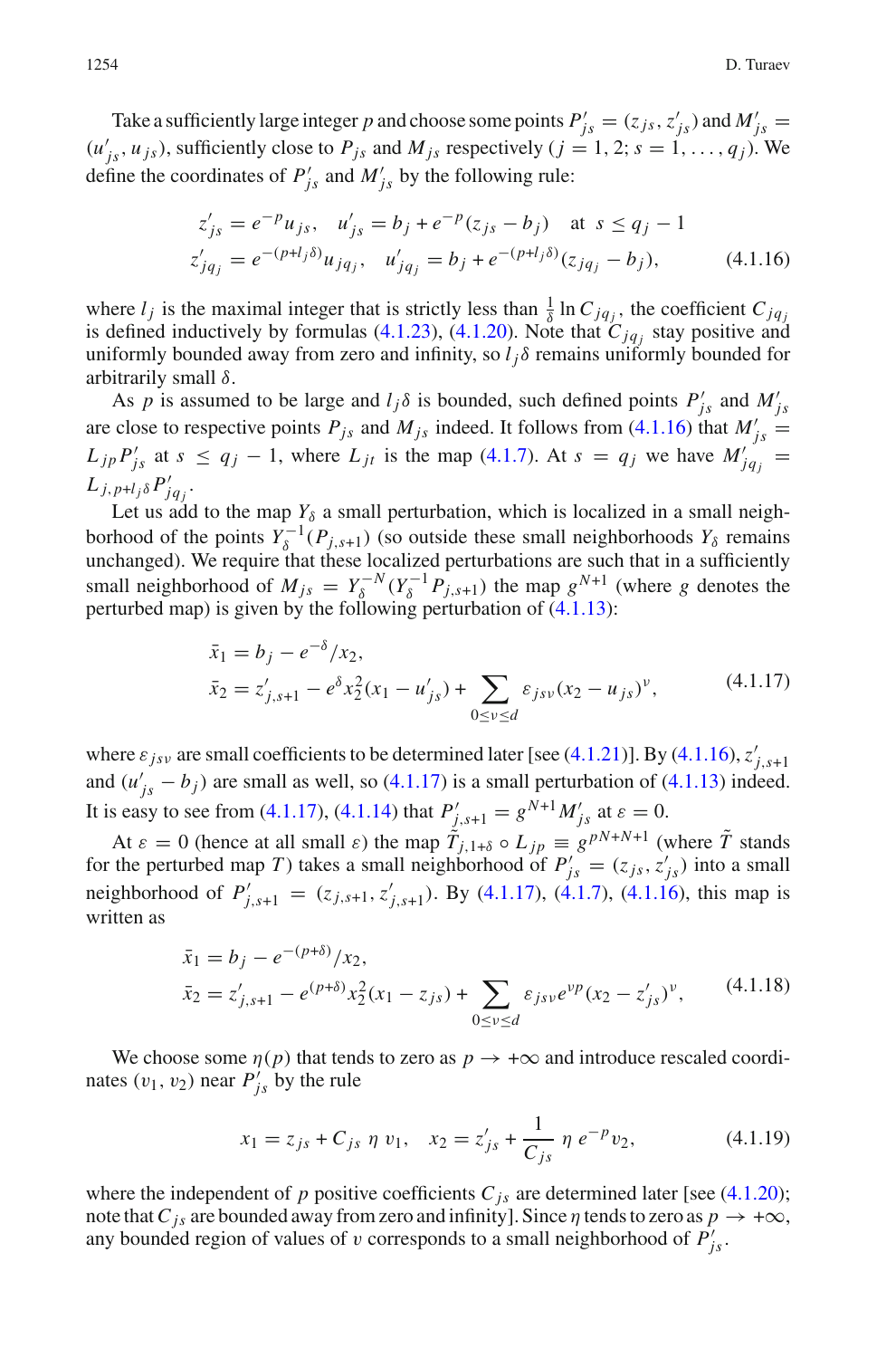Take a sufficiently large integer *p* and choose some points  $P'_{js} = (z_{js}, z'_{js})$  and  $M'_{js} =$  $(u'_{js}, u_{js})$ , sufficiently close to  $P_{js}$  and  $M_{js}$  respectively  $(j = 1, 2; s = 1, ..., q_j)$ . We define the coordinates of  $P'_{js}$  and  $M'_{js}$  by the following rule:

$$
z'_{js} = e^{-p} u_{js}, \quad u'_{js} = b_j + e^{-p} (z_{js} - b_j) \quad \text{at } s \le q_j - 1
$$
  
\n
$$
z'_{jq_j} = e^{-(p+l_j\delta)} u_{jq_j}, \quad u'_{jq_j} = b_j + e^{-(p+l_j\delta)} (z_{jq_j} - b_j), \tag{4.1.16}
$$

<span id="page-19-1"></span>where  $l_j$  is the maximal integer that is strictly less than  $\frac{1}{\delta} \ln C_{jq_j}$ , the coefficient  $C_{jq_j}$ is defined inductively by formulas [\(4.1.23\)](#page-20-1), [\(4.1.20\)](#page-20-2). Note that  $C_{ja}$  stay positive and uniformly bounded away from zero and infinity, so  $l_i \delta$  remains uniformly bounded for arbitrarily small δ.

As *p* is assumed to be large and  $l_j \delta$  is bounded, such defined points  $P'_{js}$  and  $M'_{js}$ are close to respective points  $P_{js}$  and  $M_{js}$  indeed. It follows from [\(4.1.16\)](#page-19-1) that  $M'_{js}$  =  $L_{jp}P'_{js}$  at  $s \le q_j - 1$ , where  $L_{jt}$  is the map [\(4.1.7\)](#page-17-3). At  $s = q_j$  we have  $M'_{jq_j}$  =  $L_{j,p+l_j\delta} P'_{jq_j}$ .

Let us add to the map  $Y_\delta$  a small perturbation, which is localized in a small neighborhood of the points  $Y_\delta^{-1}(P_{j,s+1})$  (so outside these small neighborhoods  $Y_\delta$  remains unchanged). We require that these localized perturbations are such that in a sufficiently small neighborhood of  $M_{js} = Y_\delta^{-N} (Y_\delta^{-1} P_{j,s+1})$  the map  $g^{N+1}$  (where *g* denotes the perturbed map) is given by the following perturbation of [\(4.1.13\)](#page-18-1):

$$
\bar{x}_1 = b_j - e^{-\delta}/x_2,
$$
  
\n
$$
\bar{x}_2 = z'_{j,s+1} - e^{\delta}x_2^2(x_1 - u'_{js}) + \sum_{0 \le v \le d} \varepsilon_{jsv}(x_2 - u_{js})^v,
$$
\n(4.1.17)

<span id="page-19-0"></span>where  $\varepsilon_{jsv}$  are small coefficients to be determined later [see [\(4.1.21\)](#page-20-3)]. By [\(4.1.16\)](#page-19-1),  $z'_{j,s+1}$ and  $(u'_{js} - b_j)$  are small as well, so [\(4.1.17\)](#page-19-0) is a small perturbation of [\(4.1.13\)](#page-18-1) indeed. It is easy to see from [\(4.1.17\)](#page-19-0), [\(4.1.14\)](#page-18-2) that  $P'_{j,s+1} = g^{N+1} M'_{j,s}$  at  $\varepsilon = 0$ .

At  $\varepsilon = 0$  (hence at all small  $\varepsilon$ ) the map  $\tilde{T}_{j,1+\delta} \circ L_{jp} \equiv g^{pN+N+1}$  (where  $\tilde{T}$  stands for the perturbed map *T*) takes a small neighborhood of  $P'_{js} = (z_{js}, z'_{js})$  into a small neighborhood of  $P'_{j,s+1} = (z_{j,s+1}, z'_{j,s+1})$ . By [\(4.1.17\)](#page-19-0), [\(4.1.7\)](#page-17-3), [\(4.1.16\)](#page-19-1), this map is written as

$$
\bar{x}_1 = b_j - e^{-(p+\delta)}/x_2,
$$
\n
$$
\bar{x}_2 = z'_{j,s+1} - e^{(p+\delta)}x_2^2(x_1 - z_{js}) + \sum_{0 \le v \le d} \varepsilon_{jsv} e^{vp}(x_2 - z'_{js})^v,
$$
\n(4.1.18)

<span id="page-19-2"></span>We choose some  $\eta(p)$  that tends to zero as  $p \to +\infty$  and introduce rescaled coordinates  $(v_1, v_2)$  near  $P'_{j_s}$  by the rule

<span id="page-19-3"></span>
$$
x_1 = z_{js} + C_{js} \eta v_1, \quad x_2 = z'_{js} + \frac{1}{C_{js}} \eta e^{-p} v_2,
$$
 (4.1.19)

where the independent of  $p$  positive coefficients  $C_{js}$  are determined later [see [\(4.1.20\)](#page-20-2); note that  $C_{is}$  are bounded away from zero and infinity]. Since  $\eta$  tends to zero as  $p \to +\infty$ , any bounded region of values of v corresponds to a small neighborhood of  $P'_{j<sub>s</sub>}$ .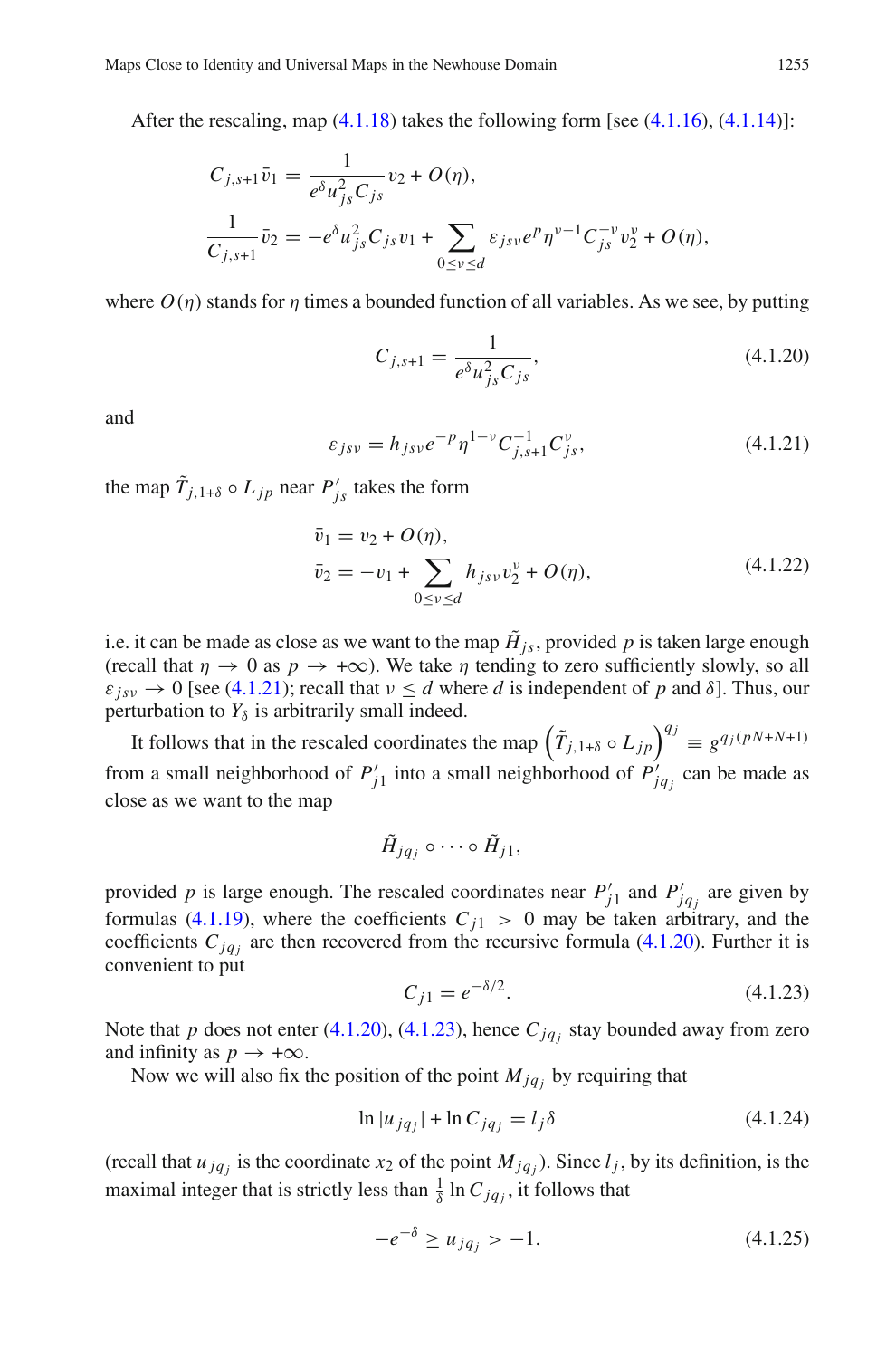After the rescaling, map  $(4.1.18)$  takes the following form [see  $(4.1.16)$ ,  $(4.1.14)$ ]:

$$
C_{j,s+1}\bar{v}_1 = \frac{1}{e^{\delta}u_{js}^2C_{js}}v_2 + O(\eta),
$$
  

$$
\frac{1}{C_{j,s+1}}\bar{v}_2 = -e^{\delta}u_{js}^2C_{js}v_1 + \sum_{0 \le v \le d} \varepsilon_{jsv}e^p\eta^{v-1}C_{js}^{-v}v_2^v + O(\eta),
$$

where  $O(n)$  stands for *n* times a bounded function of all variables. As we see, by putting

<span id="page-20-2"></span>
$$
C_{j,s+1} = \frac{1}{e^{\delta} u_{js}^2 C_{js}},
$$
\n(4.1.20)

<span id="page-20-3"></span>and

$$
\varepsilon_{jsv} = h_{jsv} e^{-p} \eta^{1-v} C_{j,s+1}^{-1} C_{js}^v,
$$
\n(4.1.21)

the map  $\tilde{T}_{j,1+\delta} \circ L_{jp}$  near  $P'_{js}$  takes the form

$$
\bar{v}_1 = v_2 + O(\eta), \n\bar{v}_2 = -v_1 + \sum_{0 \le v \le d} h_{jsv} v_2^v + O(\eta),
$$
\n(4.1.22)

<span id="page-20-0"></span>i.e. it can be made as close as we want to the map  $\tilde{H}_{js}$ , provided p is taken large enough (recall that  $\eta \to 0$  as  $p \to +\infty$ ). We take  $\eta$  tending to zero sufficiently slowly, so all  $\varepsilon_{isv} \to 0$  [see [\(4.1.21\)](#page-20-3); recall that  $v \le d$  where *d* is independent of *p* and  $\delta$ ]. Thus, our perturbation to  $Y_{\delta}$  is arbitrarily small indeed.

It follows that in the rescaled coordinates the map  $(\tilde{T}_{j,1+\delta} \circ L_{jp})^{q_j} \equiv g^{q_j(pN+N+1)}$ from a small neighborhood of  $P'_{j1}$  into a small neighborhood of  $P'_{jq_j}$  can be made as close as we want to the map

$$
\tilde{H}_{jq_j}\circ\cdots\circ\tilde{H}_{j1},
$$

provided *p* is large enough. The rescaled coordinates near  $P'_{j1}$  and  $P'_{jq_j}$  are given by formulas [\(4.1.19\)](#page-19-3), where the coefficients  $C_{i1} > 0$  may be taken arbitrary, and the coefficients  $C_{jq}$  are then recovered from the recursive formula [\(4.1.20\)](#page-20-2). Further it is convenient to put

<span id="page-20-4"></span>
$$
C_{j1} = e^{-\delta/2}.
$$
\n(4.1.23)

<span id="page-20-1"></span>Note that *p* does not enter [\(4.1.20\)](#page-20-2), [\(4.1.23\)](#page-20-1), hence  $C_{jq_i}$  stay bounded away from zero and infinity as  $p \rightarrow +\infty$ .

Now we will also fix the position of the point  $M_{jq_i}$  by requiring that

$$
\ln |u_{jq_j}| + \ln C_{jq_j} = l_j \delta \tag{4.1.24}
$$

(recall that  $u_{jq}$  is the coordinate  $x_2$  of the point  $M_{jq}$ ). Since  $l_j$ , by its definition, is the maximal integer that is strictly less than  $\frac{1}{\delta} \ln C_{jq_j}$ , it follows that

<span id="page-20-5"></span>
$$
-e^{-\delta} \ge u_{jq_j} > -1. \tag{4.1.25}
$$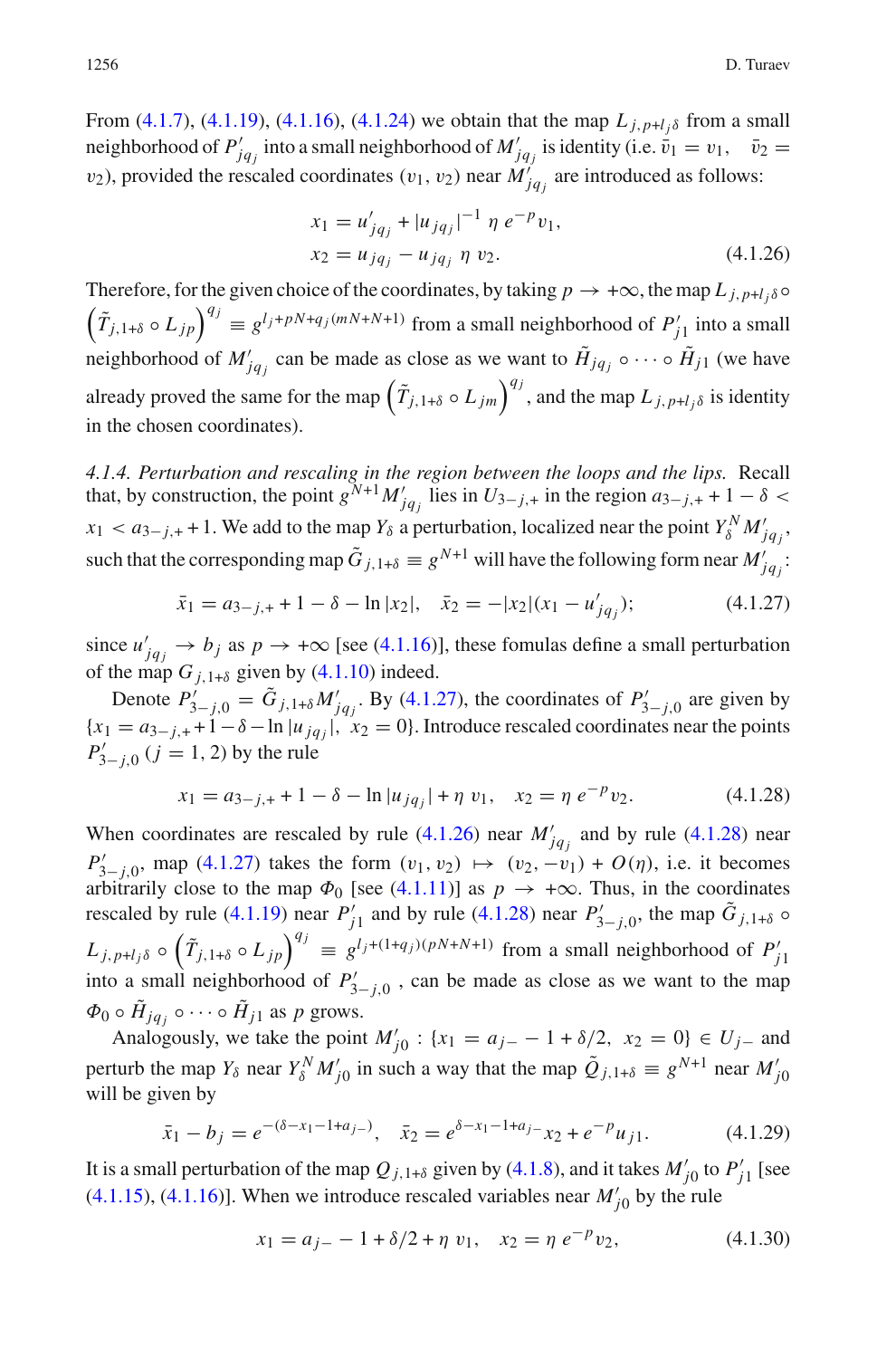From [\(4.1.7\)](#page-17-3), [\(4.1.19\)](#page-19-3), [\(4.1.16\)](#page-19-1), [\(4.1.24\)](#page-20-4) we obtain that the map  $L_{i,p+l}$  from a small neighborhood of  $P'_{jq_j}$  into a small neighborhood of  $M'_{jq_j}$  is identity (i.e.  $\bar{v}_1 = v_1, \quad \bar{v}_2 = v_1$  $v_2$ ), provided the rescaled coordinates  $(v_1, v_2)$  near  $M'_{jq_j}$  are introduced as follows:

$$
x_1 = u'_{jq_j} + |u_{jq_j}|^{-1} \eta e^{-p} v_1,
$$
  
\n
$$
x_2 = u_{jq_j} - u_{jq_j} \eta v_2.
$$
\n(4.1.26)

<span id="page-21-1"></span>Therefore, for the given choice of the coordinates, by taking  $p \to +\infty$ , the map  $L_{j,p+l_j\delta} \circ$  $(\tilde{T}_{j,1+\delta} \circ L_{jp})^{q_j} \equiv g^{l_j+pN+q_j(mN+N+1)}$  from a small neighborhood of  $P'_{j1}$  into a small neighborhood of  $M'_{jq_j}$  can be made as close as we want to  $\tilde{H}_{jq_j} \circ \cdots \circ \tilde{H}_{j1}$  (we have already proved the same for the map  $(\tilde{T}_{j,1+\delta} \circ L_{jm})^{q_j}$ , and the map  $L_{j,p+l_j\delta}$  is identity in the chosen coordinates).

*4.1.4. Perturbation and rescaling in the region between the loops and the lips.* Recall that, by construction, the point  $g^{N+1}M'_{jq_j}$  lies in  $U_{3-j,+}$  in the region  $a_{3-j,+}+1-\delta <$  $x_1 < a_{3-j,+}+1$ . We add to the map  $Y_\delta$  a perturbation, localized near the point  $Y_\delta^N M'_{jqj}$ , such that the corresponding map  $\tilde{G}_{j,1+\delta} \equiv g^{N+1}$  will have the following form near  $M'_{jq_j}$ :

<span id="page-21-0"></span>
$$
\bar{x}_1 = a_{3-j,+} + 1 - \delta - \ln|x_2|, \quad \bar{x}_2 = -|x_2|(x_1 - u'_{jq_j}); \tag{4.1.27}
$$

since  $u'_{jq_j} \to b_j$  as  $p \to +\infty$  [see [\(4.1.16\)](#page-19-1)], these fomulas define a small perturbation of the map  $G_{i,1+\delta}$  given by [\(4.1.10\)](#page-18-0) indeed.

Denote  $P'_{3-j,0} = \tilde{G}_{j,1+\delta} M'_{jq_j}$ . By [\(4.1.27\)](#page-21-0), the coordinates of  $P'_{3-j,0}$  are given by  ${x_1 = a_{3-j,+} + 1 - \delta - \ln |u_{jq_j}|, x_2 = 0}.$  Introduce rescaled coordinates near the points  $P'_{3-j,0}$  (*j* = 1, 2) by the rule

<span id="page-21-2"></span>
$$
x_1 = a_{3-j,+} + 1 - \delta - \ln|u_{jq_j}| + \eta v_1, \quad x_2 = \eta e^{-p} v_2.
$$
 (4.1.28)

When coordinates are rescaled by rule [\(4.1.26\)](#page-21-1) near  $M'_{jq_j}$  and by rule [\(4.1.28\)](#page-21-2) near *P*<sub>1</sub><sup>2</sup><sub>*j*</sub>,0</sub>, map [\(4.1.27\)](#page-21-0) takes the form  $(v_1, v_2)$  →  $(v_2, -v_1) + O(\eta)$ , i.e. it becomes arbitrarily close to the map  $\Phi_0$  [see [\(4.1.11\)](#page-18-3)] as  $p \to +\infty$ . Thus, in the coordinates rescaled by rule [\(4.1.19\)](#page-19-3) near  $P'_{j1}$  and by rule [\(4.1.28\)](#page-21-2) near  $P'_{3-j,0}$ , the map  $\tilde{G}_{j,1+\delta}$   $\circ$  $L_{j,p+l_j\delta} \circ (\tilde{T}_{j,1+\delta} \circ L_{jp})^{q_j} = g^{l_j+(1+q_j)(pN+N+1)}$  from a small neighborhood of  $P'_{j1}$ into a small neighborhood of  $P'_{3-j,0}$ , can be made as close as we want to the map  $\Phi_0 \circ \tilde{H}_{jq} \circ \cdots \circ \tilde{H}_{j1}$  as p grows.

<span id="page-21-3"></span>Analogously, we take the point  $M'_{j0}$ : { $x_1 = a_{j-} - 1 + \delta/2$ ,  $x_2 = 0$ }  $\in U_{j-}$  and perturb the map  $Y_\delta$  near  $Y_\delta^N M'_{j0}$  in such a way that the map  $\tilde{Q}_{j,1+\delta} \equiv g^{N+1}$  near  $M'_{j0}$ will be given by

$$
\bar{x}_1 - b_j = e^{-(\delta - x_1 - 1 + a_{j-})}, \quad \bar{x}_2 = e^{\delta - x_1 - 1 + a_{j-}} x_2 + e^{-p} u_{j1}.
$$
 (4.1.29)

It is a small perturbation of the map  $Q_{j,1+\delta}$  given by [\(4.1.8\)](#page-17-2), and it takes  $M'_{j0}$  to  $P'_{j1}$  [see [\(4.1.15\)](#page-18-4), [\(4.1.16\)](#page-19-1)]. When we introduce rescaled variables near  $M'_{j0}$  by the rule

<span id="page-21-4"></span>
$$
x_1 = a_{j-} - 1 + \delta/2 + \eta v_1, \quad x_2 = \eta e^{-p} v_2,
$$
 (4.1.30)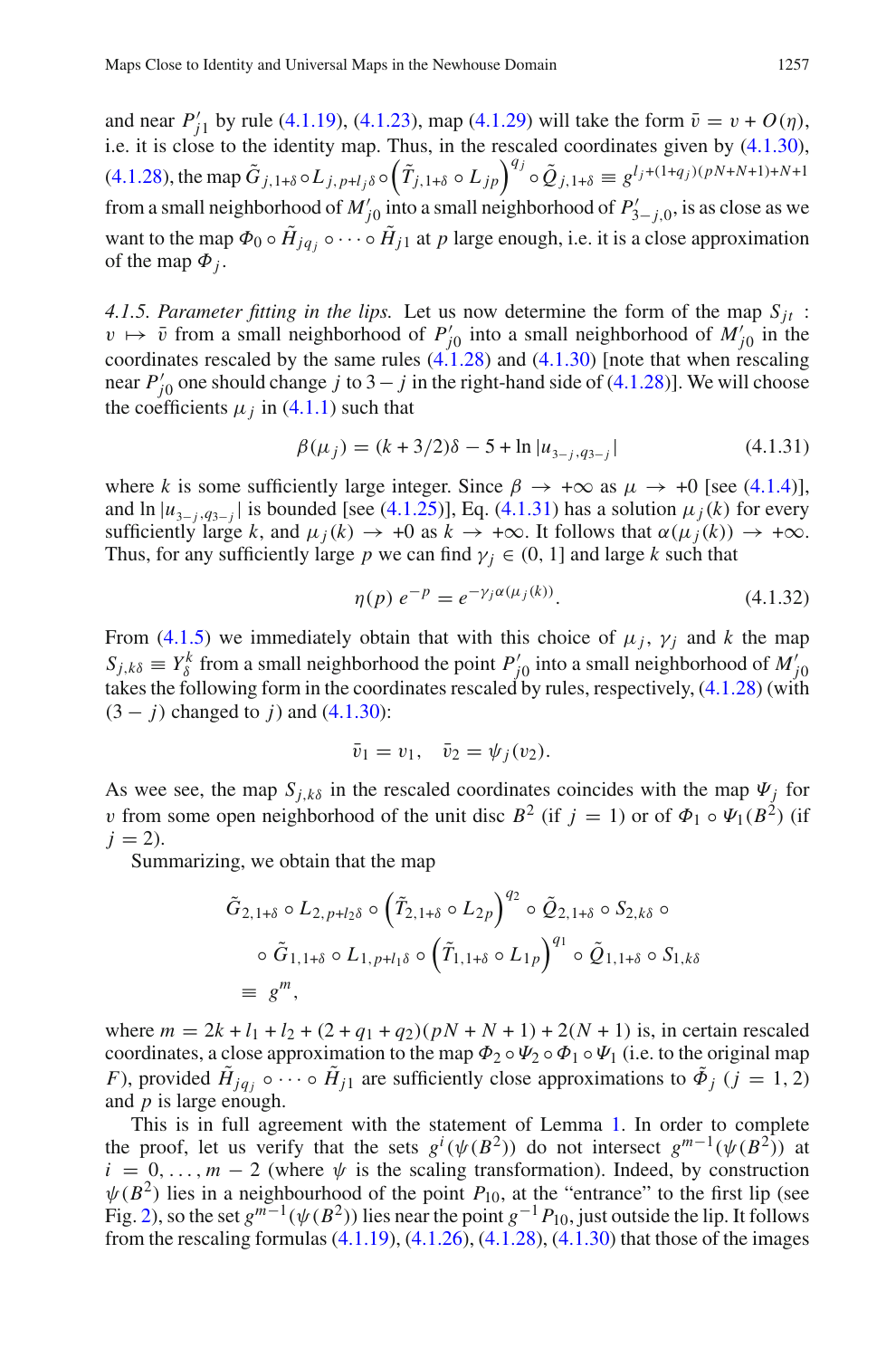and near  $P'_{j1}$  by rule [\(4.1.19\)](#page-19-3), [\(4.1.23\)](#page-20-1), map [\(4.1.29\)](#page-21-3) will take the form  $\bar{v} = v + O(\eta)$ , i.e. it is close to the identity map. Thus, in the rescaled coordinates given by [\(4.1.30\)](#page-21-4), [\(4.1.28\)](#page-21-2), the map  $\tilde{G}_{j,1+\delta} \circ L_{j,p+l_j\delta} \circ (\tilde{T}_{j,1+\delta} \circ L_{jp})^{q_j} \circ \tilde{Q}_{j,1+\delta} \equiv g^{l_j+(1+q_j)(pN+N+1)+N+1}$ from a small neighborhood of  $M'_{j0}$  into a small neighborhood of  $P'_{3-j,0}$ , is as close as we want to the map  $\Phi_0 \circ \tilde{H}_{jq} \circ \cdots \circ \tilde{H}_{j1}$  at *p* large enough, i.e. it is a close approximation of the map  $\Phi_i$ .

<span id="page-22-0"></span>4.1.5. Parameter fitting in the lips. Let us now determine the form of the map  $S_{it}$ :  $v \mapsto \bar{v}$  from a small neighborhood of  $P'_{j0}$  into a small neighborhood of  $M'_{j0}$  in the coordinates rescaled by the same rules  $(4.1.28)$  and  $(4.1.30)$  [note that when rescaling near  $P'_{j0}$  one should change *j* to 3 – *j* in the right-hand side of [\(4.1.28\)](#page-21-2)]. We will choose the coefficients  $\mu_j$  in [\(4.1.1\)](#page-16-0) such that

<span id="page-22-1"></span>
$$
\beta(\mu_j) = (k + 3/2)\delta - 5 + \ln|u_{3-j,q_{3-j}}|
$$
\n(4.1.31)

where *k* is some sufficiently large integer. Since  $\beta \rightarrow +\infty$  as  $\mu \rightarrow +0$  [see [\(4.1.4\)](#page-16-3)], and  $\ln |u_{3-i}, q_{3-i}|$  is bounded [see [\(4.1.25\)](#page-20-5)], Eq. [\(4.1.31\)](#page-22-1) has a solution  $\mu_j(k)$  for every sufficiently large *k*, and  $\mu_i(k) \to +0$  as  $k \to +\infty$ . It follows that  $\alpha(\mu_i(k)) \to +\infty$ . Thus, for any sufficiently large *p* we can find  $\gamma_j \in (0, 1]$  and large *k* such that

<span id="page-22-2"></span>
$$
\eta(p) \ e^{-p} = e^{-\gamma_j \alpha(\mu_j(k))}.
$$
\n(4.1.32)

From [\(4.1.5\)](#page-17-0) we immediately obtain that with this choice of  $\mu_j$ ,  $\gamma_j$  and *k* the map  $S_{j,k\delta} \equiv Y_{\delta}^k$  from a small neighborhood the point  $P'_{j0}$  into a small neighborhood of  $M'_{j0}$ takes the following form in the coordinates rescaled by rules, respectively, [\(4.1.28\)](#page-21-2) (with  $(3 - j)$  changed to *j*) and  $(4.1.30)$ :

$$
\bar{v}_1=v_1, \quad \bar{v}_2=\psi_j(v_2).
$$

As wee see, the map  $S_{i,k\delta}$  in the rescaled coordinates coincides with the map  $\Psi_i$  for v from some open neighborhood of the unit disc  $B^2$  (if  $j = 1$ ) or of  $\Phi_1 \circ \Psi_1(B^2)$  (if  $j = 2$ ).

Summarizing, we obtain that the map

$$
\tilde{G}_{2,1+\delta} \circ L_{2,p+l_2\delta} \circ \left(\tilde{T}_{2,1+\delta} \circ L_{2p}\right)^{q_2} \circ \tilde{Q}_{2,1+\delta} \circ S_{2,k\delta} \circ
$$
\n
$$
\circ \tilde{G}_{1,1+\delta} \circ L_{1,p+l_1\delta} \circ \left(\tilde{T}_{1,1+\delta} \circ L_{1p}\right)^{q_1} \circ \tilde{Q}_{1,1+\delta} \circ S_{1,k\delta}
$$
\n
$$
\equiv g^m,
$$

where  $m = 2k + l_1 + l_2 + (2 + q_1 + q_2)(pN + N + 1) + 2(N + 1)$  is, in certain rescaled coordinates, a close approximation to the map  $\Phi_2 \circ \Psi_2 \circ \Phi_1 \circ \Psi_1$  (i.e. to the original map *F*), provided  $H_{jq_j} \circ \cdots \circ H_{j1}$  are sufficiently close approximations to  $\tilde{\Phi}_j$  (*j* = 1, 2) and *p* is large enough.

This is in full agreement with the statement of Lemma [1.](#page-2-1) In order to complete the proof, let us verify that the sets  $g^i(\psi(B^2))$  do not intersect  $g^{m-1}(\psi(B^2))$  at  $i = 0, \ldots, m - 2$  (where  $\psi$  is the scaling transformation). Indeed, by construction  $\psi(B^2)$  lies in a neighbourhood of the point  $P_{10}$ , at the "entrance" to the first lip (see Fig. [2\)](#page-15-0), so the set  $g^{m-1}(\psi(B^2))$  lies near the point  $g^{-1}P_{10}$ , just outside the lip. It follows from the rescaling formulas  $(4.1.19)$ ,  $(4.1.26)$ ,  $(4.1.28)$ ,  $(4.1.30)$  that those of the images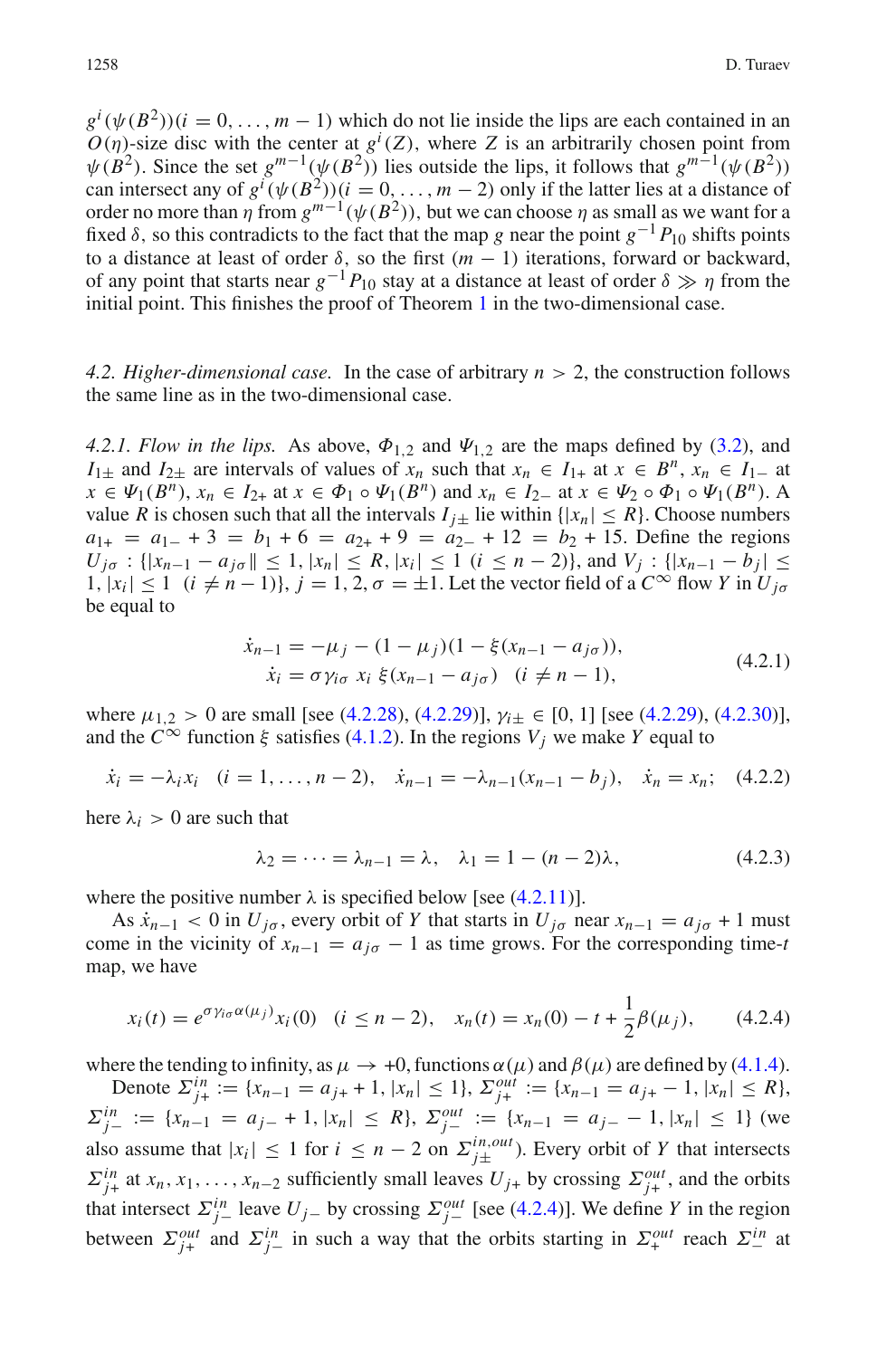$g^i(\psi(B^2))(i = 0, \ldots, m - 1)$  which do not lie inside the lips are each contained in an  $O(\eta)$ -size disc with the center at  $g^{i}(Z)$ , where *Z* is an arbitrarily chosen point from  $\psi(B^2)$ . Since the set  $g^{m-1}(\psi(B^2))$  lies outside the lips, it follows that  $g^{m-1}(\psi(B^2))$ can intersect any of  $g^i(\psi(B^2))(i = 0, \dots, m-2)$  only if the latter lies at a distance of order no more than  $\eta$  from  $g^{m-1}(\psi(B^2))$ , but we can choose  $\eta$  as small as we want for a fixed  $\delta$ , so this contradicts to the fact that the map *g* near the point  $g^{-1}P_{10}$  shifts points to a distance at least of order  $\delta$ , so the first  $(m - 1)$  iterations, forward or backward, of any point that starts near  $g^{-1}P_{10}$  stay at a distance at least of order  $\delta \gg \eta$  from the initial point. This finishes the proof of Theorem [1](#page-2-0) in the two-dimensional case.

*4.2. Higher-dimensional case.* In the case of arbitrary *n* > 2, the construction follows the same line as in the two-dimensional case.

*4.2.1. Flow in the lips.* As above,  $\Phi_{1,2}$  and  $\Psi_{1,2}$  are the maps defined by [\(3.2\)](#page-9-7), and *I*<sub>1±</sub> and *I*<sub>2±</sub> are intervals of values of  $x_n$  such that  $x_n \in I_{1+}$  at  $x \in B^n$ ,  $x_n \in I_{1-}$  at  $x \in \Psi_1(B^n)$ ,  $x_n \in I_{2+}$  at  $x \in \Phi_1 \circ \Psi_1(B^n)$  and  $x_n \in I_{2-}$  at  $x \in \Psi_2 \circ \Phi_1 \circ \Psi_1(B^n)$ . A value *R* is chosen such that all the intervals  $I_{i\pm}$  lie within  $\{ |x_n| \leq R \}$ . Choose numbers  $a_{1+} = a_{1-} + 3 = b_1 + 6 = a_{2+} + 9 = a_{2-} + 12 = b_2 + 15$ . Define the regions  $U_{j\sigma}$  : { $|x_{n-1} - a_{j\sigma}|| \le 1$ ,  $|x_n| \le R$ ,  $|x_i| \le 1$  ( $i \le n-2$ )}, and  $V_j$  : { $|x_{n-1} - b_j| \le$  $|1, |x_i| \le 1$  ( $i \ne n-1$ ),  $j = 1, 2, \sigma = \pm 1$ . Let the vector field of a  $C^{\infty}$  flow *Y* in  $U_{j\sigma}$ be equal to

$$
\begin{aligned}\n\dot{x}_{n-1} &= -\mu_j - (1 - \mu_j)(1 - \xi(x_{n-1} - a_{j\sigma})), \\
\dot{x}_i &= \sigma \gamma_{i\sigma} x_i \xi(x_{n-1} - a_{j\sigma}) \quad (i \neq n-1),\n\end{aligned} \tag{4.2.1}
$$

<span id="page-23-0"></span>where  $\mu_{1,2} > 0$  are small [see [\(4.2.28\)](#page-29-0), [\(4.2.29\)](#page-29-1)],  $\gamma_{i\pm} \in [0, 1]$  [see (4.2.29), [\(4.2.30\)](#page-29-2)], and the  $C^{\infty}$  function  $\xi$  satisfies [\(4.1.2\)](#page-16-2). In the regions  $V_j$  we make  $Y$  equal to

<span id="page-23-3"></span>
$$
\dot{x}_i = -\lambda_i x_i \quad (i = 1, \dots, n-2), \quad \dot{x}_{n-1} = -\lambda_{n-1} (x_{n-1} - b_j), \quad \dot{x}_n = x_n; \quad (4.2.2)
$$

here  $\lambda_i > 0$  are such that

<span id="page-23-2"></span>
$$
\lambda_2 = \dots = \lambda_{n-1} = \lambda, \quad \lambda_1 = 1 - (n-2)\lambda, \tag{4.2.3}
$$

where the positive number  $\lambda$  is specified below [see [\(4.2.11\)](#page-25-0)].

<span id="page-23-1"></span>As  $\dot{x}_{n-1} < 0$  in  $U_{j\sigma}$ , every orbit of *Y* that starts in  $U_{j\sigma}$  near  $x_{n-1} = a_{j\sigma} + 1$  must come in the vicinity of  $x_{n-1} = a_{i\sigma} - 1$  as time grows. For the corresponding time-*t* map, we have

$$
x_i(t) = e^{\sigma \gamma_{i\sigma} \alpha(\mu_j)} x_i(0) \quad (i \le n - 2), \quad x_n(t) = x_n(0) - t + \frac{1}{2} \beta(\mu_j), \tag{4.2.4}
$$

where the tending to infinity, as  $\mu \to +0$ , functions  $\alpha(\mu)$  and  $\beta(\mu)$  are defined by [\(4.1.4\)](#page-16-3).

Denote  $\Sigma_{j+}^{in} := \{x_{n-1} = a_{j+} + 1, |x_n| \le 1\}, \Sigma_{j+}^{out} := \{x_{n-1} = a_{j+} - 1, |x_n| \le R\},\$  $\Sigma_{j-}^{in} := \{x_{n-1} = a_{j-} + 1, |x_n| \le R\}, \ \Sigma_{j-}^{out} := \{x_{n-1} = a_{j-} - 1, |x_n| \le 1\}$  (we also assume that  $|x_i| \leq 1$  for  $i \leq n-2$  on  $\sum_{j\pm}^{in,out}$ . Every orbit of *Y* that intersects  $\sum_{j+1}^{in}$  at  $x_n, x_1, \ldots, x_{n-2}$  sufficiently small leaves  $U_{j+}$  by crossing  $\sum_{j+1}^{out}$ , and the orbits that intersect  $\sum_{j}^{in}$  leave  $U_{j}$ − by crossing  $\sum_{j}^{out}$  [see [\(4.2.4\)](#page-23-1)]. We define *Y* in the region between  $\Sigma_{j+}^{out}$  and  $\Sigma_{j-}^{in}$  in such a way that the orbits starting in  $\Sigma_{+}^{out}$  reach  $\Sigma_{-}^{in}$  at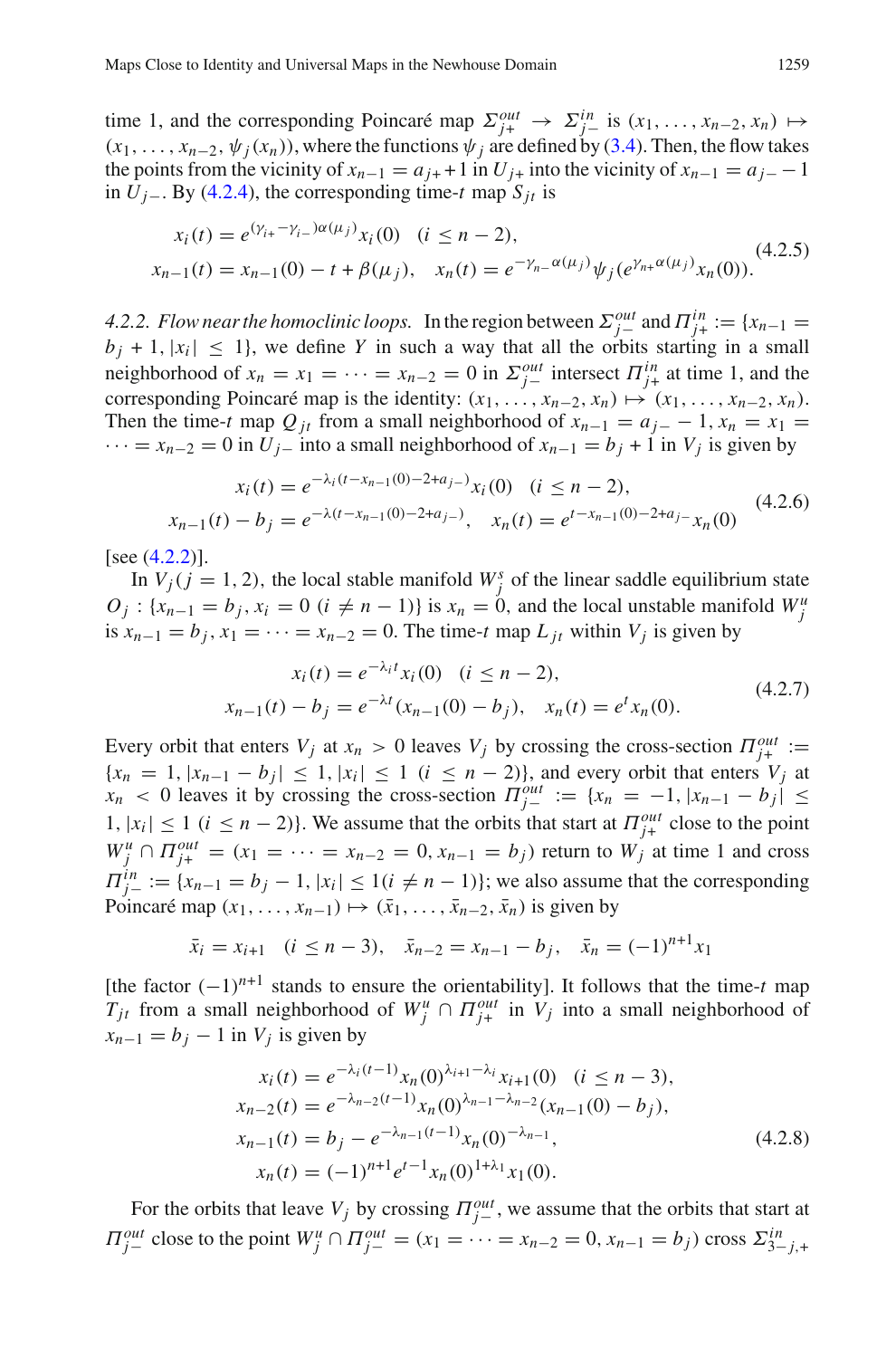time 1, and the corresponding Poincaré map  $\Sigma_{j+}^{out} \to \Sigma_{j-}^{in}$  is  $(x_1, \ldots, x_{n-2}, x_n) \mapsto$  $(x_1, \ldots, x_{n-2}, \psi_i(x_n))$ , where the functions  $\psi_i$  are defined by [\(3.4\)](#page-9-4). Then, the flow takes the points from the vicinity of  $x_{n-1} = a_{i+1} + 1$  in  $U_{i+1}$  into the vicinity of  $x_{n-1} = a_{i-1} - 1$ in  $U_j$ <sub>−</sub>. By [\(4.2.4\)](#page-23-1), the corresponding time-*t* map  $S_{jt}$  is

$$
x_i(t) = e^{(\gamma_{i+} - \gamma_{i-})\alpha(\mu_j)} x_i(0) \quad (i \le n - 2),
$$
  
\n
$$
x_{n-1}(t) = x_{n-1}(0) - t + \beta(\mu_j), \quad x_n(t) = e^{-\gamma_{n-}\alpha(\mu_j)} \psi_j(e^{\gamma_{n+}\alpha(\mu_j)} x_n(0)).
$$
\n(4.2.5)

<span id="page-24-0"></span>*4.2.2. Flow near the homoclinic loops.* In the region between  $\Sigma_{j-}^{out}$  and  $\Pi_{j+}^{in} := \{x_{n-1} =$  $b_i + 1$ ,  $|x_i| \leq 1$ , we define *Y* in such a way that all the orbits starting in a small neighborhood of  $x_n = x_1 = \cdots = x_{n-2} = 0$  in  $\sum_{j=1}^{out}$  intersect  $\prod_{j=1}^{in}$  at time 1, and the corresponding Poincaré map is the identity:  $(x_1, \ldots, x_{n-2}, x_n) \mapsto (x_1, \ldots, x_{n-2}, x_n)$ . Then the time-*t* map  $Q_{it}$  from a small neighborhood of  $x_{n-1} = a_{i-1} - 1$ ,  $x_n = x_1 =$  $\cdots = x_{n-2} = 0$  in  $U_j$ <sub>−</sub> into a small neighborhood of  $x_{n-1} = b_j + 1$  in  $V_j$  is given by

$$
x_i(t) = e^{-\lambda_i (t - x_{n-1}(0) - 2 + a_{j-})} x_i(0) \quad (i \le n - 2),
$$
  
\n
$$
x_{n-1}(t) - b_j = e^{-\lambda (t - x_{n-1}(0) - 2 + a_{j-})}, \quad x_n(t) = e^{t - x_{n-1}(0) - 2 + a_{j-}} x_n(0)
$$
\n(4.2.6)

<span id="page-24-3"></span> $[see (4.2.2)].$  $[see (4.2.2)].$  $[see (4.2.2)].$ 

In  $V_j$  ( $j = 1, 2$ ), the local stable manifold  $W_j^s$  of the linear saddle equilibrium state  $O_j$ : { $x_{n-1} = b_j$ ,  $x_i = 0$  ( $i \neq n-1$ )} is  $x_n = 0$ , and the local unstable manifold  $W_j^u$ is  $x_{n-1} = b_i$ ,  $x_1 = \cdots = x_{n-2} = 0$ . The time-*t* map  $L_{it}$  within  $V_i$  is given by

$$
x_i(t) = e^{-\lambda_i t} x_i(0) \quad (i \le n - 2),
$$
  
\n
$$
x_{n-1}(t) - b_j = e^{-\lambda t} (x_{n-1}(0) - b_j), \quad x_n(t) = e^t x_n(0).
$$
\n(4.2.7)

<span id="page-24-2"></span>Every orbit that enters  $V_j$  at  $x_n > 0$  leaves  $V_j$  by crossing the cross-section  $\Pi_{j+}^{out} :=$  ${x_n = 1, |x_{n-1} - b_i| \leq 1, |x_i| \leq 1 \ (i \leq n-2)}$ , and every orbit that enters  $V_i$  at  $x_n$  < 0 leaves it by crossing the cross-section  $\Pi_{j-}^{out} := \{x_n = -1, |x_{n-1} - b_j| \leq j \}$  $|1, |x_i| \leq 1$  ( $i \leq n - 2$ ). We assume that the orbits that start at  $\Pi_{j+}^{out}$  close to the point  $W_j^u \cap H_{j+}^{out} = (x_1 = \cdots = x_{n-2} = 0, x_{n-1} = b_j)$  return to  $W_j$  at time 1 and cross  $\Pi_{j-}^{in} := \{x_{n-1} = b_j - 1, |x_i| \leq 1 (i \neq n-1)\}\;$ ; we also assume that the corresponding Poincaré map  $(x_1, \ldots, x_{n-1}) \mapsto (\bar{x}_1, \ldots, \bar{x}_{n-2}, \bar{x}_n)$  is given by

$$
\bar{x}_i = x_{i+1}
$$
  $(i \le n-3), \quad \bar{x}_{n-2} = x_{n-1} - b_j, \quad \bar{x}_n = (-1)^{n+1} x_1$ 

<span id="page-24-1"></span>[the factor  $(-1)^{n+1}$  stands to ensure the orientability]. It follows that the time-*t* map *T<sub>jt</sub>* from a small neighborhood of  $W_j^u \cap \Pi_{j+}^{out}$  in  $V_j$  into a small neighborhood of  $x_{n-1} = b_j - 1$  in  $V_j$  is given by

$$
x_i(t) = e^{-\lambda_i(t-1)} x_n(0)^{\lambda_{i+1} - \lambda_i} x_{i+1}(0) \quad (i \le n-3),
$$
  
\n
$$
x_{n-2}(t) = e^{-\lambda_{n-2}(t-1)} x_n(0)^{\lambda_{n-1} - \lambda_{n-2}} (x_{n-1}(0) - b_j),
$$
  
\n
$$
x_{n-1}(t) = b_j - e^{-\lambda_{n-1}(t-1)} x_n(0)^{-\lambda_{n-1}},
$$
  
\n
$$
x_n(t) = (-1)^{n+1} e^{t-1} x_n(0)^{1+\lambda_1} x_1(0).
$$
\n(4.2.8)

For the orbits that leave  $V_j$  by crossing  $\Pi_{j-}^{out}$ , we assume that the orbits that start at  $\Pi_{j-}^{out}$  close to the point  $W_j^u \cap \Pi_{j-}^{out} = (x_1 = \cdots = x_{n-2} = 0, x_{n-1} = b_j)$  cross  $\Sigma_{3-j,+}^{in}$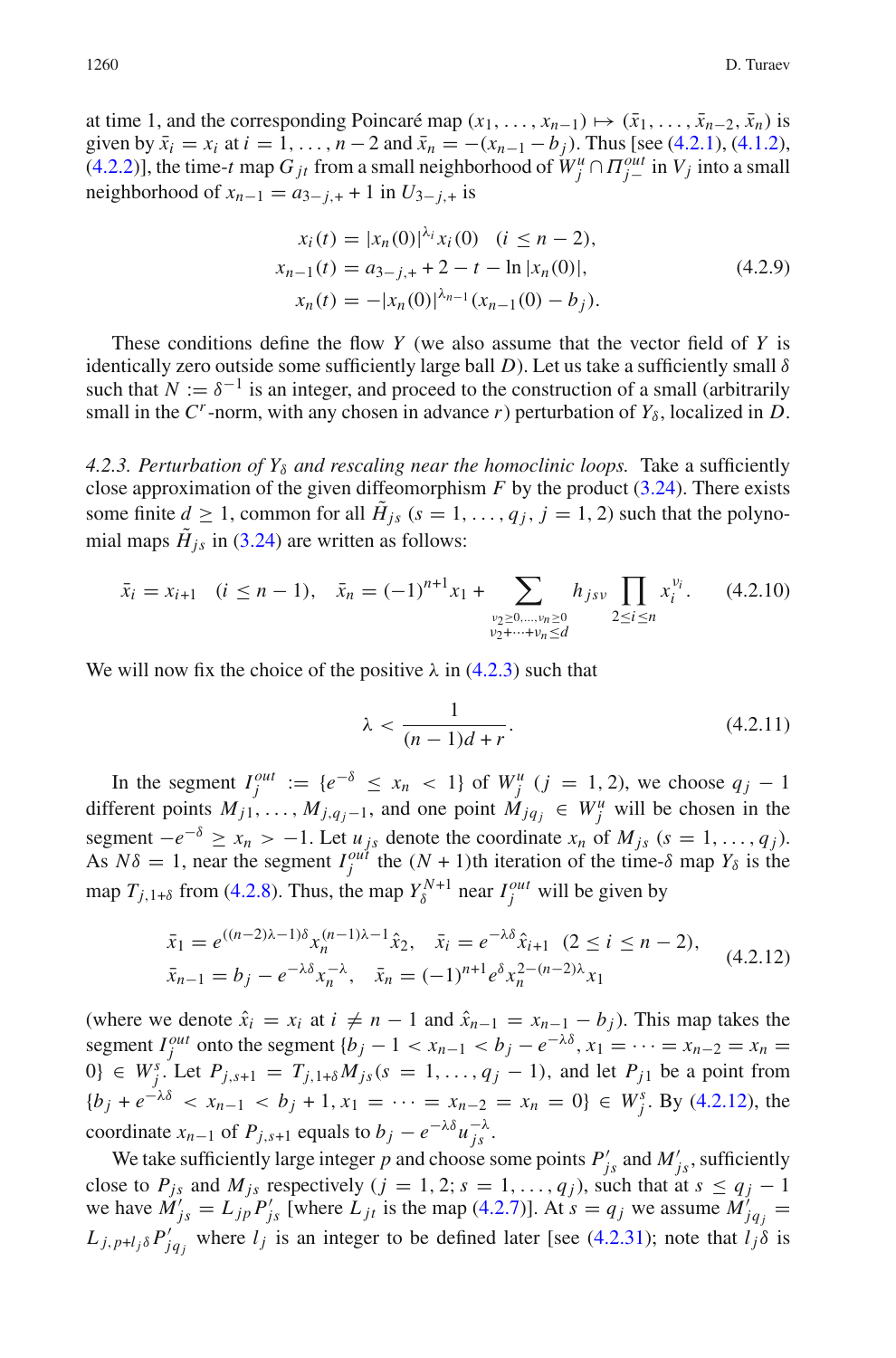at time 1, and the corresponding Poincaré map  $(x_1, \ldots, x_{n-1}) \mapsto (\bar{x}_1, \ldots, \bar{x}_{n-2}, \bar{x}_n)$  is given by  $\bar{x}_i = x_i$  at  $i = 1, ..., n-2$  and  $\bar{x}_n = -(x_{n-1} - b_i)$ . Thus [see [\(4.2.1\)](#page-23-0), [\(4.1.2\)](#page-16-2), [\(4.2.2\)](#page-23-2)], the time-*t* map  $G_{jt}$  from a small neighborhood of  $W_j^u \cap \Pi_{j-}^{out}$  in  $V_j$  into a small neighborhood of  $x_{n-1} = a_{3-j,+} + 1$  in  $U_{3-j,+}$  is

<span id="page-25-2"></span>
$$
x_i(t) = |x_n(0)|^{\lambda_i} x_i(0) \quad (i \le n - 2),
$$
  
\n
$$
x_{n-1}(t) = a_{3-j,+} + 2 - t - \ln |x_n(0)|,
$$
  
\n
$$
x_n(t) = -|x_n(0)|^{\lambda_{n-1}} (x_{n-1}(0) - b_j).
$$
\n(4.2.9)

These conditions define the flow *Y* (we also assume that the vector field of *Y* is identically zero outside some sufficiently large ball  $D$ ). Let us take a sufficiently small  $\delta$ such that  $N := \delta^{-1}$  is an integer, and proceed to the construction of a small (arbitrarily small in the  $C^r$ -norm, with any chosen in advance *r*) perturbation of  $Y_\delta$ , localized in *D*.

*4.2.3. Perturbation of Y*<sup>δ</sup> *and rescaling near the homoclinic loops.* Take a sufficiently close approximation of the given diffeomorphism  $F$  by the product  $(3.24)$ . There exists some finite  $d \ge 1$ , common for all  $\tilde{H}_{js}$  ( $s = 1, \ldots, q_j, j = 1, 2$ ) such that the polynomial maps  $\tilde{H}_{is}$  in [\(3.24\)](#page-13-1) are written as follows:

$$
\bar{x}_i = x_{i+1} \quad (i \le n-1), \quad \bar{x}_n = (-1)^{n+1} x_1 + \sum_{\substack{\nu_2 \ge 0, \dots, \nu_n \ge 0 \\ \nu_2 + \dots + \nu_n \le d}} h_{jsv} \prod_{2 \le i \le n} x_i^{\nu_i}.
$$
 (4.2.10)

We will now fix the choice of the positive  $\lambda$  in [\(4.2.3\)](#page-23-3) such that

<span id="page-25-0"></span>
$$
\lambda < \frac{1}{(n-1)d+r}.\tag{4.2.11}
$$

In the segment  $I_j^{out} := \{e^{-\delta} \le x_n < 1\}$  of  $W_j^u$  ( $j = 1, 2$ ), we choose  $q_j - 1$ different points  $M_{j1}, \ldots, M_{j,q_j-1}$ , and one point  $M_{jq_j} \in W_j^u$  will be chosen in the segment  $-e^{-\delta} \ge x_n > -1$ . Let  $u_{js}$  denote the coordinate  $x_n$  of  $M_{js}$  ( $s = 1, ..., q_j$ ). As  $N\delta = 1$ , near the segment  $I_j^{out}$  the  $(N + 1)$ th iteration of the time- $\delta$  map  $Y_\delta$  is the map  $T_{j,1+\delta}$  from [\(4.2.8\)](#page-24-1). Thus, the map  $Y_{\delta}^{N+1}$  near  $I_j^{out}$  will be given by

$$
\bar{x}_1 = e^{((n-2)\lambda - 1)\delta} x_n^{(n-1)\lambda - 1} \hat{x}_2, \quad \bar{x}_i = e^{-\lambda \delta} \hat{x}_{i+1} \quad (2 \le i \le n-2),
$$
\n
$$
\bar{x}_{n-1} = b_j - e^{-\lambda \delta} x_n^{-\lambda}, \quad \bar{x}_n = (-1)^{n+1} e^{\delta} x_n^{2 - (n-2)\lambda} x_1
$$
\n(4.2.12)

<span id="page-25-1"></span>(where we denote  $\hat{x}_i = x_i$  at  $i \neq n - 1$  and  $\hat{x}_{n-1} = x_{n-1} - b_i$ ). This map takes the segment *I*<sup>out</sup> onto the segment {*b<sub>j</sub>* − 1 < *x<sub>n−1</sub>* < *b<sub>j</sub>* − *e*<sup>- $\lambda \delta$ </sup>, *x*<sub>1</sub> = ··· = *x<sub>n−2</sub>* = *x<sub>n</sub>* = 0} ∈  $W_j^s$ . Let  $P_{j,s+1} = T_{j,1+s} M_{js}(s = 1, ..., q_j - 1)$ , and let  $P_{j1}$  be a point from  ${b_j + e^{-\lambda \delta}} < x_{n-1} < b_j + 1, x_1 = \cdots = x_{n-2} = x_n = 0$   $\in W_j^s$ . By [\(4.2.12\)](#page-25-1), the coordinate  $x_{n-1}$  of  $P_{j,s+1}$  equals to  $b_j - e^{-\lambda \delta} u_{js}^{-\lambda}$ .

We take sufficiently large integer *p* and choose some points  $P'_{js}$  and  $M'_{js}$ , sufficiently close to  $P_{js}$  and  $M_{js}$  respectively ( $j = 1, 2; s = 1, \ldots, q_j$ ), such that at  $s \leq q_j - 1$ we have  $\hat{M}_{js}^{\prime} = L_{jp}P_{js}^{\prime}$  [where  $L_{jt}$  is the map [\(4.2.7\)](#page-24-2)]. At  $s = q_j$  we assume  $\hat{M}_{jq}^{\prime} =$  $L_{j,p+l_j\delta} P'_{jq_j}$  where  $l_j$  is an integer to be defined later [see [\(4.2.31\)](#page-30-1); note that  $l_j\delta$  is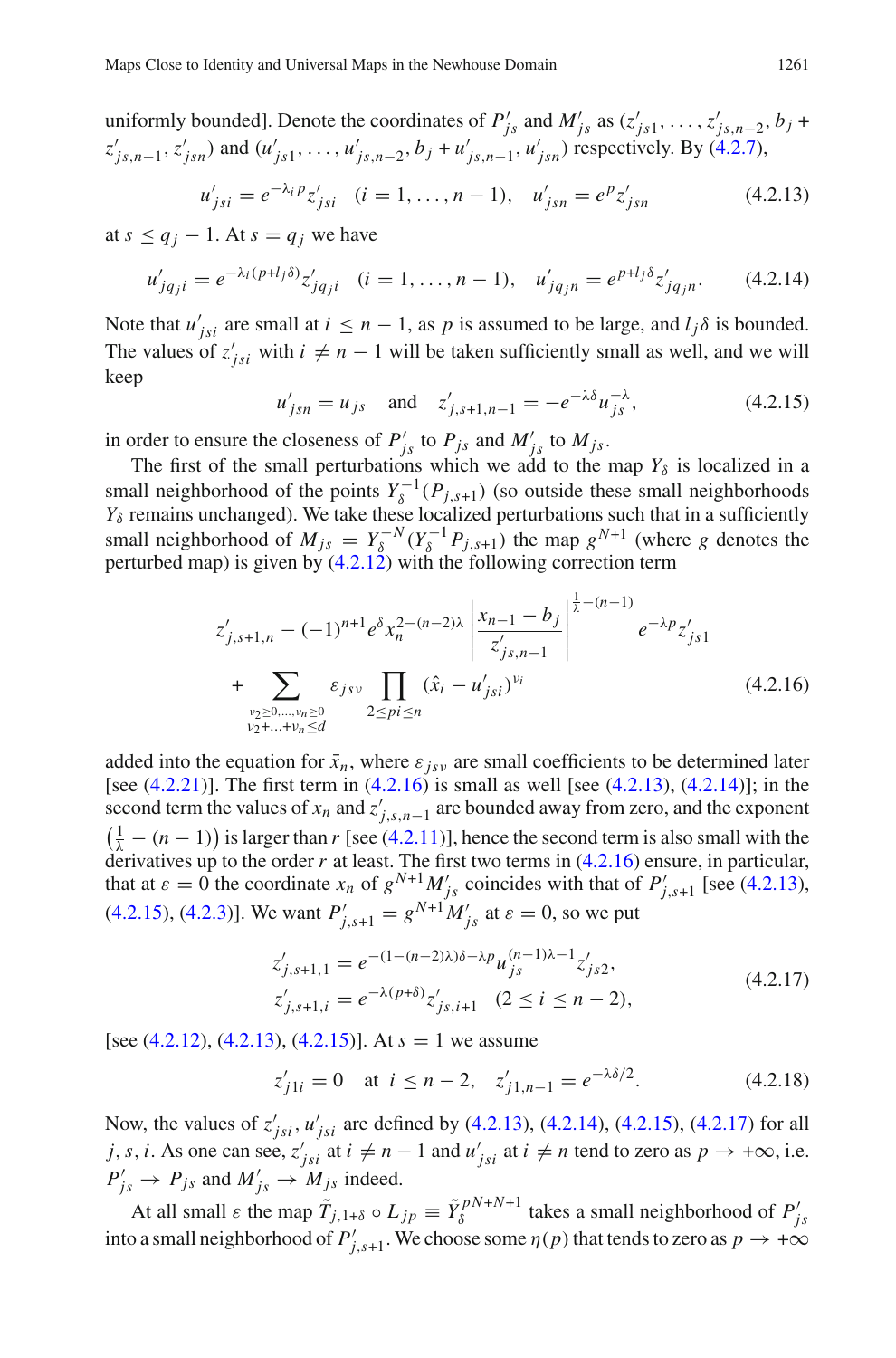uniformly bounded]. Denote the coordinates of  $P'_{js}$  and  $M'_{js}$  as  $(z'_{js1}, \ldots, z'_{js,n-2}, b_j +$  $z'_{js,n-1}, z'_{jsn}$  and  $(u'_{js1},..., u'_{js,n-2}, b_j + u'_{js,n-1}, u'_{jsn})$  respectively. By [\(4.2.7\)](#page-24-2),

<span id="page-26-2"></span><span id="page-26-1"></span>
$$
u'_{jsi} = e^{-\lambda_i p} z'_{jsi} \quad (i = 1, ..., n - 1), \quad u'_{jsn} = e^p z'_{jsn} \tag{4.2.13}
$$

at  $s \leq q_i - 1$ . At  $s = q_i$  we have

$$
u'_{jq_ji} = e^{-\lambda_i (p+l_j \delta)} z'_{jq_ji} \quad (i = 1, \dots, n-1), \quad u'_{jq_jn} = e^{p+l_j \delta} z'_{jq_jn}.
$$
 (4.2.14)

<span id="page-26-3"></span>Note that  $u'_{jsi}$  are small at  $i \leq n - 1$ , as p is assumed to be large, and  $l_j \delta$  is bounded. The values of  $z'_{jsi}$  with  $i \neq n-1$  will be taken sufficiently small as well, and we will keep

$$
u'_{jsn} = u_{js}
$$
 and  $z'_{j,s+1,n-1} = -e^{-\lambda \delta} u_{js}^{-\lambda}$ , (4.2.15)

in order to ensure the closeness of  $P'_{js}$  to  $P_{js}$  and  $M'_{js}$  to  $M_{js}$ .

The first of the small perturbations which we add to the map  $Y_\delta$  is localized in a small neighborhood of the points  $Y_\delta^{-1}(P_{j,s+1})$  (so outside these small neighborhoods  $Y_\delta$  remains unchanged). We take these localized perturbations such that in a sufficiently small neighborhood of  $M_{js} = Y_\delta^{-N} (Y_\delta^{-1} P_{j,s+1})$  the map  $g^{N+1}$  (where *g* denotes the perturbed map) is given by  $(4.2.12)$  with the following correction term

$$
z'_{j,s+1,n} - (-1)^{n+1} e^{\delta x_n^{2-(n-2)\lambda}} \left| \frac{x_{n-1} - b_j}{z'_{j,s,n-1}} \right|^{\frac{1}{\lambda} - (n-1)} e^{-\lambda p} z'_{js1}
$$
  
+ 
$$
\sum_{\substack{\nu_2 \ge 0, \dots, \nu_n \ge 0 \\ \nu_2 + \dots + \nu_n \le d}} \varepsilon_{jsv} \prod_{2 \le pi \le n} (\hat{x}_i - u'_{jsi})^{\nu_i}
$$
(4.2.16)

<span id="page-26-0"></span>added into the equation for  $\bar{x}_n$ , where  $\varepsilon_{isv}$  are small coefficients to be determined later [see  $(4.2.21)$ ]. The first term in  $(4.2.16)$  is small as well [see  $(4.2.13)$ ,  $(4.2.14)$ ]; in the second term the values of  $x_n$  and  $z'_{j,s,n-1}$  are bounded away from zero, and the exponent  $\left(\frac{1}{\lambda} - (n-1)\right)$  is larger than *r* [see [\(4.2.11\)](#page-25-0)], hence the second term is also small with the derivatives up to the order  $r$  at least. The first two terms in  $(4.2.16)$  ensure, in particular, that at  $\varepsilon = 0$  the coordinate  $x_n$  of  $g^{N+1} M'_{js}$  coincides with that of  $P'_{j,s+1}$  [see [\(4.2.13\)](#page-26-1), [\(4.2.15\)](#page-26-3), [\(4.2.3\)](#page-23-3)]. We want  $P'_{j,s+1} = g^{N+1} M'_{j,s}$  at  $\varepsilon = 0$ , so we put

$$
z'_{j,s+1,1} = e^{-(1 - (n-2)\lambda)\delta - \lambda p} u_{js}^{(n-1)\lambda - 1} z'_{js2},
$$
  
\n
$$
z'_{j,s+1,i} = e^{-\lambda(p+\delta)} z'_{js,i+1} \quad (2 \le i \le n-2),
$$
\n(4.2.17)

<span id="page-26-4"></span>[see [\(4.2.12\)](#page-25-1), [\(4.2.13\)](#page-26-1), [\(4.2.15\)](#page-26-3)]. At *s* = 1 we assume

$$
z'_{j1i} = 0
$$
 at  $i \le n - 2$ ,  $z'_{j1,n-1} = e^{-\lambda \delta/2}$ . (4.2.18)

Now, the values of  $z'_{jsi}$ ,  $u'_{jsi}$  are defined by [\(4.2.13\)](#page-26-1), [\(4.2.14\)](#page-26-2), [\(4.2.15\)](#page-26-3), [\(4.2.17\)](#page-26-4) for all *j*, *s*, *i*. As one can see,  $z'_{jsi}$  at  $i \neq n-1$  and  $u'_{jsi}$  at  $i \neq n$  tend to zero as  $p \to +\infty$ , i.e.  $P'_{js} \rightarrow P_{js}$  and  $M'_{js} \rightarrow M_{js}$  indeed.

At all small  $\varepsilon$  the map  $\tilde{T}_{j,1+\delta} \circ L_{jp} \equiv \tilde{Y}_{\delta}^{pN+N+1}$  takes a small neighborhood of  $P'_{js}$ into a small neighborhood of  $P'_{j,s+1}$ . We choose some  $\eta(p)$  that tends to zero as  $p \to +\infty$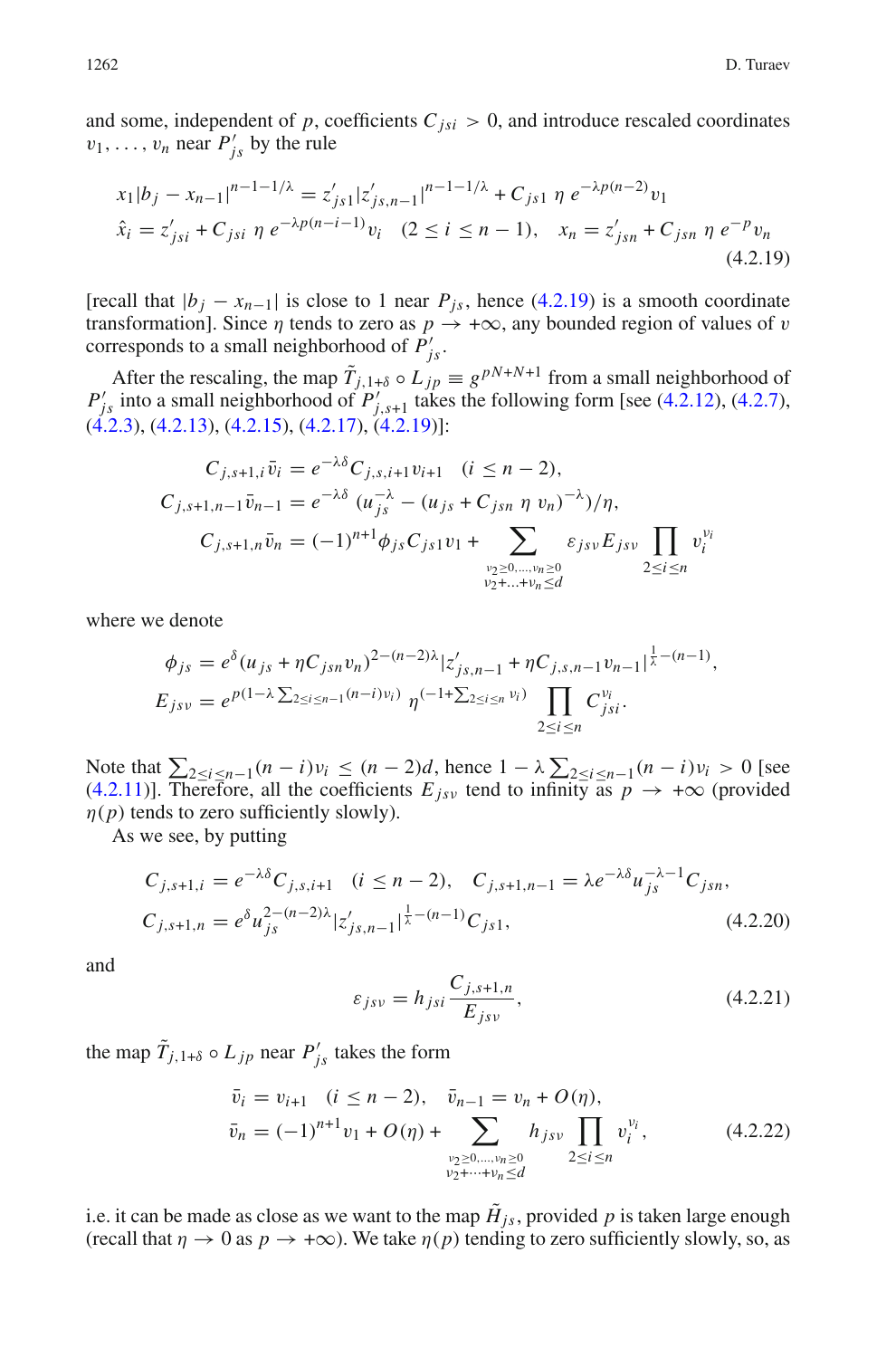<span id="page-27-2"></span>and some, independent of  $p$ , coefficients  $C_{isi} > 0$ , and introduce rescaled coordinates  $v_1, \ldots, v_n$  near  $P'_{js}$  by the rule

$$
x_1|b_j - x_{n-1}|^{n-1-1/\lambda} = z'_{js1}|z'_{js,n-1}|^{n-1-1/\lambda} + C_{js1} \eta e^{-\lambda p(n-2)}v_1
$$
  
\n
$$
\hat{x}_i = z'_{jsi} + C_{jsi} \eta e^{-\lambda p(n-i-1)}v_i \quad (2 \le i \le n-1), \quad x_n = z'_{jsn} + C_{jsn} \eta e^{-p}v_n
$$
\n(4.2.19)

[recall that  $|b_j - x_{n-1}|$  is close to 1 near  $P_{js}$ , hence [\(4.2.19\)](#page-27-2) is a smooth coordinate transformation]. Since  $\eta$  tends to zero as  $p \to +\infty$ , any bounded region of values of v corresponds to a small neighborhood of  $P'_{j<sub>s</sub>}$ .

After the rescaling, the map  $\tilde{T}_{j,1+\delta} \circ L_{jp} \equiv g^{pN+N+1}$  from a small neighborhood of  $P'_{j_s}$  into a small neighborhood of  $P'_{j,s+1}$  takes the following form [see [\(4.2.12\)](#page-25-1), [\(4.2.7\)](#page-24-2), [\(4.2.3\)](#page-23-3), [\(4.2.13\)](#page-26-1), [\(4.2.15\)](#page-26-3), [\(4.2.17\)](#page-26-4), [\(4.2.19\)](#page-27-2)]:

$$
C_{j,s+1,i} \bar{v}_i = e^{-\lambda \delta} C_{j,s,i+1} v_{i+1} \quad (i \le n-2),
$$
  
\n
$$
C_{j,s+1,n-1} \bar{v}_{n-1} = e^{-\lambda \delta} (u_{js}^{-\lambda} - (u_{js} + C_{jsn} \eta v_n)^{-\lambda})/\eta,
$$
  
\n
$$
C_{j,s+1,n} \bar{v}_n = (-1)^{n+1} \phi_{js} C_{js1} v_1 + \sum_{\substack{v_2 \ge 0, \dots, v_n \ge 0 \\ v_2 + \dots + v_n \le d}} \varepsilon_{jsv} E_{jsv} \prod_{2 \le i \le n} v_i^{v_i}
$$

where we denote

$$
\phi_{js} = e^{\delta} (u_{js} + \eta C_{jsn} v_n)^{2 - (n-2)\lambda} |z'_{js,n-1} + \eta C_{j,s,n-1} v_{n-1}|^{\frac{1}{\lambda} - (n-1)},
$$
  
\n
$$
E_{jsv} = e^{p(1-\lambda \sum_{2 \le i \le n-1} (n-i)v_i)} \eta^{(-1+\sum_{2 \le i \le n} v_i)} \prod_{2 \le i \le n} C_{jsi}^{v_i}.
$$

Note that  $\sum_{2 \le i \le n-1} (n-i)v_i \le (n-2)d$ , hence  $1 - \lambda \sum_{2 \le i \le n-1} (n-i)v_i > 0$  [see [\(4.2.11\)](#page-25-0)]. Therefore, all the coefficients  $E_{jsv}$  tend to infinity as  $p \to +\infty$  (provided  $\eta(p)$  tends to zero sufficiently slowly).

<span id="page-27-3"></span>As we see, by putting

$$
C_{j,s+1,i} = e^{-\lambda \delta} C_{j,s,i+1} \quad (i \le n-2), \quad C_{j,s+1,n-1} = \lambda e^{-\lambda \delta} u_{js}^{-\lambda - 1} C_{jsn},
$$
  

$$
C_{j,s+1,n} = e^{\delta} u_{js}^{2-(n-2)\lambda} |z'_{js,n-1}|^{\frac{1}{\lambda}-(n-1)} C_{js1},
$$
 (4.2.20)

<span id="page-27-1"></span>and

$$
\varepsilon_{jsv} = h_{jsi} \frac{C_{j,s+1,n}}{E_{jsv}},\tag{4.2.21}
$$

<span id="page-27-0"></span>the map  $\tilde{T}_{j,1+\delta} \circ L_{jp}$  near  $P'_{js}$  takes the form

$$
\bar{v}_i = v_{i+1} \quad (i \le n-2), \quad \bar{v}_{n-1} = v_n + O(\eta),
$$
\n
$$
\bar{v}_n = (-1)^{n+1} v_1 + O(\eta) + \sum_{\substack{\nu_2 \ge 0, \dots, \nu_n \ge 0 \\ \nu_2 + \dots + \nu_n \le d}} h_{jsv} \prod_{2 \le i \le n} v_i^{\nu_i}, \tag{4.2.22}
$$

i.e. it can be made as close as we want to the map  $\tilde{H}_{is}$ , provided p is taken large enough (recall that  $\eta \to 0$  as  $p \to +\infty$ ). We take  $\eta(p)$  tending to zero sufficiently slowly, so, as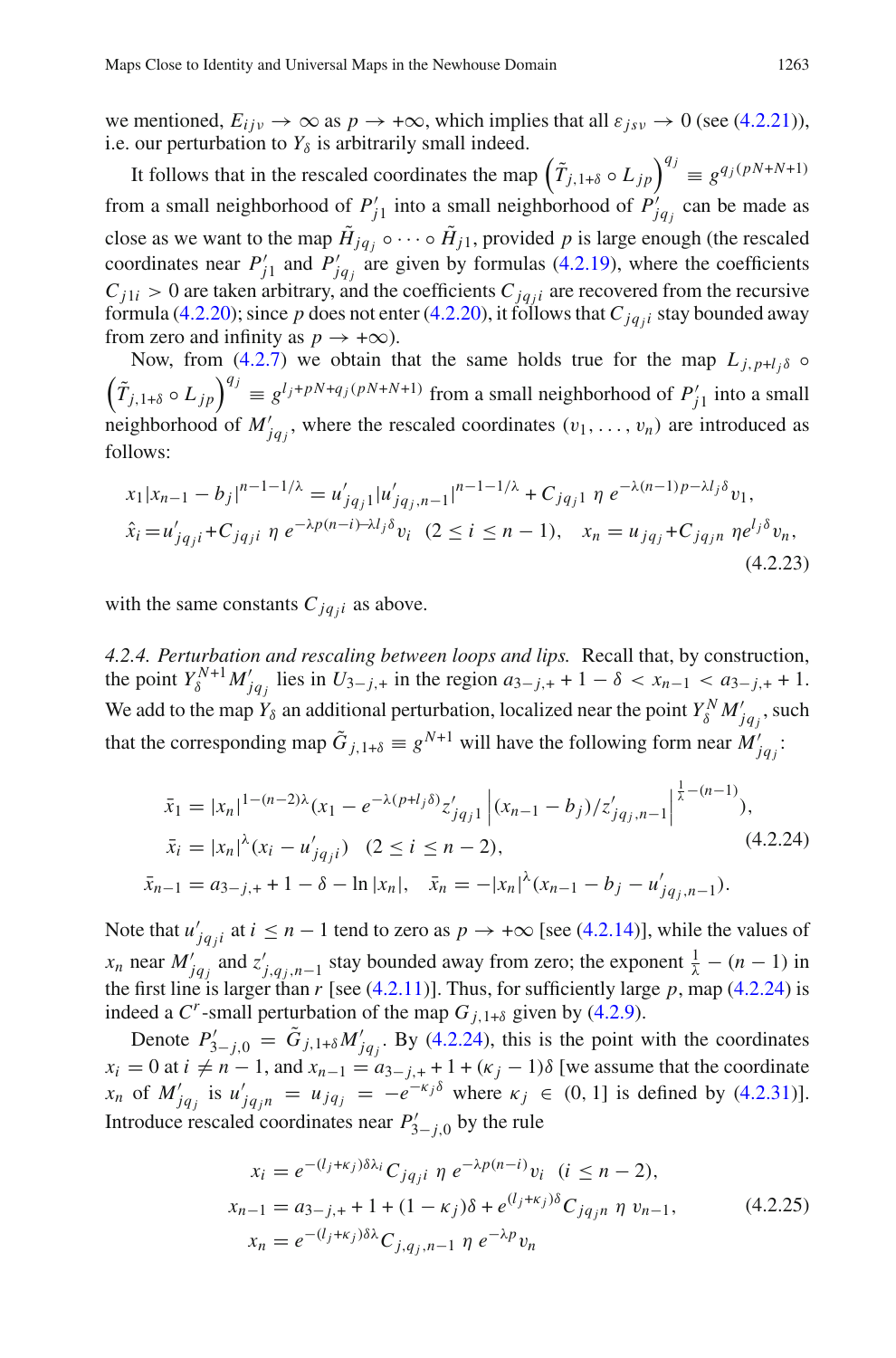we mentioned,  $E_{ijy} \rightarrow \infty$  as  $p \rightarrow +\infty$ , which implies that all  $\varepsilon_{isy} \rightarrow 0$  (see [\(4.2.21\)](#page-27-1)), i.e. our perturbation to  $Y_\delta$  is arbitrarily small indeed.

It follows that in the rescaled coordinates the map  $(\tilde{T}_{j,1+\delta} \circ L_{jp})^{q_j} \equiv g^{q_j(pN+N+1)}$ from a small neighborhood of  $P'_{j1}$  into a small neighborhood of  $P'_{jq_j}$  can be made as close as we want to the map  $\tilde{H}_{jq} \circ \cdots \circ \tilde{H}_{j1}$ , provided p is large enough (the rescaled coordinates near  $P'_{j1}$  and  $P'_{jq_j}$  are given by formulas [\(4.2.19\)](#page-27-2), where the coefficients  $C_{j1i} > 0$  are taken arbitrary, and the coefficients  $C_{jqji}$  are recovered from the recursive formula [\(4.2.20\)](#page-27-3); since p does not enter (4.2.20), it follows that  $C_{jq_j i}$  stay bounded away from zero and infinity as  $p \rightarrow +\infty$ ).

Now, from [\(4.2.7\)](#page-24-2) we obtain that the same holds true for the map  $L_{i, p+l, \delta}$   $\circ$  $(\tilde{T}_{j,1+\delta} \circ L_{jp})^{q_j} \equiv g^{l_j+pN+q_j(pN+N+1)}$  from a small neighborhood of  $P'_{j1}$  into a small neighborhood of  $M'_{jq_j}$ , where the rescaled coordinates  $(v_1, \ldots, v_n)$  are introduced as follows:

<span id="page-28-1"></span>
$$
x_1 | x_{n-1} - b_j |^{n-1-1/\lambda} = u'_{jq_j 1} | u'_{jq_j, n-1} |^{n-1-1/\lambda} + C_{jq_j 1} \eta e^{-\lambda (n-1)p - \lambda l_j \delta} v_1,
$$
  
\n
$$
\hat{x}_i = u'_{jq_j i} + C_{jq_j i} \eta e^{-\lambda p (n-i) - \lambda l_j \delta} v_i \quad (2 \le i \le n-1), \quad x_n = u_{jq_j} + C_{jq_j n} \eta e^{l_j \delta} v_n,
$$
  
\n(4.2.23)

with the same constants  $C_{jq,i}$  as above.

*4.2.4. Perturbation and rescaling between loops and lips.* Recall that, by construction, the point  $Y_{\delta}^{N+1} M'_{j q_j}$  lies in  $U_{3-j,+}$  in the region  $a_{3-j,+} + 1 - \delta < x_{n-1} < a_{3-j,+} + 1$ . We add to the map  $Y_\delta$  an additional perturbation, localized near the point  $Y_\delta^N M'_{jq_j}$ , such that the corresponding map  $\tilde{G}_{j,1+\delta} \equiv g^{N+1}$  will have the following form near  $M'_{jq_j}$ :

$$
\bar{x}_1 = |x_n|^{1 - (n-2)\lambda} (x_1 - e^{-\lambda(p+l_j\delta)} z'_{jqj1} | (x_{n-1} - b_j) / z'_{jqj,n-1}|^{\frac{1}{\lambda} - (n-1)}),
$$
  
\n
$$
\bar{x}_i = |x_n|^{\lambda} (x_i - u'_{jqj} - 2) \quad (2 \le i \le n-2),
$$
  
\n
$$
\bar{x}_{n-1} = a_{3-j,+} + 1 - \delta - \ln |x_n|, \quad \bar{x}_n = -|x_n|^{\lambda} (x_{n-1} - b_j - u'_{jqj,n-1}).
$$
\n(4.2.24)

<span id="page-28-0"></span>Note that  $u'_{jq_j i}$  at  $i \leq n-1$  tend to zero as  $p \to +\infty$  [see [\(4.2.14\)](#page-26-2)], while the values of *x<sub>n</sub>* near  $M'_{jq_j}$  and  $z'_{j,q_j,n-1}$  stay bounded away from zero; the exponent  $\frac{1}{\lambda} - (n-1)$  in the first line is larger than  $r$  [see [\(4.2.11\)](#page-25-0)]. Thus, for sufficiently large  $p$ , map [\(4.2.24\)](#page-28-0) is indeed a  $C^r$ -small perturbation of the map  $G_{i,1+\delta}$  given by [\(4.2.9\)](#page-25-2).

Denote  $P'_{3-j,0} = \tilde{G}_{j,1+\delta} M'_{jqj}$ . By [\(4.2.24\)](#page-28-0), this is the point with the coordinates  $x_i = 0$  at  $i \neq n-1$ , and  $x_{n-1} = a_{3-j,+} + 1 + (\kappa_j - 1)\delta$  [we assume that the coordinate  $x_n$  of  $M'_{jq_j}$  is  $u'_{jq_j n} = u_{jq_j} = -e^{-\kappa_j \delta}$  where  $\kappa_j \in (0, 1]$  is defined by [\(4.2.31\)](#page-30-1)]. Introduce rescaled coordinates near  $P'_{3-j,0}$  by the rule

<span id="page-28-2"></span>
$$
x_i = e^{-(l_j + \kappa_j)\delta\lambda_i} C_{jq_j i} \eta e^{-\lambda p(n-i)} v_i \quad (i \le n - 2),
$$
  
\n
$$
x_{n-1} = a_{3-j,+} + 1 + (1 - \kappa_j)\delta + e^{(l_j + \kappa_j)\delta} C_{jq_j n} \eta v_{n-1},
$$
  
\n
$$
x_n = e^{-(l_j + \kappa_j)\delta\lambda} C_{j,q_j,n-1} \eta e^{-\lambda p} v_n
$$
\n(4.2.25)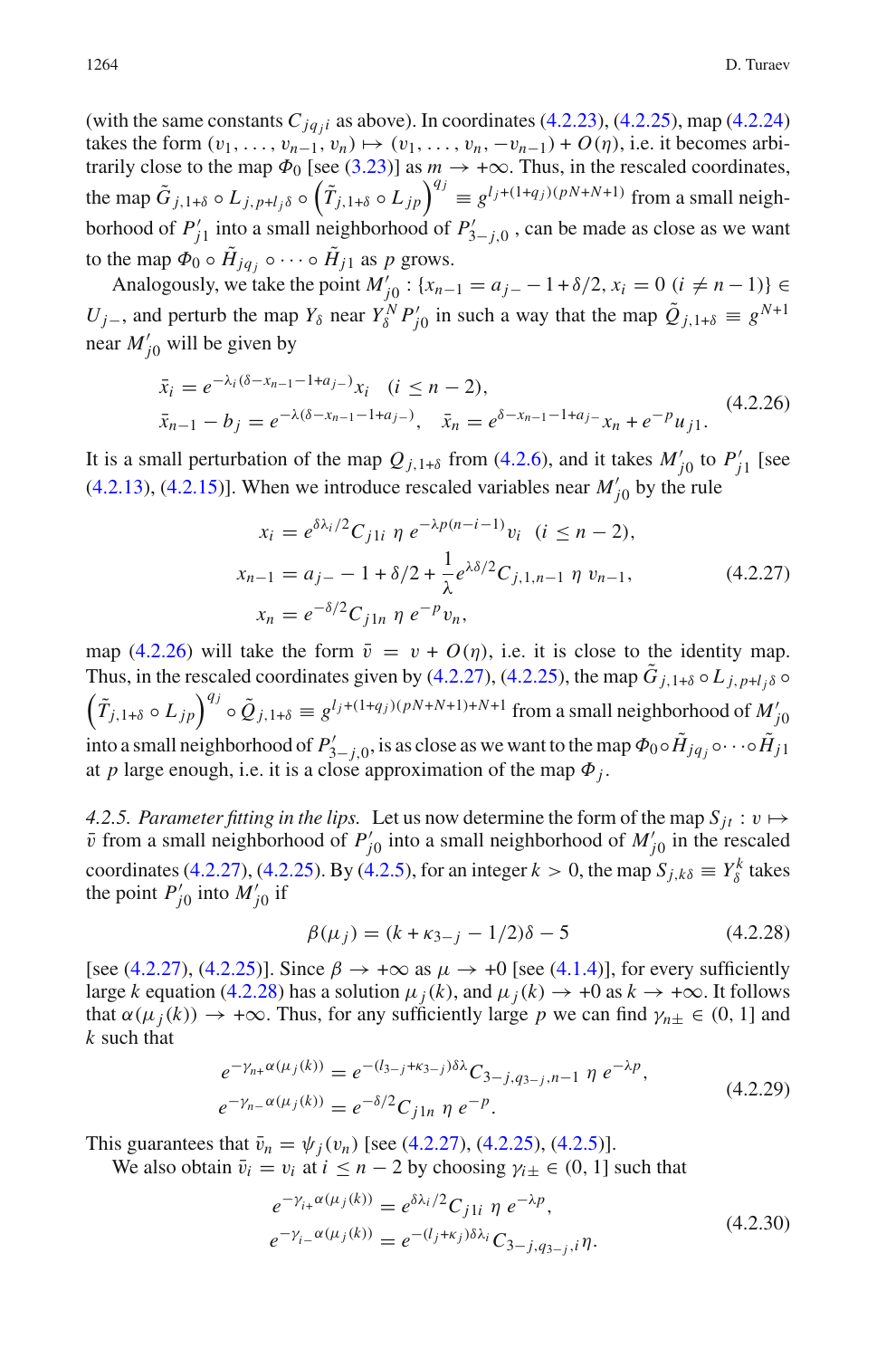(with the same constants  $C_{jq,j}$  as above). In coordinates [\(4.2.23\)](#page-28-1), [\(4.2.25\)](#page-28-2), map [\(4.2.24\)](#page-28-0) takes the form  $(v_1, \ldots, v_{n-1}, v_n) \mapsto (v_1, \ldots, v_n, -v_{n-1}) + O(\eta)$ , i.e. it becomes arbitrarily close to the map  $\Phi_0$  [see [\(3.23\)](#page-13-2)] as  $m \to +\infty$ . Thus, in the rescaled coordinates, the map  $\tilde{G}_{j,1+\delta} \circ L_{j,p+l_j\delta} \circ (\tilde{T}_{j,1+\delta} \circ L_{jp})^{q_j} \equiv g^{l_j+(1+q_j)(pN+N+1)}$  from a small neighborhood of  $P'_{j1}$  into a small neighborhood of  $P'_{3-j,0}$ , can be made as close as we want to the map  $\Phi_0 \circ \tilde{H}_{jq} \circ \cdots \circ \tilde{H}_{j1}$  as p grows.

Analogously, we take the point  $M'_{j0}$ : { $x_{n-1} = a_{j-} - 1 + \delta/2$ ,  $x_i = 0$  ( $i \neq n-1$ )} ∈ *U*<sub>j</sub>−, and perturb the map  $Y_\delta$  near  $Y_\delta^N P'_{j0}$  in such a way that the map  $\tilde{Q}_{j,1+\delta} \equiv g^{N+1}$ near  $M'_{j0}$  will be given by

$$
\begin{aligned}\n\bar{x}_i &= e^{-\lambda_i(\delta - x_{n-1} - 1 + a_j)} x_i \quad (i \le n - 2), \\
\bar{x}_{n-1} - b_j &= e^{-\lambda(\delta - x_{n-1} - 1 + a_j)} \,, \quad \bar{x}_n = e^{\delta - x_{n-1} - 1 + a_j} x_n + e^{-p} u_j.\n\end{aligned} \tag{4.2.26}
$$

<span id="page-29-4"></span><span id="page-29-3"></span>It is a small perturbation of the map  $Q_{j,1+\delta}$  from [\(4.2.6\)](#page-24-3), and it takes  $M'_{j0}$  to  $P'_{j1}$  [see [\(4.2.13\)](#page-26-1), [\(4.2.15\)](#page-26-3)]. When we introduce rescaled variables near  $M'_{j0}$  by the rule

$$
x_i = e^{\delta \lambda_i/2} C_{j1i} \eta e^{-\lambda p(n-i-1)} v_i \quad (i \le n-2),
$$
  
\n
$$
x_{n-1} = a_{j-} - 1 + \delta/2 + \frac{1}{\lambda} e^{\lambda \delta/2} C_{j,1,n-1} \eta v_{n-1},
$$
  
\n
$$
x_n = e^{-\delta/2} C_{j1n} \eta e^{-p} v_n,
$$
\n(4.2.27)

map [\(4.2.26\)](#page-29-3) will take the form  $\bar{v} = v + O(\eta)$ , i.e. it is close to the identity map. Thus, in the rescaled coordinates given by [\(4.2.27\)](#page-29-4), [\(4.2.25\)](#page-28-2), the map  $\tilde{G}_{i,1+\delta} \circ L_{i,p+l,\delta} \circ L_{i,p+l,\delta}$  $(\tilde{T}_{j,1+\delta} \circ L_{jp})^{q_j} \circ \tilde{Q}_{j,1+\delta} \equiv g^{l_j+(1+q_j)(pN+N+1)+N+1}$  from a small neighborhood of  $M'_{j0}$ into a small neighborhood of  $P'_{3-j,0}$ , is as close as we want to the map  $\Phi_0\circ \tilde H_{jq_j}\circ\cdots\circ \tilde H_{j1}$ at *p* large enough, i.e. it is a close approximation of the map  $\Phi_i$ .

*4.2.5. Parameter fitting in the lips.* Let us now determine the form of the map  $S_{it} : v \mapsto$  $\bar{v}$  from a small neighborhood of  $P'_{j0}$  into a small neighborhood of  $M'_{j0}$  in the rescaled coordinates [\(4.2.27\)](#page-29-4), [\(4.2.25\)](#page-28-2). By [\(4.2.5\)](#page-24-0), for an integer  $k > 0$ , the map  $S_{j,k\delta} \equiv Y_{\delta}^k$  takes the point  $P'_{j0}$  into  $M'_{j0}$  if

$$
\beta(\mu_j) = (k + \kappa_{3-j} - 1/2)\delta - 5 \tag{4.2.28}
$$

<span id="page-29-0"></span>[see [\(4.2.27\)](#page-29-4), [\(4.2.25\)](#page-28-2)]. Since  $\beta \to +\infty$  as  $\mu \to +0$  [see [\(4.1.4\)](#page-16-3)], for every sufficiently large *k* equation [\(4.2.28\)](#page-29-0) has a solution  $\mu_i(k)$ , and  $\mu_i(k) \to +0$  as  $k \to +\infty$ . It follows that  $\alpha(\mu_j(k)) \to +\infty$ . Thus, for any sufficiently large *p* we can find  $\gamma_{n\pm} \in (0, 1]$  and *k* such that

$$
e^{-\gamma_{n+}\alpha(\mu_j(k))} = e^{-(l_{3-j}+\kappa_{3-j})\delta\lambda} C_{3-j,q_{3-j},n-1} \eta e^{-\lambda p},
$$
  
\n
$$
e^{-\gamma_{n-}\alpha(\mu_j(k))} = e^{-\delta/2} C_{j\ln \eta} e^{-p}.
$$
\n(4.2.29)

<span id="page-29-1"></span>This guarantees that  $\bar{v}_n = \psi_j(v_n)$  [see [\(4.2.27\)](#page-29-4), [\(4.2.25\)](#page-28-2), [\(4.2.5\)](#page-24-0)].

<span id="page-29-2"></span>We also obtain  $\bar{v}_i = v_i$  at  $i \leq n - 2$  by choosing  $\gamma_{i \pm} \in (0, 1]$  such that

$$
e^{-\gamma_{i+}\alpha(\mu_{j}(k))} = e^{\delta\lambda_{i}/2} C_{j1i} \eta e^{-\lambda p},
$$
  
\n
$$
e^{-\gamma_{i-}\alpha(\mu_{j}(k))} = e^{-(l_{j}+\kappa_{j})\delta\lambda_{i}} C_{3-j,q_{3-j},i} \eta.
$$
\n(4.2.30)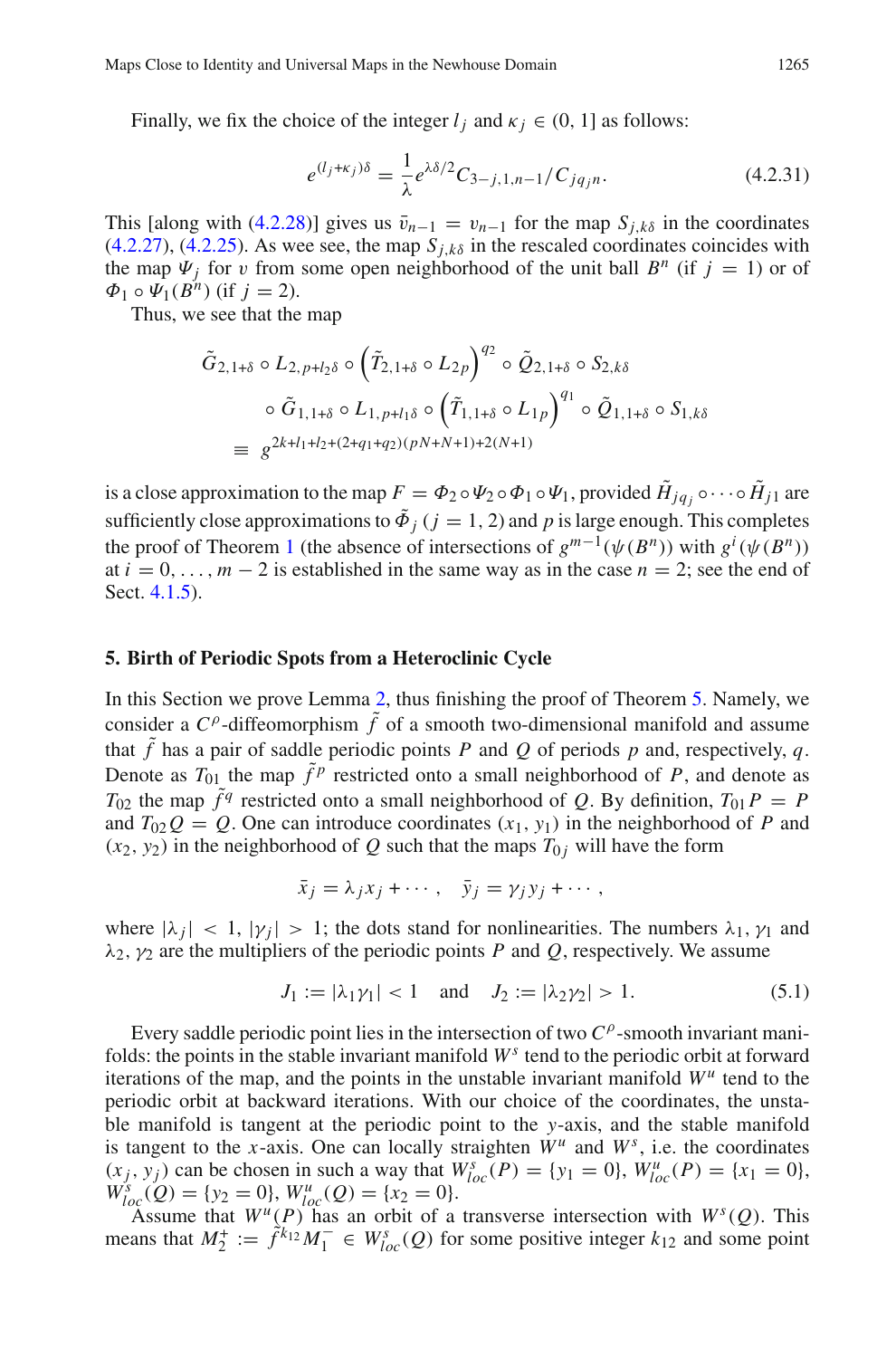Finally, we fix the choice of the integer  $l_i$  and  $\kappa_i \in (0, 1]$  as follows:

<span id="page-30-1"></span>
$$
e^{(l_j + \kappa_j)\delta} = \frac{1}{\lambda} e^{\lambda \delta/2} C_{3-j,1,n-1} / C_{jq_j n}.
$$
 (4.2.31)

This [along with [\(4.2.28\)](#page-29-0)] gives us  $\bar{v}_{n-1} = v_{n-1}$  for the map  $S_{i,k\delta}$  in the coordinates  $(4.2.27)$ ,  $(4.2.25)$ . As wee see, the map  $S<sub>i,k\delta</sub>$  in the rescaled coordinates coincides with the map  $\Psi_j$  for v from some open neighborhood of the unit ball  $B^n$  (if  $j = 1$ ) or of  $\Phi_1 \circ \Psi_1(\dot{B}^n)$  (if  $j = 2$ ).

Thus, we see that the map

$$
\tilde{G}_{2,1+\delta} \circ L_{2,p+l_2\delta} \circ (\tilde{T}_{2,1+\delta} \circ L_{2p})^{q_2} \circ \tilde{Q}_{2,1+\delta} \circ S_{2,k\delta}
$$
\n
$$
\circ \tilde{G}_{1,1+\delta} \circ L_{1,p+l_1\delta} \circ (\tilde{T}_{1,1+\delta} \circ L_{1p})^{q_1} \circ \tilde{Q}_{1,1+\delta} \circ S_{1,k\delta}
$$
\n
$$
\equiv g^{2k+l_1+l_2+(2+q_1+q_2)(pN+N+1)+2(N+1)}
$$

is a close approximation to the map  $F = \Phi_2 \circ \Psi_2 \circ \Phi_1 \circ \Psi_1$ , provided  $\tilde{H}_{jq} \circ \cdots \circ \tilde{H}_{j1}$  are sufficiently close approximations to  $\tilde{\Phi}_i$  ( $j = 1, 2$ ) and p is large enough. This completes the proof of Theorem [1](#page-2-0) (the absence of intersections of  $g^{m-1}(\psi(B^n))$  with  $g^i(\psi(B^n))$ at  $i = 0, \ldots, m - 2$  is established in the same way as in the case  $n = 2$ ; see the end of Sect. [4.1.5\)](#page-22-0).

## <span id="page-30-0"></span>**5. Birth of Periodic Spots from a Heteroclinic Cycle**

In this Section we prove Lemma [2,](#page-7-0) thus finishing the proof of Theorem [5.](#page-7-1) Namely, we consider a  $C^{\rho}$ -diffeomorphism  $\tilde{f}$  of a smooth two-dimensional manifold and assume that  $\hat{f}$  has a pair of saddle periodic points *P* and *Q* of periods *p* and, respectively, *q*. Denote as  $T_{01}$  the map  $\tilde{f}^p$  restricted onto a small neighborhood of *P*, and denote as  $T_{02}$  the map  $\tilde{f}^q$  restricted onto a small neighborhood of *Q*. By definition,  $T_{01}P = P$ and  $T_{02}Q = Q$ . One can introduce coordinates  $(x_1, y_1)$  in the neighborhood of *P* and  $(x_2, y_2)$  in the neighborhood of *Q* such that the maps  $T_{0i}$  will have the form

<span id="page-30-2"></span>
$$
\bar{x}_j = \lambda_j x_j + \cdots, \quad \bar{y}_j = \gamma_j y_j + \cdots,
$$

where  $|\lambda_i| < 1$ ,  $|\gamma_i| > 1$ ; the dots stand for nonlinearities. The numbers  $\lambda_1$ ,  $\gamma_1$  and  $\lambda_2$ ,  $\gamma_2$  are the multipliers of the periodic points *P* and *Q*, respectively. We assume

$$
J_1 := |\lambda_1 \gamma_1| < 1
$$
 and  $J_2 := |\lambda_2 \gamma_2| > 1.$  (5.1)

Every saddle periodic point lies in the intersection of two  $C^{\rho}$ -smooth invariant manifolds: the points in the stable invariant manifold  $W<sup>s</sup>$  tend to the periodic orbit at forward iterations of the map, and the points in the unstable invariant manifold  $W^{\mu}$  tend to the periodic orbit at backward iterations. With our choice of the coordinates, the unstable manifold is tangent at the periodic point to the *y*-axis, and the stable manifold is tangent to the *x*-axis. One can locally straighten  $W^u$  and  $W^s$ , i.e. the coordinates  $(x_j, y_j)$  can be chosen in such a way that  $W_{loc}^s(P) = \{y_1 = 0\}$ ,  $W_{loc}^u(P) = \{x_1 = 0\}$ ,  $W_{loc}^s(Q) = \{y_2 = 0\}, W_{loc}^u(Q) = \{x_2 = 0\}.$ 

Assume that  $W^u(P)$  has an orbit of a transverse intersection with  $W^s(Q)$ . This means that  $M_2^+ := \hat{f}^{k_{12}} M_1^- \in W_{loc}^s(Q)$  for some positive integer  $k_{12}$  and some point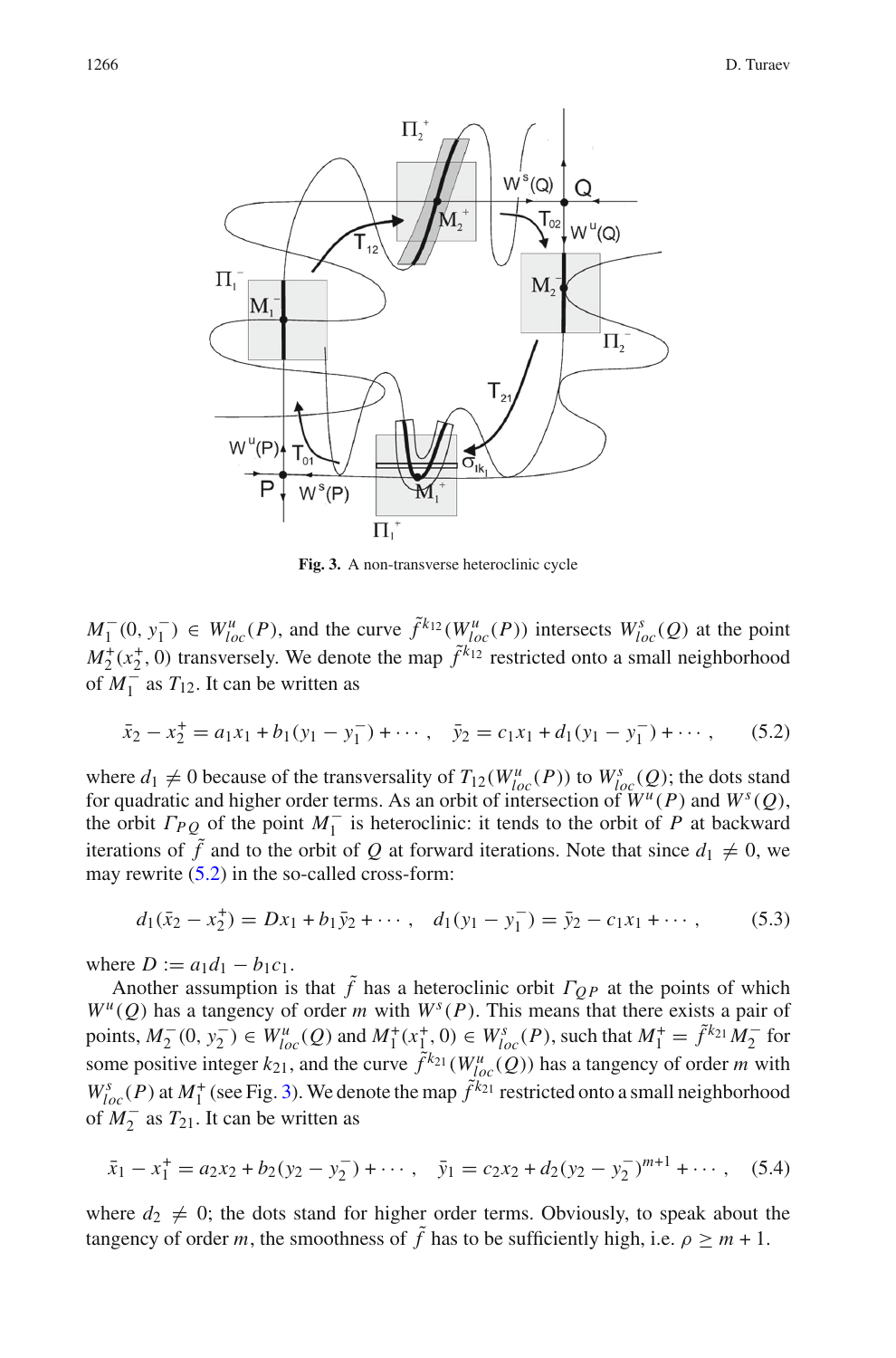

<span id="page-31-0"></span>**Fig. 3.** A non-transverse heteroclinic cycle

*M*<sup>−</sup><sub>1</sub>(0, *y*<sup><sup>−</sup></sup><sub>1</sub>) ∈ *W*<sup>*u*</sup><sub>*loc*</sub>(*P*), and the curve  $\tilde{f}^{k_{12}}(W^u_{loc}(P))$  intersects  $W^s_{loc}(Q)$  at the point  $M_2^+(x_2^+, 0)$  transversely. We denote the map  $\tilde{f}^{k_{12}}$  restricted onto a small neighborhood of  $M_1^=$  as  $T_{12}$ . It can be written as

<span id="page-31-1"></span>
$$
\bar{x}_2 - x_2^+ = a_1 x_1 + b_1 (y_1 - y_1^-) + \cdots, \quad \bar{y}_2 = c_1 x_1 + d_1 (y_1 - y_1^-) + \cdots, \tag{5.2}
$$

where  $d_1 \neq 0$  because of the transversality of  $T_{12}(W_{loc}^u(P))$  to  $W_{loc}^s(Q)$ ; the dots stand for quadratic and higher order terms. As an orbit of intersection of  $W^u(P)$  and  $W^s(Q)$ , the orbit  $\Gamma_{PQ}$  of the point  $M_1^-$  is heteroclinic: it tends to the orbit of *P* at backward iterations of  $\tilde{f}$  and to the orbit of Q at forward iterations. Note that since  $d_1 \neq 0$ , we may rewrite [\(5.2\)](#page-31-1) in the so-called cross-form:

<span id="page-31-3"></span>
$$
d_1(\bar{x}_2 - x_2^+) = Dx_1 + b_1 \bar{y}_2 + \cdots, \quad d_1(y_1 - y_1^-) = \bar{y}_2 - c_1 x_1 + \cdots,
$$
 (5.3)

where  $D := a_1 d_1 - b_1 c_1$ .

Another assumption is that  $\tilde{f}$  has a heteroclinic orbit  $\Gamma_{QP}$  at the points of which  $W^{\mu}(Q)$  has a tangency of order *m* with  $W^{s}(P)$ . This means that there exists a pair of points,  $M_2^-(0, y_2^-) \in W_{loc}^u(Q)$  and  $M_1^+(x_1^+, 0) \in W_{loc}^s(P)$ , such that  $M_1^+ = \tilde{f}^{k_{21}}M_2^-$  for some positive integer  $k_{21}$ , and the curve  $\tilde{f}^{k_{21}}(W_{loc}^u(Q))$  has a tangency of order *m* with  $W_{loc}^s(P)$  at  $M_1^+$  (see Fig. [3\)](#page-31-0). We denote the map  $\tilde{f}^{k_{21}}$  restricted onto a small neighborhood of  $M_2^-$  as  $T_{21}$ . It can be written as

<span id="page-31-2"></span>
$$
\bar{x}_1 - x_1^+ = a_2 x_2 + b_2 (y_2 - y_2^-) + \cdots, \quad \bar{y}_1 = c_2 x_2 + d_2 (y_2 - y_2^-)^{m+1} + \cdots, \quad (5.4)
$$

where  $d_2 \neq 0$ ; the dots stand for higher order terms. Obviously, to speak about the tangency of order *m*, the smoothness of  $\tilde{f}$  has to be sufficiently high, i.e.  $\rho \geq m + 1$ .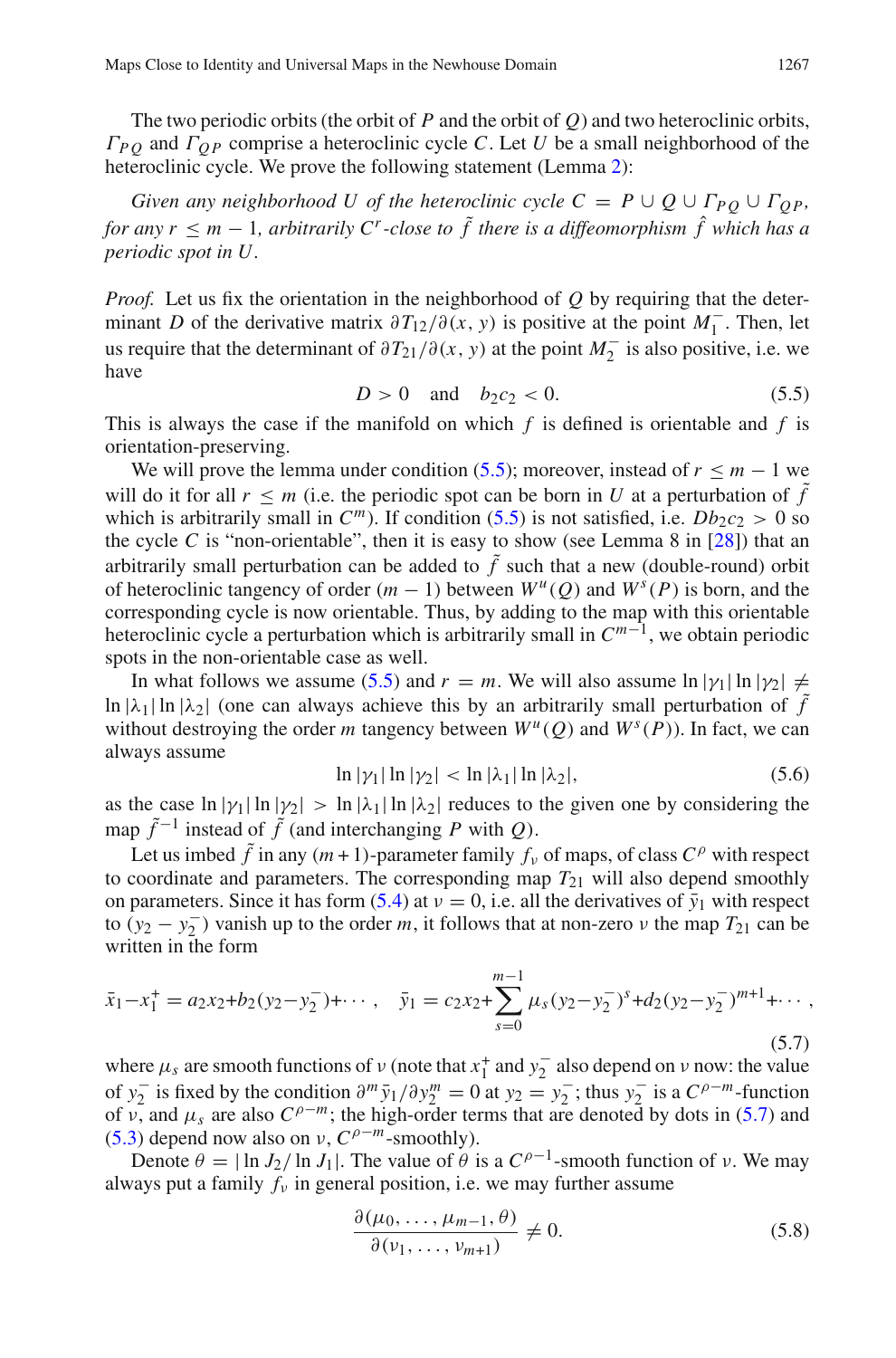The two periodic orbits (the orbit of *P* and the orbit of *Q*) and two heteroclinic orbits,  $\Gamma_{PO}$  and  $\Gamma_{OP}$  comprise a heteroclinic cycle *C*. Let *U* be a small neighborhood of the heteroclinic cycle. We prove the following statement (Lemma [2\)](#page-7-0):

*Given any neighborhood U of the heteroclinic cycle*  $C = P \cup Q \cup \Gamma_{PQ} \cup \Gamma_{OP}$ *, for any r*  $\leq$  *m* − 1*, arbitrarily C<sup><i>r*</sup>-close to  $\tilde{f}$  there is a diffeomorphism  $\hat{f}$  which has a *periodic spot in U.*

*Proof.* Let us fix the orientation in the neighborhood of *Q* by requiring that the determinant *D* of the derivative matrix  $\partial T_1/(\partial(x, y))$  is positive at the point  $M_1^-$ . Then, let us require that the determinant of  $\partial T_{21}/\partial(x, y)$  at the point  $M_2^-$  is also positive, i.e. we have

$$
D > 0 \quad \text{and} \quad b_2 c_2 < 0. \tag{5.5}
$$

<span id="page-32-0"></span>This is always the case if the manifold on which *f* is defined is orientable and *f* is orientation-preserving.

We will prove the lemma under condition [\(5.5\)](#page-32-0); moreover, instead of  $r \leq m - 1$  we will do it for all  $r \le m$  (i.e. the periodic spot can be born in *U* at a perturbation of  $\tilde{f}$ which is arbitrarily small in  $C^m$ ). If condition [\(5.5\)](#page-32-0) is not satisfied, i.e.  $Db_2c_2 > 0$  so the cycle *C* is "non-orientable", then it is easy to show (see Lemma 8 in  $[28]$  $[28]$ ) that an arbitrarily small perturbation can be added to  $\tilde{f}$  such that a new (double-round) orbit of heteroclinic tangency of order  $(m - 1)$  between  $W^u(O)$  and  $W^s(P)$  is born, and the corresponding cycle is now orientable. Thus, by adding to the map with this orientable heteroclinic cycle a perturbation which is arbitrarily small in *Cm*<sup>−</sup>1, we obtain periodic spots in the non-orientable case as well.

In what follows we assume [\(5.5\)](#page-32-0) and  $r = m$ . We will also assume  $\ln |\gamma_1| \ln |\gamma_2| \neq$ ln  $|\lambda_1|$  ln  $|\lambda_2|$  (one can always achieve this by an arbitrarily small perturbation of  $\tilde{f}$ without destroying the order *m* tangency between  $W^u(Q)$  and  $W^s(P)$ ). In fact, we can always assume

$$
\ln |\gamma_1| \ln |\gamma_2| < \ln |\lambda_1| \ln |\lambda_2|,\tag{5.6}
$$

<span id="page-32-2"></span>as the case  $\ln |\gamma_1| \ln |\gamma_2| > \ln |\lambda_1| \ln |\lambda_2|$  reduces to the given one by considering the map  $\tilde{f}^{-1}$  instead of  $\tilde{f}$  (and interchanging *P* with *Q*).

Let us imbed  $\tilde{f}$  in any  $(m+1)$ -parameter family  $f_y$  of maps, of class  $C^{\rho}$  with respect to coordinate and parameters. The corresponding map  $T_{21}$  will also depend smoothly on parameters. Since it has form  $(5.4)$  at  $\nu = 0$ , i.e. all the derivatives of  $\bar{y}_1$  with respect to  $(y_2 - y_2)$  vanish up to the order *m*, it follows that at non-zero *v* the map  $T_{21}$  can be written in the form

<span id="page-32-1"></span>
$$
\bar{x}_1 - x_1^+ = a_2 x_2 + b_2 (y_2 - y_2^-) + \cdots, \quad \bar{y}_1 = c_2 x_2 + \sum_{s=0}^{m-1} \mu_s (y_2 - y_2^-)^s + d_2 (y_2 - y_2^-)^{m+1} + \cdots,
$$
\n(5.7)

where  $\mu_s$  are smooth functions of  $\nu$  (note that  $x_1^+$  and  $y_2^-$  also depend on  $\nu$  now: the value of *y*<sub>2</sub> is fixed by the condition  $\partial^m \bar{y}_1/\partial y_2^m = 0$  at *y*<sub>2</sub> = *y*<sub>2</sub> ; thus *y*<sub>2</sub> is a  $C^{\rho-m}$ -function of v, and  $\mu_s$  are also  $C^{\rho-m}$ ; the high-order terms that are denoted by dots in [\(5.7\)](#page-32-1) and [\(5.3\)](#page-31-3) depend now also on  $\nu$ ,  $C^{\rho-m}$ -smoothly).

Denote  $\theta = |\ln J_2 / \ln J_1|$ . The value of  $\theta$  is a  $C^{\rho-1}$ -smooth function of v. We may always put a family  $f<sub>v</sub>$  in general position, i.e. we may further assume

<span id="page-32-3"></span>
$$
\frac{\partial(\mu_0, \dots, \mu_{m-1}, \theta)}{\partial(\nu_1, \dots, \nu_{m+1})} \neq 0.
$$
\n(5.8)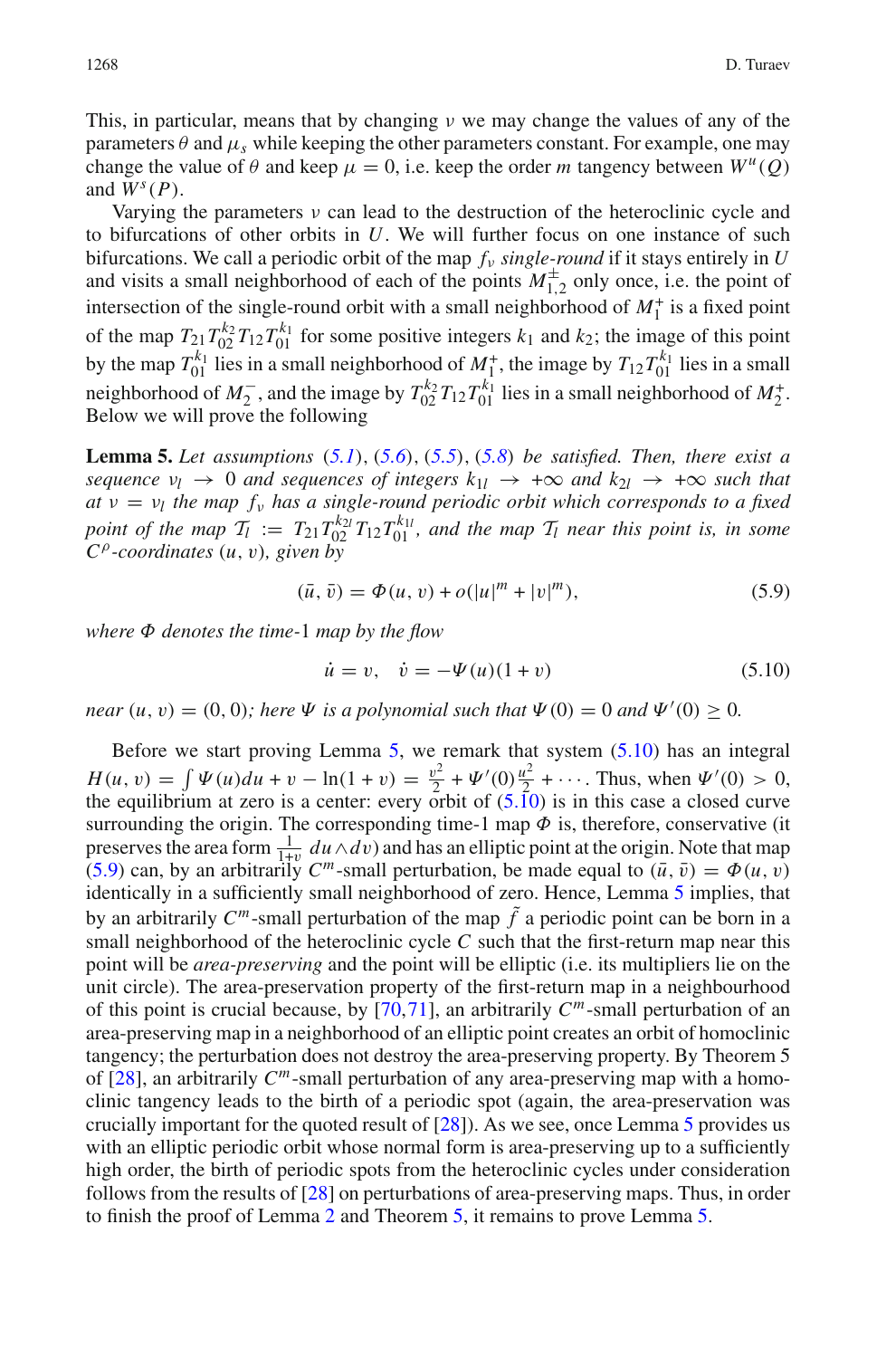This, in particular, means that by changing  $\nu$  we may change the values of any of the parameters  $\theta$  and  $\mu_s$  while keeping the other parameters constant. For example, one may change the value of  $\theta$  and keep  $\mu = 0$ , i.e. keep the order *m* tangency between  $W^{\mu}(0)$ and  $W^s(P)$ .

Varying the parameters  $\nu$  can lead to the destruction of the heteroclinic cycle and to bifurcations of other orbits in *U*. We will further focus on one instance of such bifurcations. We call a periodic orbit of the map *f*<sup>ν</sup> *single-round* if it stays entirely in *U* and visits a small neighborhood of each of the points  $M_{1,2}^{\pm}$  only once, i.e. the point of intersection of the single-round orbit with a small neighborhood of  $M_1^+$  is a fixed point of the map  $T_{21}T_{02}^{k_2}T_{12}T_{01}^{k_1}$  for some positive integers  $k_1$  and  $k_2$ ; the image of this point by the map  $T_{01}^{k_1}$  lies in a small neighborhood of  $M_1^+$ , the image by  $T_{12}T_{01}^{k_1}$  lies in a small neighborhood of  $M_2^-$ , and the image by  $T_{02}^{k_2}T_{12}T_{01}^{k_1}$  lies in a small neighborhood of  $M_2^+$ . Below we will prove the following

<span id="page-33-0"></span>**Lemma 5.** *Let assumptions* (*[5.1](#page-30-2)*), (*[5.6](#page-32-2)*), (*[5.5](#page-32-0)*), (*[5.8](#page-32-3)*) *be satisfied. Then, there exist a sequence*  $\nu_l \rightarrow 0$  *and sequences of integers*  $k_{1l} \rightarrow +\infty$  *and*  $k_{2l} \rightarrow +\infty$  *such that*  $a\bar{t}$   $v = v_l$  *the map f<sub>v</sub> has a single-round periodic orbit which corresponds to a fixed point of the map*  $\mathcal{T}_l := T_{21} T_{02}^{k_{2l}} T_{12} T_{01}^{k_{1l}}$ , and the map  $\mathcal{T}_l$  near this point is, in some *C*ρ*-coordinates* (*u*, v)*, given by*

<span id="page-33-2"></span><span id="page-33-1"></span>
$$
(\bar{u}, \bar{v}) = \Phi(u, v) + o(|u|^m + |v|^m), \tag{5.9}
$$

*where* Φ *denotes the time-*1 *map by the flow*

$$
\dot{u} = v, \quad \dot{v} = -\Psi(u)(1+v) \tag{5.10}
$$

*near*  $(u, v) = (0, 0)$ ; *here*  $\Psi$  *is a polynomial such that*  $\Psi(0) = 0$  *and*  $\Psi'(0) \ge 0$ *.* 

Before we start proving Lemma [5,](#page-33-0) we remark that system [\(5.10\)](#page-33-1) has an integral  $H(u, v) = \int \Psi(u) du + v - \ln(1 + v) = \frac{v^2}{2} + \Psi'(0) \frac{u^2}{2} + \cdots$ . Thus, when  $\Psi'(0) > 0$ , the equilibrium at zero is a center: every orbit of  $(5.\overline{1}0)$  is in this case a closed curve surrounding the origin. The corresponding time-1 map  $\Phi$  is, therefore, conservative (it preserves the area form  $\frac{1}{1+v}$  *du* ∧*dv*) and has an elliptic point at the origin. Note that map [\(5.9\)](#page-33-2) can, by an arbitrarily  $C^m$ -small perturbation, be made equal to  $(\bar{u}, \bar{v}) = \Phi(u, v)$ identically in a sufficiently small neighborhood of zero. Hence, Lemma [5](#page-33-0) implies, that by an arbitrarily  $C^m$ -small perturbation of the map  $\tilde{f}$  a periodic point can be born in a small neighborhood of the heteroclinic cycle *C* such that the first-return map near this point will be *area-preserving* and the point will be elliptic (i.e. its multipliers lie on the unit circle). The area-preservation property of the first-return map in a neighbourhood of this point is crucial because, by [\[70](#page-42-24)[,71](#page-42-25)], an arbitrarily *Cm*-small perturbation of an area-preserving map in a neighborhood of an elliptic point creates an orbit of homoclinic tangency; the perturbation does not destroy the area-preserving property. By Theorem 5 of [\[28](#page-41-3)], an arbitrarily *Cm*-small perturbation of any area-preserving map with a homoclinic tangency leads to the birth of a periodic spot (again, the area-preservation was crucially important for the quoted result of [\[28\]](#page-41-3)). As we see, once Lemma [5](#page-33-0) provides us with an elliptic periodic orbit whose normal form is area-preserving up to a sufficiently high order, the birth of periodic spots from the heteroclinic cycles under consideration follows from the results of [\[28\]](#page-41-3) on perturbations of area-preserving maps. Thus, in order to finish the proof of Lemma [2](#page-7-0) and Theorem [5,](#page-7-1) it remains to prove Lemma [5.](#page-33-0)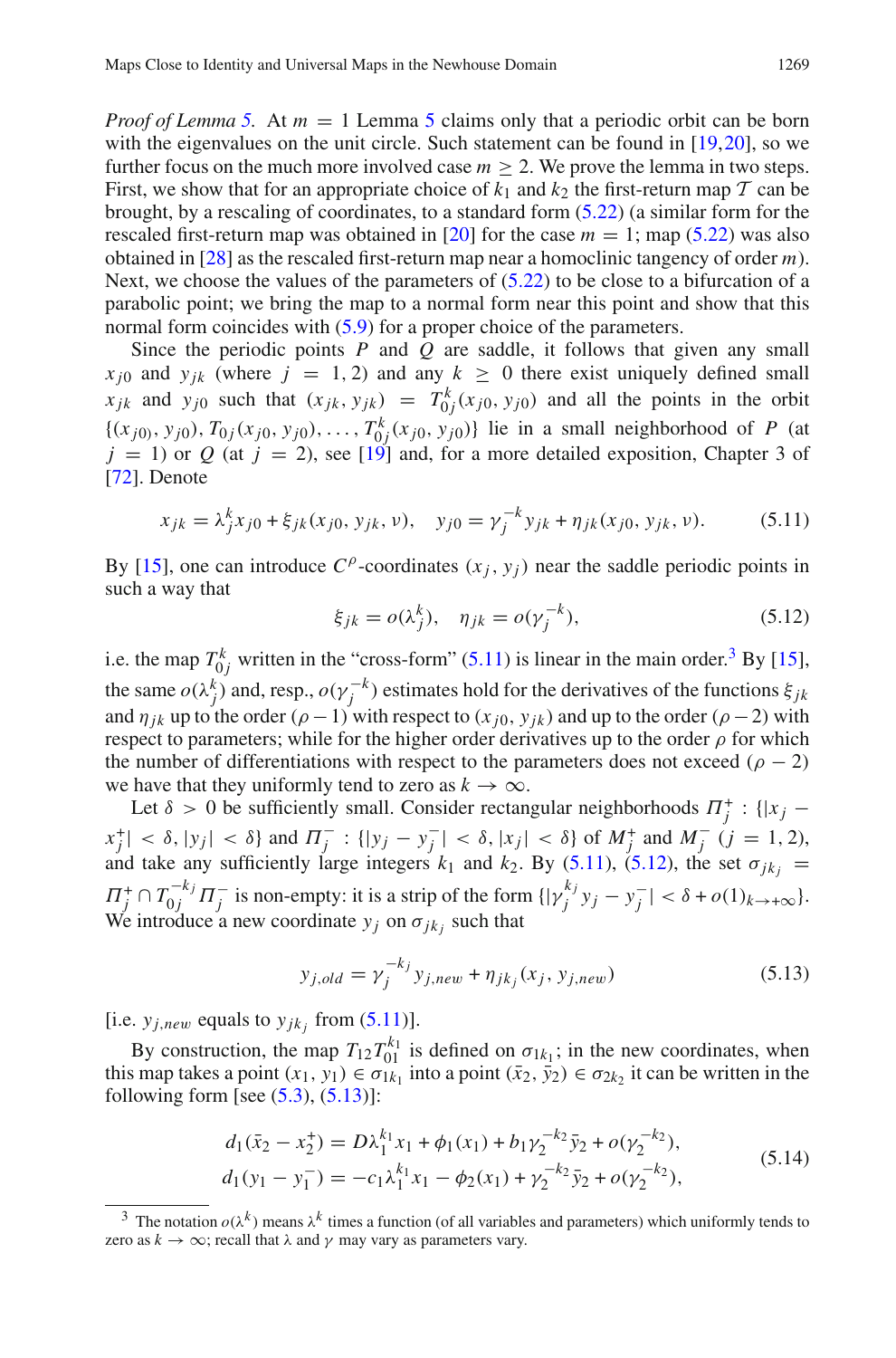*Proof of Lemma* [5.](#page-33-0) At  $m = 1$  Lemma [5](#page-33-0) claims only that a periodic orbit can be born with the eigenvalues on the unit circle. Such statement can be found in [\[19](#page-41-21)[,20](#page-41-24)], so we further focus on the much more involved case  $m \geq 2$ . We prove the lemma in two steps. First, we show that for an appropriate choice of  $k_1$  and  $k_2$  the first-return map  $T$  can be brought, by a rescaling of coordinates, to a standard form [\(5.22\)](#page-36-0) (a similar form for the rescaled first-return map was obtained in [\[20](#page-41-24)] for the case  $m = 1$ ; map [\(5.22\)](#page-36-0) was also obtained in [\[28](#page-41-3)] as the rescaled first-return map near a homoclinic tangency of order *m*). Next, we choose the values of the parameters of  $(5.22)$  to be close to a bifurcation of a parabolic point; we bring the map to a normal form near this point and show that this normal form coincides with  $(5.9)$  for a proper choice of the parameters.

Since the periodic points *P* and *Q* are saddle, it follows that given any small  $x_{j0}$  and  $y_{jk}$  (where  $j = 1, 2$ ) and any  $k \ge 0$  there exist uniquely defined small *x*<sub>jk</sub> and  $y_{j0}$  such that  $(x_{jk}, y_{jk}) = T_{0j}^k(x_{j0}, y_{j0})$  and all the points in the orbit  $\{(x_{j0)}, y_{j0}), T_{0j}(x_{j0}, y_{j0}), \ldots, T_{0j}^k(x_{j0}, y_{j0})\}$  lie in a small neighborhood of P (at  $j = 1$ ) or Q (at  $j = 2$ ), see [\[19](#page-41-21)] and, for a more detailed exposition, Chapter 3 of [\[72\]](#page-42-26). Denote

$$
x_{jk} = \lambda_j^k x_{j0} + \xi_{jk}(x_{j0}, y_{jk}, \nu), \quad y_{j0} = \gamma_j^{-k} y_{jk} + \eta_{jk}(x_{j0}, y_{jk}, \nu).
$$
 (5.11)

<span id="page-34-2"></span><span id="page-34-0"></span>By [\[15\]](#page-41-18), one can introduce  $C^{\rho}$ -coordinates  $(x_i, y_i)$  near the saddle periodic points in such a way that

$$
\xi_{jk} = o(\lambda_j^k), \quad \eta_{jk} = o(\gamma_j^{-k}), \tag{5.12}
$$

i.e. the map  $T_{0j}^k$  written in the "cross-form" [\(5.11\)](#page-34-0) is linear in the main order.<sup>3</sup> By [\[15](#page-41-18)], the same  $o(\lambda_j^k)$  and, resp.,  $o(\gamma_j^{-k})$  estimates hold for the derivatives of the functions  $\xi_{jk}$ and  $\eta_{ik}$  up to the order ( $\rho - 1$ ) with respect to ( $x_{i0}$ ,  $y_{ik}$ ) and up to the order ( $\rho - 2$ ) with respect to parameters; while for the higher order derivatives up to the order  $\rho$  for which the number of differentiations with respect to the parameters does not exceed  $(\rho - 2)$ we have that they uniformly tend to zero as  $k \to \infty$ .

Let  $\delta > 0$  be sufficiently small. Consider rectangular neighborhoods  $\Pi_j^+$ : {| $x_j$  –  $|x_j^+| < \delta$ ,  $|y_j| < \delta$  and  $\Pi_j^-$ :  $\{|y_j - y_j^-| < \delta$ ,  $|x_j| < \delta\}$  of  $M_j^+$  and  $M_j^ (j = 1, 2)$ , and take any sufficiently large integers  $k_1$  and  $k_2$ . By [\(5.11\)](#page-34-0), [\(5.12\)](#page-34-2), the set  $\sigma_{jk_j}$  =  $\Pi_j^+ \cap T_{0j}^{-k_j} \Pi_j^-$  is non-empty: it is a strip of the form  $\{|\gamma_j^{k_j} y_j - y_j^-| < \delta + o(1)_{k \to +\infty}\}.$ We introduce a new coordinate  $y_j$  on  $\sigma_{jk_j}$  such that

<span id="page-34-3"></span>
$$
y_{j,old} = \gamma_j^{-k_j} y_{j,new} + \eta_{jk_j}(x_j, y_{j,new})
$$
\n(5.13)

[i.e.  $y_{j,new}$  equals to  $y_{jk}$  from [\(5.11\)](#page-34-0)].

By construction, the map  $T_{12}T_{01}^{k_1}$  is defined on  $\sigma_{1k_1}$ ; in the new coordinates, when this map takes a point  $(x_1, y_1) \in \sigma_{1k_1}$  into a point  $(\bar{x}_2, \bar{y}_2) \in \sigma_{2k_2}$  it can be written in the following form [see  $(5.3)$ ,  $(5.13)$ ]:

$$
d_1(\bar{x}_2 - x_2^+) = D\lambda_1^{k_1} x_1 + \phi_1(x_1) + b_1 \gamma_2^{-k_2} \bar{y}_2 + o(\gamma_2^{-k_2}),
$$
  
\n
$$
d_1(y_1 - y_1^-) = -c_1 \lambda_1^{k_1} x_1 - \phi_2(x_1) + \gamma_2^{-k_2} \bar{y}_2 + o(\gamma_2^{-k_2}),
$$
\n(5.14)

<span id="page-34-4"></span><span id="page-34-1"></span><sup>&</sup>lt;sup>3</sup> The notation  $o(\lambda^k)$  means  $\lambda^k$  times a function (of all variables and parameters) which uniformly tends to zero as  $k \to \infty$ ; recall that  $\lambda$  and  $\gamma$  may vary as parameters vary.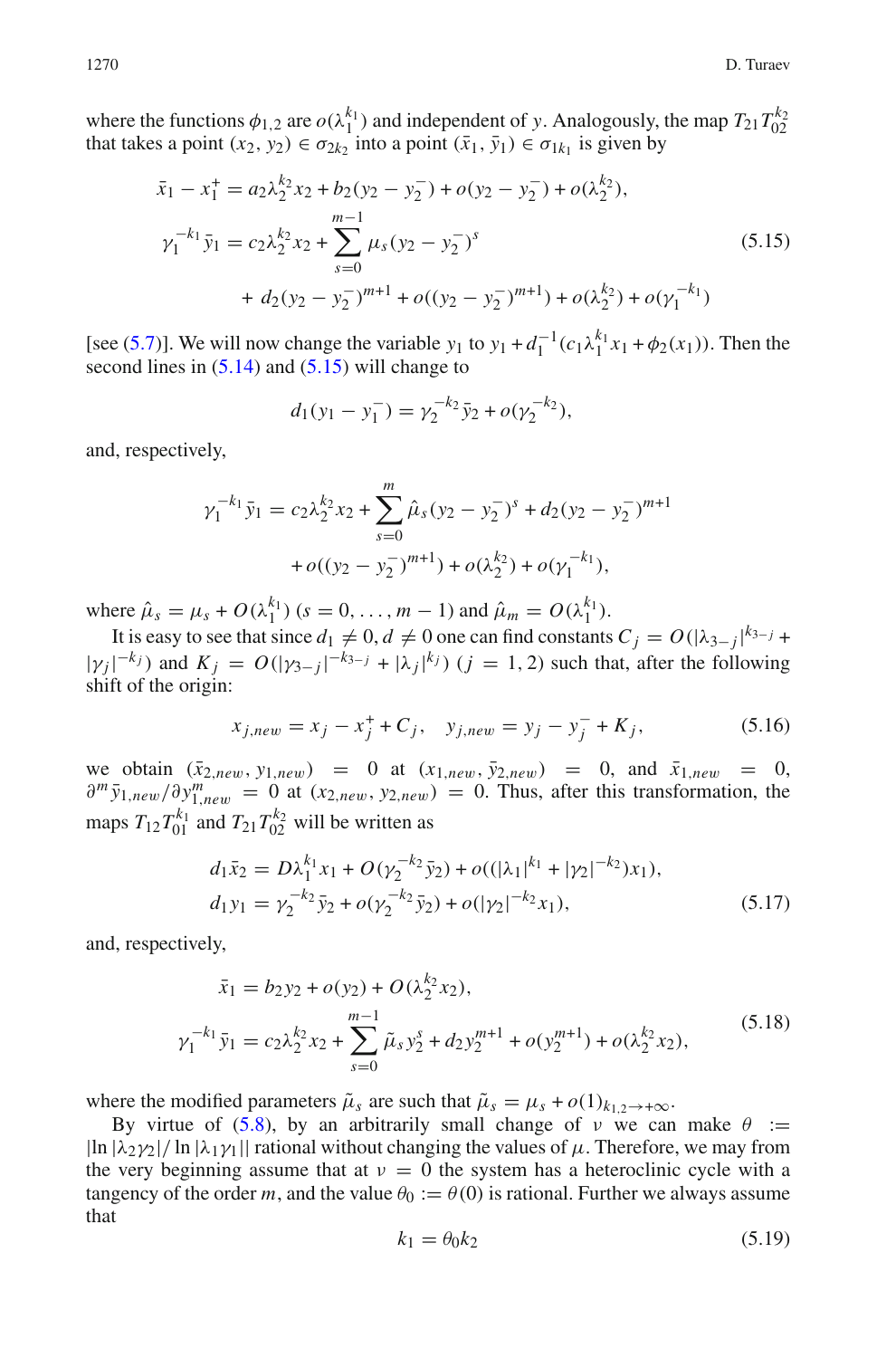where the functions  $\phi_{1,2}$  are  $o(\lambda_1^{k_1})$  and independent of y. Analogously, the map  $T_{21}T_{02}^{k_2}$  that takes a point  $(x_2, y_2) \in \sigma_{2k_2}$  into a point  $(\bar{x}_1, \bar{y}_1) \in \sigma_{1k_1}$  is given by

$$
\bar{x}_1 - x_1^+ = a_2 \lambda_2^{k_2} x_2 + b_2 (y_2 - y_2^-) + o(y_2 - y_2^-) + o(\lambda_2^{k_2}),
$$
  
\n
$$
\gamma_1^{-k_1} \bar{y}_1 = c_2 \lambda_2^{k_2} x_2 + \sum_{s=0}^{m-1} \mu_s (y_2 - y_2^-)^s
$$
  
\n
$$
+ d_2 (y_2 - y_2^-)^{m+1} + o((y_2 - y_2^-)^{m+1}) + o(\lambda_2^{k_2}) + o(\gamma_1^{-k_1})
$$
\n(5.15)

<span id="page-35-0"></span>[see [\(5.7\)](#page-32-1)]. We will now change the variable *y*<sub>1</sub> to *y*<sub>1</sub> +  $d_1^{-1}(c_1\lambda_1^{k_1}x_1 + \phi_2(x_1))$ . Then the second lines in  $(5.14)$  and  $(5.15)$  will change to

$$
d_1(y_1 - y_1^-) = \gamma_2^{-k_2} \bar{y}_2 + o(\gamma_2^{-k_2}),
$$

and, respectively,

$$
\gamma_1^{-k_1} \bar{y}_1 = c_2 \lambda_2^{k_2} x_2 + \sum_{s=0}^m \hat{\mu}_s (y_2 - y_2^{-})^s + d_2 (y_2 - y_2^{-})^{m+1}
$$

$$
+ o((y_2 - y_2^{-})^{m+1}) + o(\lambda_2^{k_2}) + o(\gamma_1^{-k_1}),
$$

where  $\hat{\mu}_s = \mu_s + O(\lambda_1^{k_1})$  ( $s = 0, ..., m - 1$ ) and  $\hat{\mu}_m = O(\lambda_1^{k_1})$ .

<span id="page-35-4"></span>It is easy to see that since  $d_1 \neq 0$ ,  $d \neq 0$  one can find constants  $C_j = O(|\lambda_{3-j}|^{k_{3-j}} + \lambda_{3-j}|^{k_{3-j}})$  $|\gamma_j|^{-k_j}$  and  $K_j = O(|\gamma_{3-j}|^{-k_{3-j}} + |\lambda_j|^{k_j})$  (*j* = 1, 2) such that, after the following shift of the origin:

$$
x_{j,new} = x_j - x_j^+ + C_j, \quad y_{j,new} = y_j - y_j^- + K_j,
$$
\n(5.16)

we obtain  $(\bar{x}_{2,new}, y_{1,new}) = 0$  at  $(x_{1,new}, \bar{y}_{2,new}) = 0$ , and  $\bar{x}_{1,new} = 0$ ,  $\partial^m \bar{y}_{1,new}/\partial y_{1,new}^m = 0$  at  $(x_{2,new}, y_{2,new}) = 0$ . Thus, after this transformation, the maps  $T_{12}T_{01}^{k_1}$  and  $T_{21}T_{02}^{k_2}$  will be written as

$$
d_1\bar{x}_2 = D\lambda_1^{k_1}x_1 + O(\gamma_2^{-k_2}\bar{y}_2) + o((|\lambda_1|^{k_1} + |\gamma_2|^{-k_2})x_1),
$$
  
\n
$$
d_1y_1 = \gamma_2^{-k_2}\bar{y}_2 + o(\gamma_2^{-k_2}\bar{y}_2) + o(|\gamma_2|^{-k_2}x_1),
$$
\n(5.17)

<span id="page-35-2"></span><span id="page-35-1"></span>and, respectively,

$$
\bar{x}_1 = b_2 y_2 + o(y_2) + O(\lambda_2^{k_2} x_2),
$$
\n
$$
\gamma_1^{-k_1} \bar{y}_1 = c_2 \lambda_2^{k_2} x_2 + \sum_{s=0}^{m-1} \tilde{\mu}_s y_2^s + d_2 y_2^{m+1} + o(y_2^{m+1}) + o(\lambda_2^{k_2} x_2),
$$
\n(5.18)

where the modified parameters  $\tilde{\mu}_s$  are such that  $\tilde{\mu}_s = \mu_s + o(1)_{k_1,2 \to +\infty}$ .

<span id="page-35-3"></span>By virtue of [\(5.8\)](#page-32-3), by an arbitrarily small change of  $\nu$  we can make  $\theta :=$  $|\ln |\lambda_2 \gamma_2| / \ln |\lambda_1 \gamma_1||$  rational without changing the values of  $\mu$ . Therefore, we may from the very beginning assume that at  $v = 0$  the system has a heteroclinic cycle with a tangency of the order *m*, and the value  $\theta_0 := \theta(0)$  is rational. Further we always assume that

$$
k_1 = \theta_0 k_2 \tag{5.19}
$$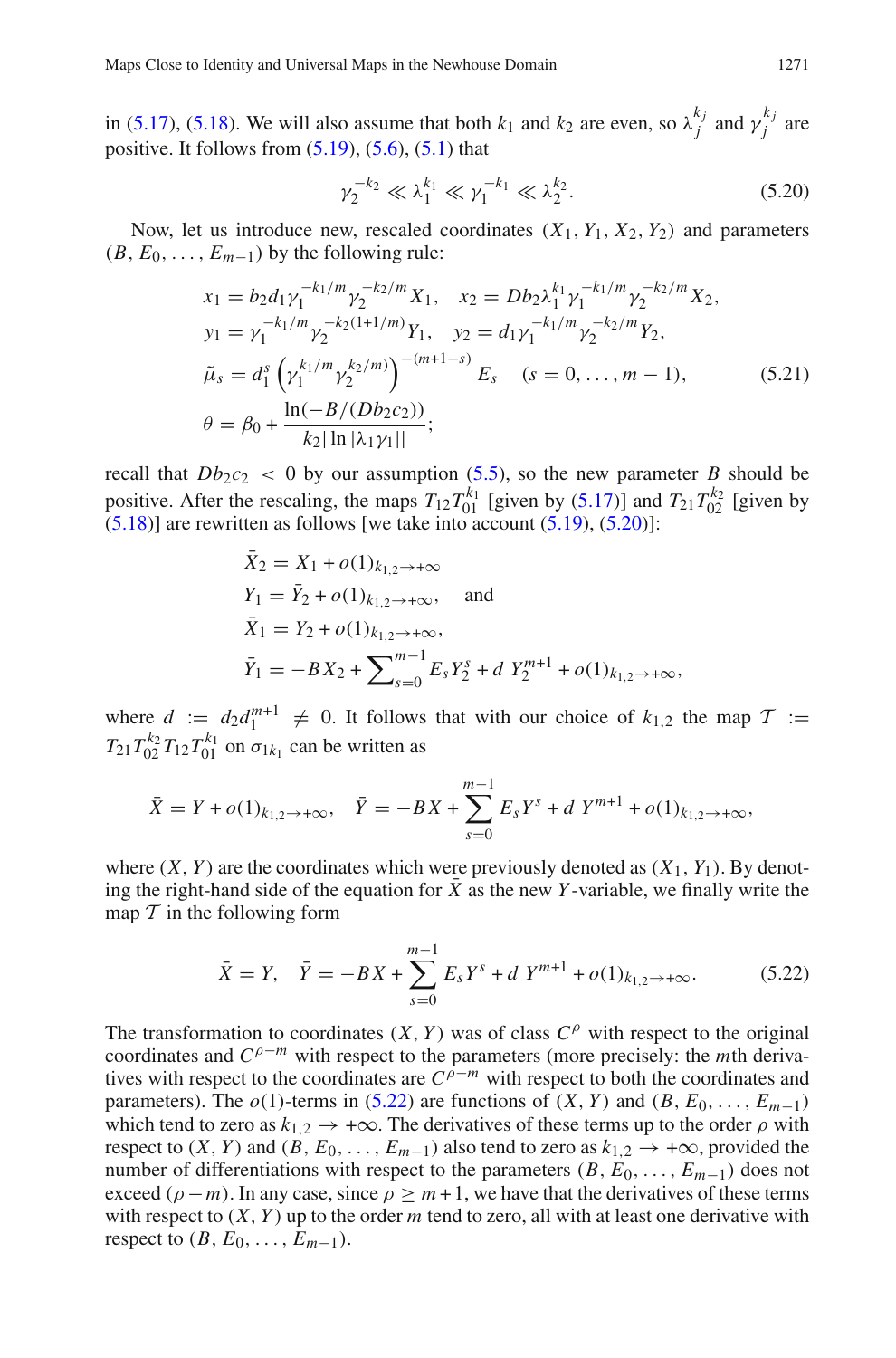in [\(5.17\)](#page-35-1), [\(5.18\)](#page-35-2). We will also assume that both  $k_1$  and  $k_2$  are even, so  $\lambda_j^{k_j}$  and  $\gamma_j^{k_j}$  are positive. It follows from  $(5.19)$ ,  $(5.6)$ ,  $(5.1)$  that

<span id="page-36-1"></span>
$$
\gamma_2^{-k_2} \ll \lambda_1^{k_1} \ll \gamma_1^{-k_1} \ll \lambda_2^{k_2}.
$$
 (5.20)

<span id="page-36-2"></span>Now, let us introduce new, rescaled coordinates  $(X_1, Y_1, X_2, Y_2)$  and parameters  $(B, E_0, \ldots, E_{m-1})$  by the following rule:

$$
x_1 = b_2 d_1 \gamma_1^{-k_1/m} \gamma_2^{-k_2/m} X_1, \quad x_2 = Db_2 \lambda_1^{k_1} \gamma_1^{-k_1/m} \gamma_2^{-k_2/m} X_2,
$$
  
\n
$$
y_1 = \gamma_1^{-k_1/m} \gamma_2^{-k_2(1+1/m)} Y_1, \quad y_2 = d_1 \gamma_1^{-k_1/m} \gamma_2^{-k_2/m} Y_2,
$$
  
\n
$$
\tilde{\mu}_s = d_1^s \left( \gamma_1^{k_1/m} \gamma_2^{k_2/m} \right)^{-(m+1-s)} E_s \quad (s = 0, ..., m - 1),
$$
  
\n
$$
\theta = \beta_0 + \frac{\ln(-B/(Db_2c_2))}{k_2 |\ln |\lambda_1 \gamma_1|};
$$
\n(5.21)

recall that  $Db_2c_2 < 0$  by our assumption [\(5.5\)](#page-32-0), so the new parameter *B* should be positive. After the rescaling, the maps  $T_{12}T_{01}^{k_1}$  [given by [\(5.17\)](#page-35-1)] and  $T_{21}T_{02}^{k_2}$  [given by  $(5.18)$ ] are rewritten as follows [we take into account  $(5.19)$ ,  $(5.20)$ ]:

$$
\begin{aligned}\n\bar{X}_2 &= X_1 + o(1)_{k_{1,2} \to +\infty} \\
Y_1 &= \bar{Y}_2 + o(1)_{k_{1,2} \to +\infty}, \quad \text{and} \\
\bar{X}_1 &= Y_2 + o(1)_{k_{1,2} \to +\infty}, \\
\bar{Y}_1 &= -BX_2 + \sum_{s=0}^{m-1} E_s Y_2^s + d Y_2^{m+1} + o(1)_{k_{1,2} \to +\infty},\n\end{aligned}
$$

where  $d := d_2 d_1^{m+1} \neq 0$ . It follows that with our choice of  $k_{1,2}$  the map  $\mathcal{T} :=$  $T_{21}T_{02}^{k_2}T_{12}T_{01}^{k_1}$  on  $\sigma_{1k_1}$  can be written as

$$
\bar{X} = Y + o(1)_{k_{1,2} \to +\infty}, \quad \bar{Y} = -BX + \sum_{s=0}^{m-1} E_s Y^s + d Y^{m+1} + o(1)_{k_{1,2} \to +\infty},
$$

where  $(X, Y)$  are the coordinates which were previously denoted as  $(X_1, Y_1)$ . By denoting the right-hand side of the equation for  $\bar{X}$  as the new *Y*-variable, we finally write the map  $T$  in the following form

<span id="page-36-0"></span>
$$
\bar{X} = Y, \quad \bar{Y} = -BX + \sum_{s=0}^{m-1} E_s Y^s + d Y^{m+1} + o(1)_{k_{1,2} \to +\infty}.
$$
 (5.22)

The transformation to coordinates  $(X, Y)$  was of class  $C^{\rho}$  with respect to the original coordinates and *C*ρ−*<sup>m</sup>* with respect to the parameters (more precisely: the *m*th derivatives with respect to the coordinates are  $C^{\rho-m}$  with respect to both the coordinates and parameters). The  $o(1)$ -terms in [\(5.22\)](#page-36-0) are functions of  $(X, Y)$  and  $(B, E_0, \ldots, E_{m-1})$ which tend to zero as  $k_{1,2} \rightarrow +\infty$ . The derivatives of these terms up to the order  $\rho$  with respect to  $(X, Y)$  and  $(B, E_0, \ldots, E_{m-1})$  also tend to zero as  $k_{1,2} \rightarrow +\infty$ , provided the number of differentiations with respect to the parameters  $(B, E_0, \ldots, E_{m-1})$  does not exceed ( $\rho - m$ ). In any case, since  $\rho \geq m + 1$ , we have that the derivatives of these terms with respect to  $(X, Y)$  up to the order *m* tend to zero, all with at least one derivative with respect to  $(B, E_0, \ldots, E_{m-1})$ .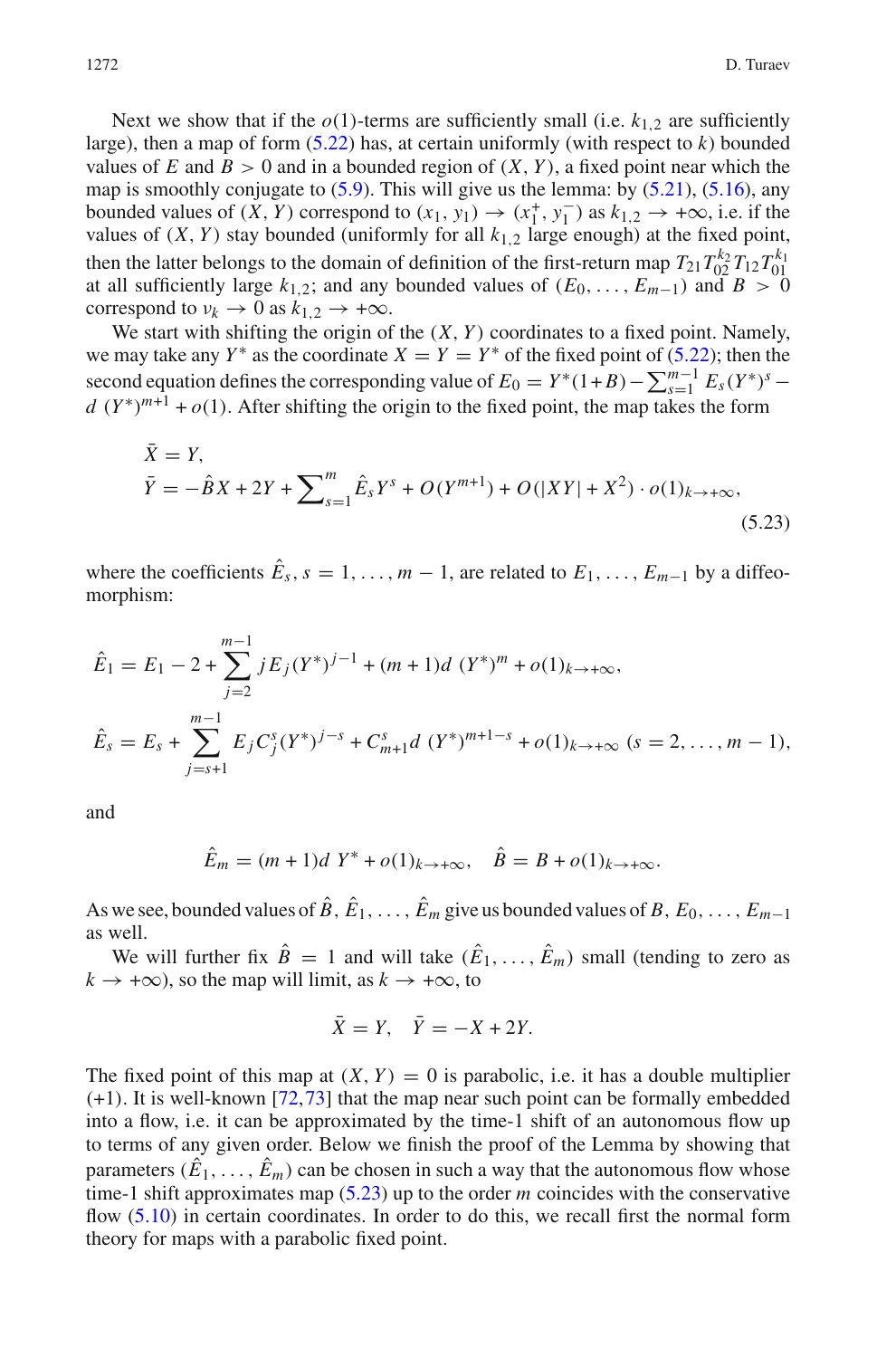Next we show that if the  $o(1)$ -terms are sufficiently small (i.e.  $k_1$ <sub>2</sub> are sufficiently large), then a map of form  $(5.22)$  has, at certain uniformly (with respect to  $k$ ) bounded values of E and  $B > 0$  and in a bounded region of  $(X, Y)$ , a fixed point near which the map is smoothly conjugate to  $(5.9)$ . This will give us the lemma: by  $(5.21)$ ,  $(5.16)$ , any bounded values of  $(X, Y)$  correspond to  $(x_1, y_1) \rightarrow (x_1^+, y_1^-)$  as  $k_{1,2} \rightarrow +\infty$ , i.e. if the values of  $(X, Y)$  stay bounded (uniformly for all  $k_{1,2}$  large enough) at the fixed point, then the latter belongs to the domain of definition of the first-return map  $T_{21}T_{02}^{k_2}T_{12}T_{01}^{k_1}$ at all sufficiently large  $k_{1,2}$ ; and any bounded values of  $(E_0, \ldots, E_{m-1})$  and  $B > 0$ correspond to  $v_k \to 0$  as  $k_{1,2} \to +\infty$ .

We start with shifting the origin of the  $(X, Y)$  coordinates to a fixed point. Namely, we may take any  $Y^*$  as the coordinate  $X = Y = Y^*$  of the fixed point of [\(5.22\)](#page-36-0); then the second equation defines the corresponding value of  $E_0 = Y^*(1+B) - \sum_{s=1}^{m-1} E_s(Y^*)^s$  $d(Y^*)^{m+1} + o(1)$ . After shifting the origin to the fixed point, the map takes the form

$$
\bar{X} = Y,
$$
\n
$$
\bar{Y} = -\hat{B}X + 2Y + \sum_{s=1}^{m} \hat{E}_s Y^s + O(Y^{m+1}) + O(|XY| + X^2) \cdot o(1)_{k \to +\infty},
$$
\n(5.23)

<span id="page-37-0"></span>where the coefficients  $\hat{E}_s$ ,  $s = 1, \ldots, m-1$ , are related to  $E_1, \ldots, E_{m-1}$  by a diffeomorphism:

$$
\hat{E}_1 = E_1 - 2 + \sum_{j=2}^{m-1} j E_j (Y^*)^{j-1} + (m+1)d (Y^*)^m + o(1)_{k \to +\infty},
$$
  

$$
\hat{E}_s = E_s + \sum_{j=s+1}^{m-1} E_j C_j^s (Y^*)^{j-s} + C_{m+1}^s d (Y^*)^{m+1-s} + o(1)_{k \to +\infty} (s = 2, ..., m-1),
$$

and

$$
\hat{E}_m = (m+1)dY^* + o(1)_{k \to +\infty}, \quad \hat{B} = B + o(1)_{k \to +\infty}.
$$

As we see, bounded values of  $\hat{B}$ ,  $\hat{E}_1$ , ...,  $\hat{E}_m$  give us bounded values of *B*,  $E_0$ , ...,  $E_{m-1}$ as well.

We will further fix  $\hat{B} = 1$  and will take  $(\hat{E}_1, \dots, \hat{E}_m)$  small (tending to zero as  $k \to +\infty$ , so the map will limit, as  $k \to +\infty$ , to

$$
\bar{X} = Y, \quad \bar{Y} = -X + 2Y.
$$

The fixed point of this map at  $(X, Y) = 0$  is parabolic, i.e. it has a double multiplier (+1). It is well-known [\[72,](#page-42-26)[73\]](#page-42-27) that the map near such point can be formally embedded into a flow, i.e. it can be approximated by the time-1 shift of an autonomous flow up to terms of any given order. Below we finish the proof of the Lemma by showing that parameters  $(\hat{E}_1, \ldots, \hat{E}_m)$  can be chosen in such a way that the autonomous flow whose time-1 shift approximates map [\(5.23\)](#page-37-0) up to the order *m* coincides with the conservative flow  $(5.10)$  in certain coordinates. In order to do this, we recall first the normal form theory for maps with a parabolic fixed point.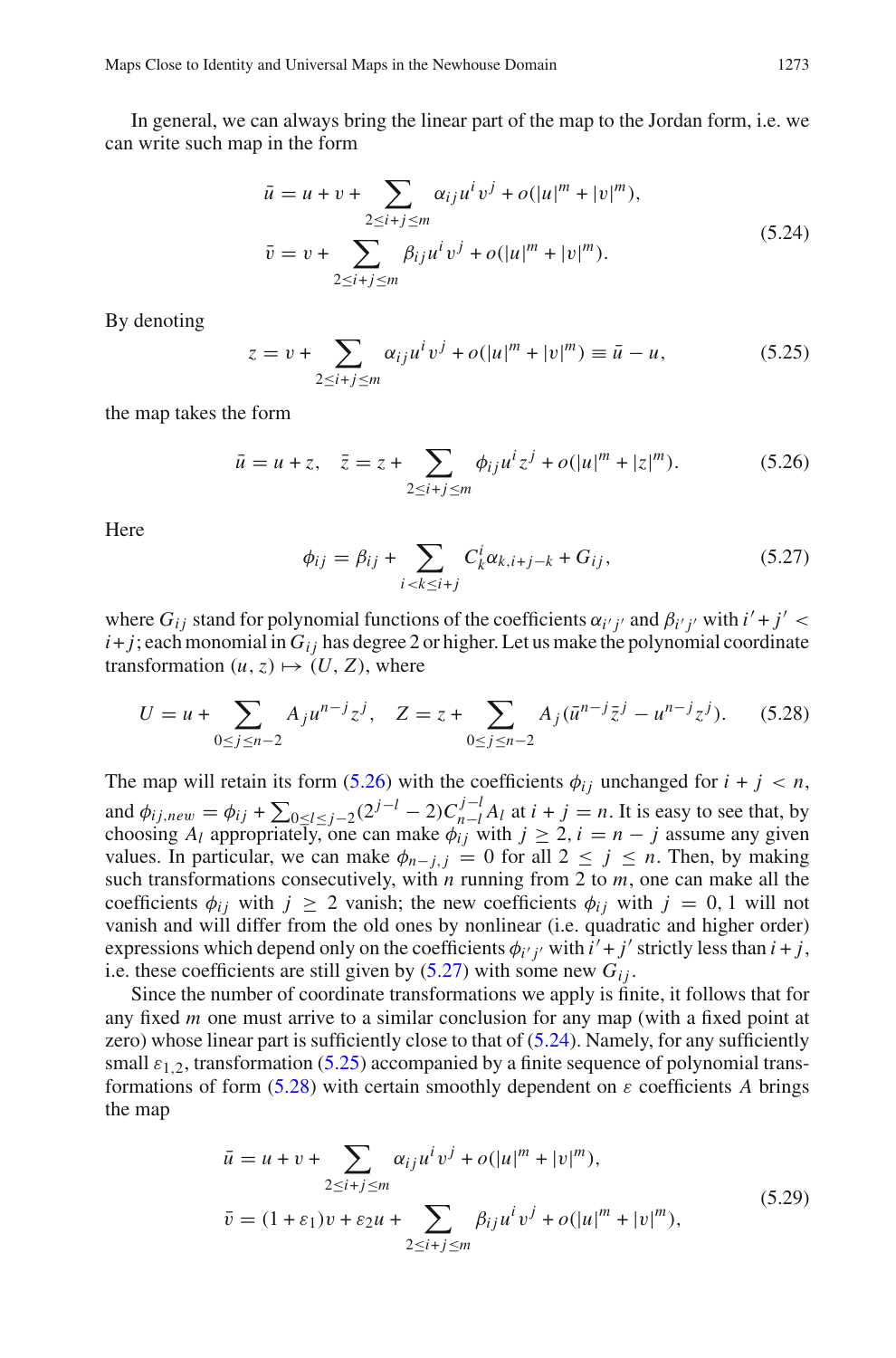In general, we can always bring the linear part of the map to the Jordan form, i.e. we can write such map in the form

$$
\bar{u} = u + v + \sum_{2 \le i+j \le m} \alpha_{ij} u^i v^j + o(|u|^m + |v|^m),
$$
  
\n
$$
\bar{v} = v + \sum_{2 \le i+j \le m} \beta_{ij} u^i v^j + o(|u|^m + |v|^m).
$$
\n(5.24)

<span id="page-38-3"></span><span id="page-38-2"></span>By denoting

$$
z = v + \sum_{2 \le i+j \le m} \alpha_{ij} u^i v^j + o(|u|^m + |v|^m) \equiv \bar{u} - u,
$$
 (5.25)

<span id="page-38-0"></span>the map takes the form

$$
\bar{u} = u + z, \quad \bar{z} = z + \sum_{2 \le i + j \le m} \phi_{ij} u^i z^j + o(|u|^m + |z|^m). \tag{5.26}
$$

<span id="page-38-1"></span>**Here** 

<span id="page-38-4"></span>
$$
\phi_{ij} = \beta_{ij} + \sum_{i < k \le i+j} C_k^i \alpha_{k,i+j-k} + G_{ij},\tag{5.27}
$$

where  $G_{ij}$  stand for polynomial functions of the coefficients  $\alpha_{i'j'}$  and  $\beta_{i'j'}$  with  $i' + j' <$  $i+j$ ; each monomial in  $G_{ij}$  has degree 2 or higher. Let us make the polynomial coordinate transformation  $(u, z) \mapsto (U, Z)$ , where

$$
U = u + \sum_{0 \le j \le n-2} A_j u^{n-j} z^j, \quad Z = z + \sum_{0 \le j \le n-2} A_j (\bar{u}^{n-j} \bar{z}^j - u^{n-j} z^j). \tag{5.28}
$$

The map will retain its form [\(5.26\)](#page-38-0) with the coefficients  $\phi_{ij}$  unchanged for  $i + j < n$ , and  $\phi_{ij,new} = \phi_{ij} + \sum_{0 \le l \le j-2} (2^{j-l} - 2)C_{n-l}^{j-l}A_l$  at  $i + j = n$ . It is easy to see that, by choosing  $A_l$  appropriately, one can make  $\phi_{ij}$  with  $j \geq 2$ ,  $i = n - j$  assume any given values. In particular, we can make  $\phi_{n-j,j} = 0$  for all  $2 \le j \le n$ . Then, by making such transformations consecutively, with *n* running from 2 to *m*, one can make all the coefficients  $\phi_{ij}$  with  $j \geq 2$  vanish; the new coefficients  $\phi_{ij}$  with  $j = 0, 1$  will not vanish and will differ from the old ones by nonlinear (i.e. quadratic and higher order) expressions which depend only on the coefficients  $\phi_{i'j'}$  with  $i' + j'$  strictly less than  $i + j$ , i.e. these coefficients are still given by  $(5.27)$  with some new  $G_i$ .

Since the number of coordinate transformations we apply is finite, it follows that for any fixed *m* one must arrive to a similar conclusion for any map (with a fixed point at zero) whose linear part is sufficiently close to that of [\(5.24\)](#page-38-2). Namely, for any sufficiently small  $\varepsilon_{1,2}$ , transformation [\(5.25\)](#page-38-3) accompanied by a finite sequence of polynomial trans-formations of form [\(5.28\)](#page-38-4) with certain smoothly dependent on  $\varepsilon$  coefficients A brings the map

<span id="page-38-5"></span>
$$
\bar{u} = u + v + \sum_{2 \le i+j \le m} \alpha_{ij} u^i v^j + o(|u|^m + |v|^m),
$$
  
\n
$$
\bar{v} = (1 + \varepsilon_1)v + \varepsilon_2 u + \sum_{2 \le i+j \le m} \beta_{ij} u^i v^j + o(|u|^m + |v|^m),
$$
\n(5.29)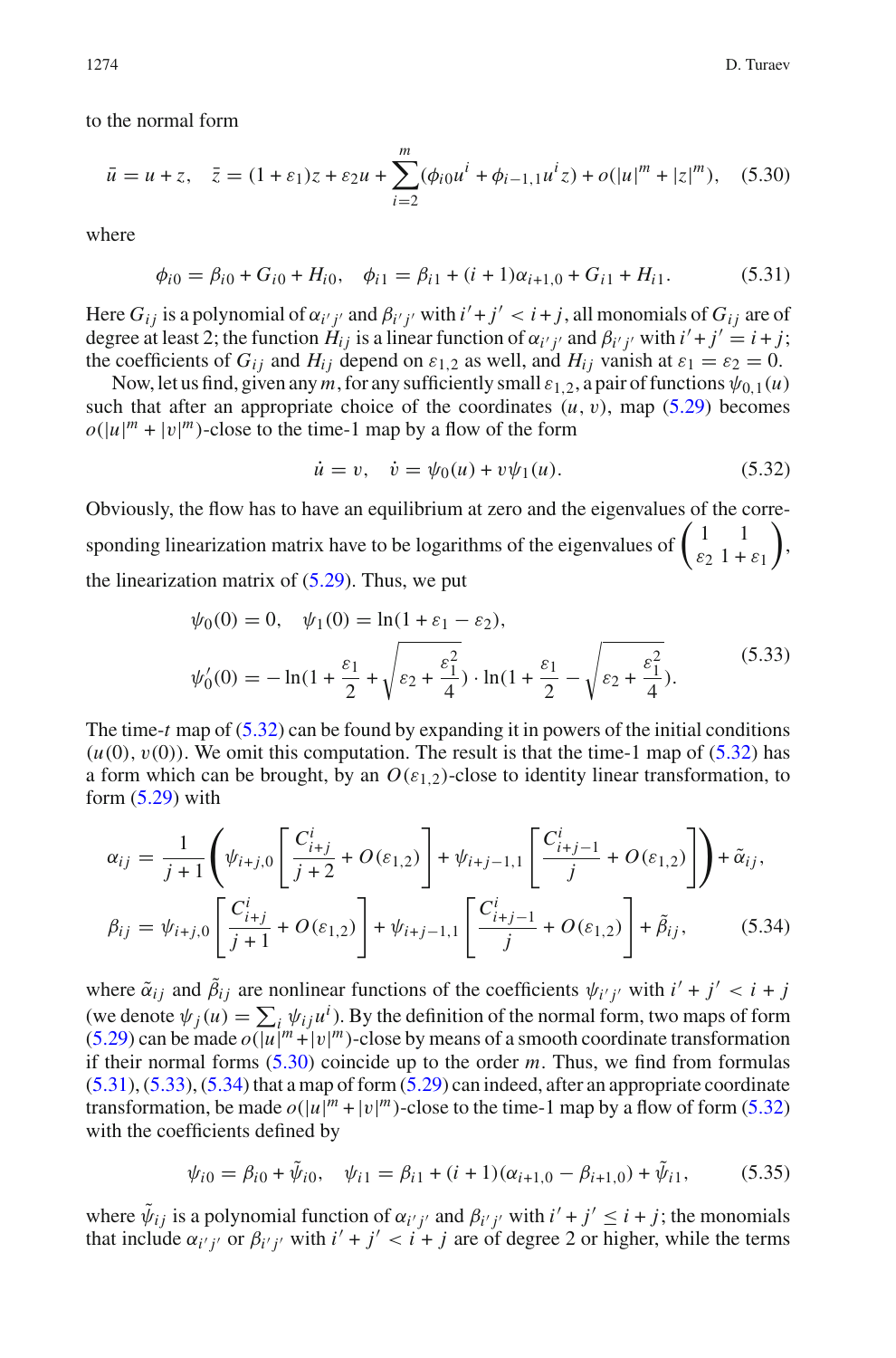<span id="page-39-1"></span>to the normal form

$$
\bar{u} = u + z, \quad \bar{z} = (1 + \varepsilon_1)z + \varepsilon_2 u + \sum_{i=2}^{m} (\phi_{i0} u^i + \phi_{i-1,1} u^i z) + o(|u|^m + |z|^m), \quad (5.30)
$$

<span id="page-39-2"></span>where

$$
\phi_{i0} = \beta_{i0} + G_{i0} + H_{i0}, \quad \phi_{i1} = \beta_{i1} + (i+1)\alpha_{i+1,0} + G_{i1} + H_{i1}.
$$
 (5.31)

Here  $G_{ij}$  is a polynomial of  $\alpha_{i'j'}$  and  $\beta_{i'j'}$  with  $i'+j' < i+j$ , all monomials of  $G_{ij}$  are of degree at least 2; the function  $H_{ij}$  is a linear function of  $\alpha_{i'j'}$  and  $\beta_{i'j'}$  with  $i' + j' = i + j$ ; the coefficients of  $G_{ii}$  and  $H_{ii}$  depend on  $\varepsilon_{1,2}$  as well, and  $H_{ii}$  vanish at  $\varepsilon_1 = \varepsilon_2 = 0$ .

Now, let us find, given any *m*, for any sufficiently small  $\varepsilon_{1,2}$ , a pair of functions  $\psi_{0,1}(u)$ such that after an appropriate choice of the coordinates  $(u, v)$ , map  $(5.29)$  becomes  $o(|u|^m + |v|^m)$ -close to the time-1 map by a flow of the form

<span id="page-39-0"></span>
$$
\dot{u} = v, \quad \dot{v} = \psi_0(u) + v\psi_1(u). \tag{5.32}
$$

Obviously, the flow has to have an equilibrium at zero and the eigenvalues of the corresponding linearization matrix have to be logarithms of the eigenvalues of  $\begin{pmatrix} 1 & 1 \\ \varepsilon_2 & 1 + \varepsilon_1 \end{pmatrix}$  $\bigg)$ the linearization matrix of  $(5.29)$ . Thus, we put

$$
\psi_0(0) = 0, \quad \psi_1(0) = \ln(1 + \varepsilon_1 - \varepsilon_2),
$$
  

$$
\psi'_0(0) = -\ln(1 + \frac{\varepsilon_1}{2} + \sqrt{\varepsilon_2 + \frac{\varepsilon_1^2}{4}}) \cdot \ln(1 + \frac{\varepsilon_1}{2} - \sqrt{\varepsilon_2 + \frac{\varepsilon_1^2}{4}}).
$$
(5.33)

<span id="page-39-3"></span>The time-*t* map of [\(5.32\)](#page-39-0) can be found by expanding it in powers of the initial conditions  $(u(0), v(0))$ . We omit this computation. The result is that the time-1 map of  $(5.32)$  has a form which can be brought, by an  $O(\varepsilon_{1,2})$ -close to identity linear transformation, to form  $(5.29)$  with

<span id="page-39-4"></span>
$$
\alpha_{ij} = \frac{1}{j+1} \left( \psi_{i+j,0} \left[ \frac{C_{i+j}^i}{j+2} + O(\varepsilon_{1,2}) \right] + \psi_{i+j-1,1} \left[ \frac{C_{i+j-1}^i}{j} + O(\varepsilon_{1,2}) \right] \right) + \tilde{\alpha}_{ij},
$$
  

$$
\beta_{ij} = \psi_{i+j,0} \left[ \frac{C_{i+j}^i}{j+1} + O(\varepsilon_{1,2}) \right] + \psi_{i+j-1,1} \left[ \frac{C_{i+j-1}^i}{j} + O(\varepsilon_{1,2}) \right] + \tilde{\beta}_{ij},
$$
 (5.34)

where  $\tilde{\alpha}_{ij}$  and  $\tilde{\beta}_{ij}$  are nonlinear functions of the coefficients  $\psi_{i'j'}$  with  $i' + j' < i + j$ (we denote  $\psi_j(u) = \sum_i \psi_{ij} u^i$ ). By the definition of the normal form, two maps of form [\(5.29\)](#page-38-5) can be made  $o(|u|^m + |v|^m)$ -close by means of a smooth coordinate transformation if their normal forms [\(5.30\)](#page-39-1) coincide up to the order *m*. Thus, we find from formulas  $(5.31)$ ,  $(5.33)$ ,  $(5.34)$  that a map of form  $(5.29)$  can indeed, after an appropriate coordinate transformation, be made  $o(|u|^m + |v|^m)$ -close to the time-1 map by a flow of form [\(5.32\)](#page-39-0) with the coefficients defined by

<span id="page-39-5"></span>
$$
\psi_{i0} = \beta_{i0} + \tilde{\psi}_{i0}, \quad \psi_{i1} = \beta_{i1} + (i+1)(\alpha_{i+1,0} - \beta_{i+1,0}) + \tilde{\psi}_{i1}, \tag{5.35}
$$

where  $\tilde{\psi}_{ij}$  is a polynomial function of  $\alpha_{i'j'}$  and  $\beta_{i'j'}$  with  $i' + j' \leq i + j$ ; the monomials that include  $\alpha_{i'j'}$  or  $\beta_{i'j'}$  with  $i' + j' < i + j$  are of degree 2 or higher, while the terms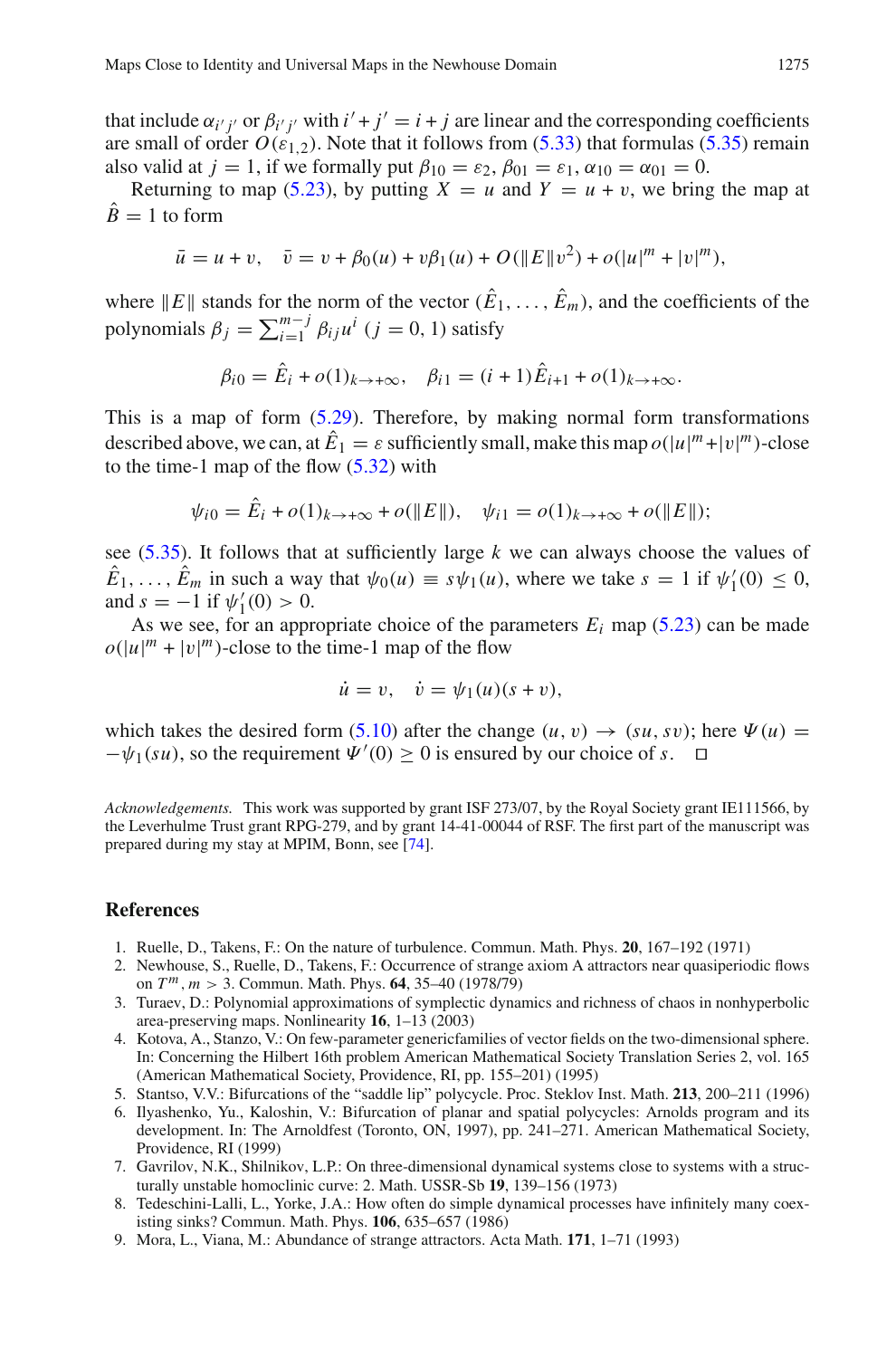that include  $\alpha_{i'j'}$  or  $\beta_{i'j'}$  with  $i' + j' = i + j$  are linear and the corresponding coefficients are small of order  $O(\varepsilon_{1,2})$ . Note that it follows from [\(5.33\)](#page-39-3) that formulas [\(5.35\)](#page-39-5) remain also valid at *j* = 1, if we formally put  $\beta_{10} = \varepsilon_2$ ,  $\beta_{01} = \varepsilon_1$ ,  $\alpha_{10} = \alpha_{01} = 0$ .

Returning to map [\(5.23\)](#page-37-0), by putting  $X = u$  and  $Y = u + v$ , we bring the map at  $\hat{B} = 1$  to form

$$
\bar{u} = u + v, \quad \bar{v} = v + \beta_0(u) + v\beta_1(u) + O(||E||v^2) + o(|u|^m + |v|^m),
$$

where  $||E||$  stands for the norm of the vector  $(\hat{E}_1, \ldots, \hat{E}_m)$ , and the coefficients of the polynomials  $\beta_j = \sum_{i=1}^{m-j} \beta_{ij} u^i$  (*j* = 0, 1) satisfy

$$
\beta_{i0} = \hat{E}_i + o(1)_{k \to +\infty}, \quad \beta_{i1} = (i+1)\hat{E}_{i+1} + o(1)_{k \to +\infty}.
$$

This is a map of form  $(5.29)$ . Therefore, by making normal form transformations described above, we can, at  $\hat{E}_1 = \varepsilon$  sufficiently small, make this map  $o(|u|^m + |v|^m)$ -close to the time-1 map of the flow  $(5.32)$  with

$$
\psi_{i0} = \hat{E}_i + o(1)_{k \to +\infty} + o(\|E\|), \quad \psi_{i1} = o(1)_{k \to +\infty} + o(\|E\|);
$$

see [\(5.35\)](#page-39-5). It follows that at sufficiently large *k* we can always choose the values of  $\hat{E}_1, \ldots, \hat{E}_m$  in such a way that  $\psi_0(u) \equiv s\psi_1(u)$ , where we take  $s = 1$  if  $\psi'_1(0) \leq 0$ , and  $s = -1$  if  $\psi'_1(0) > 0$ .

As we see, for an appropriate choice of the parameters  $E_i$  map [\(5.23\)](#page-37-0) can be made  $o(|u|^m + |v|^m)$ -close to the time-1 map of the flow

$$
\dot{u} = v, \quad \dot{v} = \psi_1(u)(s+v),
$$

which takes the desired form [\(5.10\)](#page-33-1) after the change  $(u, v) \rightarrow (su, sv)$ ; here  $\Psi(u) =$  $-\psi_1(su)$ , so the requirement  $\Psi'(0) \ge 0$  is ensured by our choice of *s*.  $\Box$ 

*Acknowledgements.* This work was supported by grant ISF 273/07, by the Royal Society grant IE111566, by the Leverhulme Trust grant RPG-279, and by grant 14-41-00044 of RSF. The first part of the manuscript was prepared during my stay at MPIM, Bonn, see [\[74](#page-42-8)].

### <span id="page-40-0"></span>**References**

- 1. Ruelle, D., Takens, F.: On the nature of turbulence. Commun. Math. Phys. **20**, 167–192 (1971)
- <span id="page-40-1"></span>2. Newhouse, S., Ruelle, D., Takens, F.: Occurrence of strange axiom A attractors near quasiperiodic flows on *T <sup>m</sup>*, *m* > 3. Commun. Math. Phys. **64**, 35–40 (1978/79)
- <span id="page-40-2"></span>3. Turaev, D.: Polynomial approximations of symplectic dynamics and richness of chaos in nonhyperbolic area-preserving maps. Nonlinearity **16**, 1–13 (2003)
- <span id="page-40-3"></span>4. Kotova, A., Stanzo, V.: On few-parameter genericfamilies of vector fields on the two-dimensional sphere. In: Concerning the Hilbert 16th problem American Mathematical Society Translation Series 2, vol. 165 (American Mathematical Society, Providence, RI, pp. 155–201) (1995)
- 5. Stantso, V.V.: Bifurcations of the "saddle lip" polycycle. Proc. Steklov Inst. Math. **213**, 200–211 (1996)
- <span id="page-40-4"></span>6. Ilyashenko, Yu., Kaloshin, V.: Bifurcation of planar and spatial polycycles: Arnolds program and its development. In: The Arnoldfest (Toronto, ON, 1997), pp. 241–271. American Mathematical Society, Providence, RI (1999)
- <span id="page-40-5"></span>7. Gavrilov, N.K., Shilnikov, L.P.: On three-dimensional dynamical systems close to systems with a structurally unstable homoclinic curve: 2. Math. USSR-Sb **19**, 139–156 (1973)
- <span id="page-40-6"></span>8. Tedeschini-Lalli, L., Yorke, J.A.: How often do simple dynamical processes have infinitely many coexisting sinks? Commun. Math. Phys. **106**, 635–657 (1986)
- <span id="page-40-7"></span>9. Mora, L., Viana, M.: Abundance of strange attractors. Acta Math. **171**, 1–71 (1993)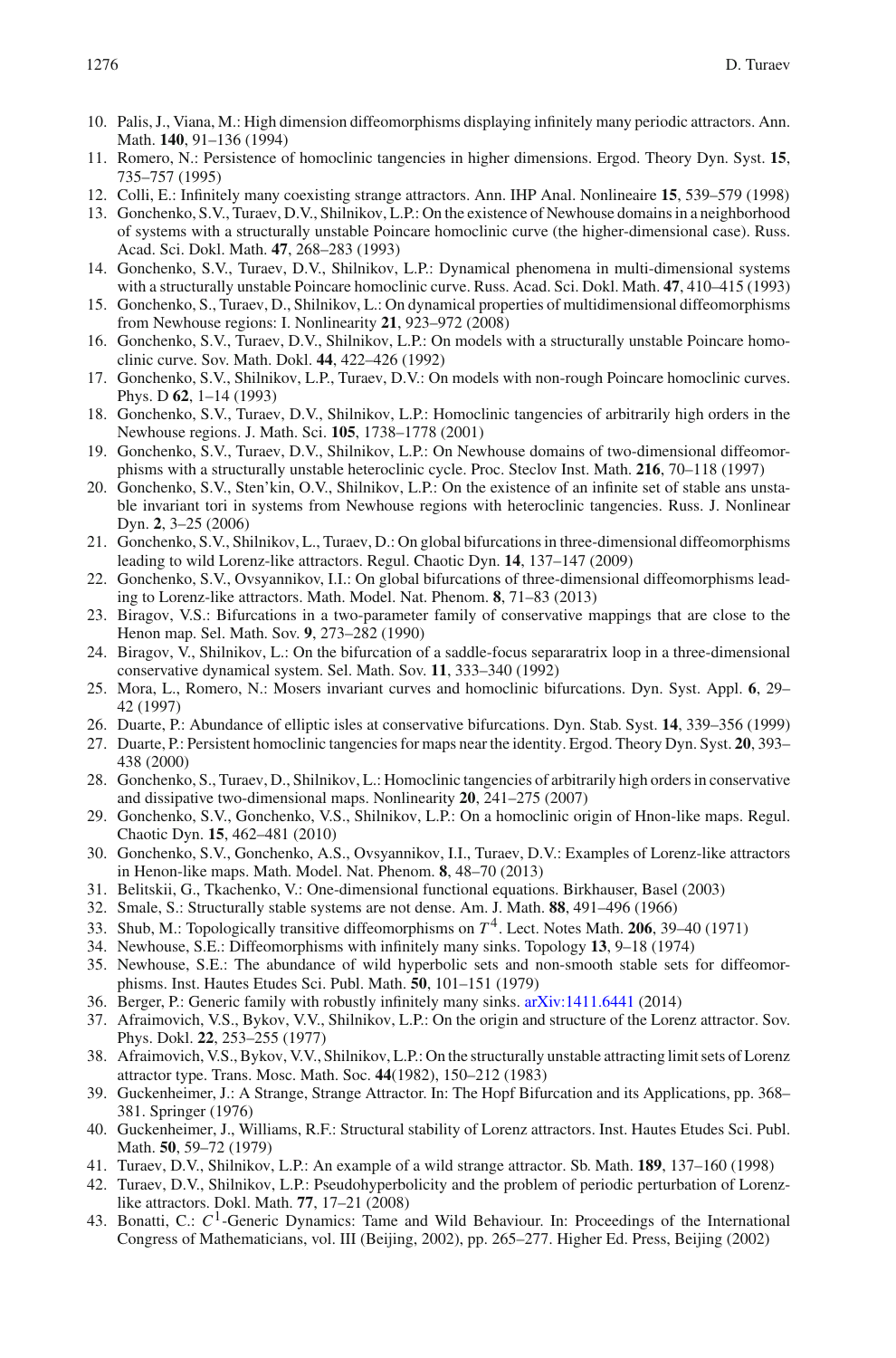- <span id="page-41-14"></span>10. Palis, J., Viana, M.: High dimension diffeomorphisms displaying infinitely many periodic attractors. Ann. Math. **140**, 91–136 (1994)
- <span id="page-41-15"></span>11. Romero, N.: Persistence of homoclinic tangencies in higher dimensions. Ergod. Theory Dyn. Syst. **15**, 735–757 (1995)
- <span id="page-41-25"></span>12. Colli, E.: Infinitely many coexisting strange attractors. Ann. IHP Anal. Nonlineaire **15**, 539–579 (1998)
- <span id="page-41-16"></span>13. Gonchenko, S.V., Turaev, D.V., Shilnikov, L.P.: On the existence of Newhouse domains in a neighborhood of systems with a structurally unstable Poincare homoclinic curve (the higher-dimensional case). Russ. Acad. Sci. Dokl. Math. **47**, 268–283 (1993)
- <span id="page-41-23"></span>14. Gonchenko, S.V., Turaev, D.V., Shilnikov, L.P.: Dynamical phenomena in multi-dimensional systems with a structurally unstable Poincare homoclinic curve. Russ. Acad. Sci. Dokl. Math. **47**, 410–415 (1993)
- <span id="page-41-18"></span>15. Gonchenko, S., Turaev, D., Shilnikov, L.: On dynamical properties of multidimensional diffeomorphisms from Newhouse regions: I. Nonlinearity **21**, 923–972 (2008)
- <span id="page-41-20"></span>16. Gonchenko, S.V., Turaev, D.V., Shilnikov, L.P.: On models with a structurally unstable Poincare homoclinic curve. Sov. Math. Dokl. **44**, 422–426 (1992)
- 17. Gonchenko, S.V., Shilnikov, L.P., Turaev, D.V.: On models with non-rough Poincare homoclinic curves. Phys. D **62**, 1–14 (1993)
- <span id="page-41-19"></span>18. Gonchenko, S.V., Turaev, D.V., Shilnikov, L.P.: Homoclinic tangencies of arbitrarily high orders in the Newhouse regions. J. Math. Sci. **105**, 1738–1778 (2001)
- <span id="page-41-21"></span>19. Gonchenko, S.V., Turaev, D.V., Shilnikov, L.P.: On Newhouse domains of two-dimensional diffeomorphisms with a structurally unstable heteroclinic cycle. Proc. Steclov Inst. Math. **216**, 70–118 (1997)
- <span id="page-41-24"></span>20. Gonchenko, S.V., Sten'kin, O.V., Shilnikov, L.P.: On the existence of an infinite set of stable ans unstable invariant tori in systems from Newhouse regions with heteroclinic tangencies. Russ. J. Nonlinear Dyn. **2**, 3–25 (2006)
- <span id="page-41-26"></span>21. Gonchenko, S.V., Shilnikov, L., Turaev, D.: On global bifurcations in three-dimensional diffeomorphisms leading to wild Lorenz-like attractors. Regul. Chaotic Dyn. **14**, 137–147 (2009)
- <span id="page-41-1"></span>22. Gonchenko, S.V., Ovsyannikov, I.I.: On global bifurcations of three-dimensional diffeomorphisms leading to Lorenz-like attractors. Math. Model. Nat. Phenom. **8**, 71–83 (2013)
- <span id="page-41-2"></span>23. Biragov, V.S.: Bifurcations in a two-parameter family of conservative mappings that are close to the Henon map. Sel. Math. Sov. **9**, 273–282 (1990)
- 24. Biragov, V., Shilnikov, L.: On the bifurcation of a saddle-focus separaratrix loop in a three-dimensional conservative dynamical system. Sel. Math. Sov. **11**, 333–340 (1992)
- 25. Mora, L., Romero, N.: Mosers invariant curves and homoclinic bifurcations. Dyn. Syst. Appl. **6**, 29– 42 (1997)
- 26. Duarte, P.: Abundance of elliptic isles at conservative bifurcations. Dyn. Stab. Syst. **14**, 339–356 (1999)
- 27. Duarte, P.: Persistent homoclinic tangencies for maps near the identity. Ergod. Theory Dyn. Syst. **20**, 393– 438 (2000)
- <span id="page-41-3"></span>28. Gonchenko, S., Turaev, D., Shilnikov, L.: Homoclinic tangencies of arbitrarily high orders in conservative and dissipative two-dimensional maps. Nonlinearity **20**, 241–275 (2007)
- <span id="page-41-4"></span>29. Gonchenko, S.V., Gonchenko, V.S., Shilnikov, L.P.: On a homoclinic origin of Hnon-like maps. Regul. Chaotic Dyn. **15**, 462–481 (2010)
- <span id="page-41-5"></span>30. Gonchenko, S.V., Gonchenko, A.S., Ovsyannikov, I.I., Turaev, D.V.: Examples of Lorenz-like attractors in Henon-like maps. Math. Model. Nat. Phenom. **8**, 48–70 (2013)
- <span id="page-41-0"></span>31. Belitskii, G., Tkachenko, V.: One-dimensional functional equations. Birkhauser, Basel (2003)
- <span id="page-41-6"></span>32. Smale, S.: Structurally stable systems are not dense. Am. J. Math. **88**, 491–496 (1966)
- <span id="page-41-13"></span>33. Shub, M.: Topologically transitive diffeomorphisms on *T* 4. Lect. Notes Math. **206**, 39–40 (1971)
- <span id="page-41-17"></span>34. Newhouse, S.E.: Diffeomorphisms with infinitely many sinks. Topology **13**, 9–18 (1974)
- <span id="page-41-7"></span>35. Newhouse, S.E.: The abundance of wild hyperbolic sets and non-smooth stable sets for diffeomorphisms. Inst. Hautes Etudes Sci. Publ. Math. **50**, 101–151 (1979)
- <span id="page-41-22"></span>36. Berger, P.: Generic family with robustly infinitely many sinks. [arXiv:1411.6441](http://arxiv.org/abs/1411.6441) (2014)
- <span id="page-41-8"></span>37. Afraimovich, V.S., Bykov, V.V., Shilnikov, L.P.: On the origin and structure of the Lorenz attractor. Sov. Phys. Dokl. **22**, 253–255 (1977)
- 38. Afraimovich, V.S., Bykov, V.V., Shilnikov, L.P.: On the structurally unstable attracting limit sets of Lorenz attractor type. Trans. Mosc. Math. Soc. **44**(1982), 150–212 (1983)
- 39. Guckenheimer, J.: A Strange, Strange Attractor. In: The Hopf Bifurcation and its Applications, pp. 368– 381. Springer (1976)
- <span id="page-41-9"></span>40. Guckenheimer, J., Williams, R.F.: Structural stability of Lorenz attractors. Inst. Hautes Etudes Sci. Publ. Math. **50**, 59–72 (1979)
- <span id="page-41-10"></span>41. Turaev, D.V., Shilnikov, L.P.: An example of a wild strange attractor. Sb. Math. **189**, 137–160 (1998)
- <span id="page-41-11"></span>42. Turaev, D.V., Shilnikov, L.P.: Pseudohyperbolicity and the problem of periodic perturbation of Lorenzlike attractors. Dokl. Math. **77**, 17–21 (2008)
- <span id="page-41-12"></span>43. Bonatti, C.: C<sup>1</sup>-Generic Dynamics: Tame and Wild Behaviour. In: Proceedings of the International Congress of Mathematicians, vol. III (Beijing, 2002), pp. 265–277. Higher Ed. Press, Beijing (2002)